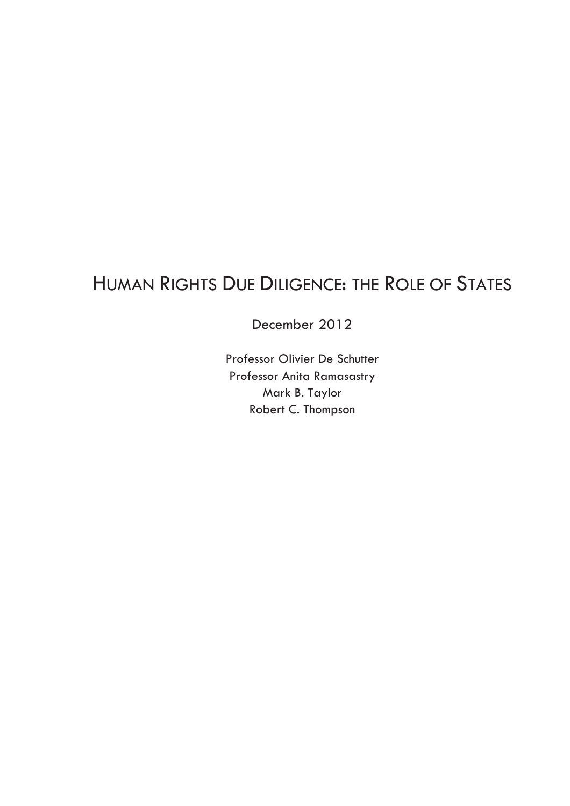# HUMAN RIGHTS DUE DILIGENCE: THE ROLE OF STATES

December 2012

Professor Olivier De Schutter Professor Anita Ramasastry Mark B. Taylor Robert C. Thompson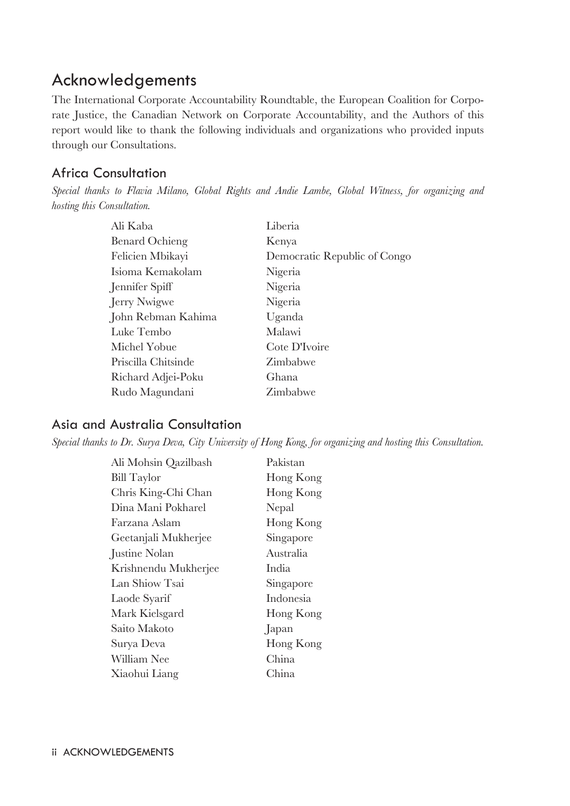# Acknowledgements

The International Corporate Accountability Roundtable, the European Coalition for Corporate Justice, the Canadian Network on Corporate Accountability, and the Authors of this report would like to thank the following individuals and organizations who provided inputs through our Consultations.

# Africa Consultation

*Special thanks to Flavia Milano, Global Rights and Andie Lambe, Global Witness, for organizing and hosting this Consultation.* 

| Ali Kaba              | Liberia                      |
|-----------------------|------------------------------|
| <b>Benard Ochieng</b> | Kenya                        |
| Felicien Mbikayi      | Democratic Republic of Congo |
| Isioma Kemakolam      | Nigeria                      |
| Jennifer Spiff        | Nigeria                      |
| <b>Jerry Nwigwe</b>   | Nigeria                      |
| John Rebman Kahima    | Uganda                       |
| Luke Tembo            | Malawi                       |
| Michel Yobue          | Cote D'Ivoire                |
| Priscilla Chitsinde   | Zimbabwe                     |
| Richard Adjei-Poku    | Ghana                        |
| Rudo Magundani        | Zimbabwe                     |
|                       |                              |

# Asia and Australia Consultation

*Special thanks to Dr. Surya Deva, City University of Hong Kong, for organizing and hosting this Consultation.* 

| Ali Mohsin Qazilbash | Pakistan  |
|----------------------|-----------|
| <b>Bill Taylor</b>   | Hong Kong |
| Chris King-Chi Chan  | Hong Kong |
| Dina Mani Pokharel   | Nepal     |
| Farzana Aslam        | Hong Kong |
| Geetanjali Mukherjee | Singapore |
| <b>Justine Nolan</b> | Australia |
| Krishnendu Mukherjee | India     |
| Lan Shiow Tsai       | Singapore |
| Laode Syarif         | Indonesia |
| Mark Kielsgard       | Hong Kong |
| Saito Makoto         | Japan     |
| Surya Deva           | Hong Kong |
| William Nee          | China     |
| Xiaohui Liang        | China     |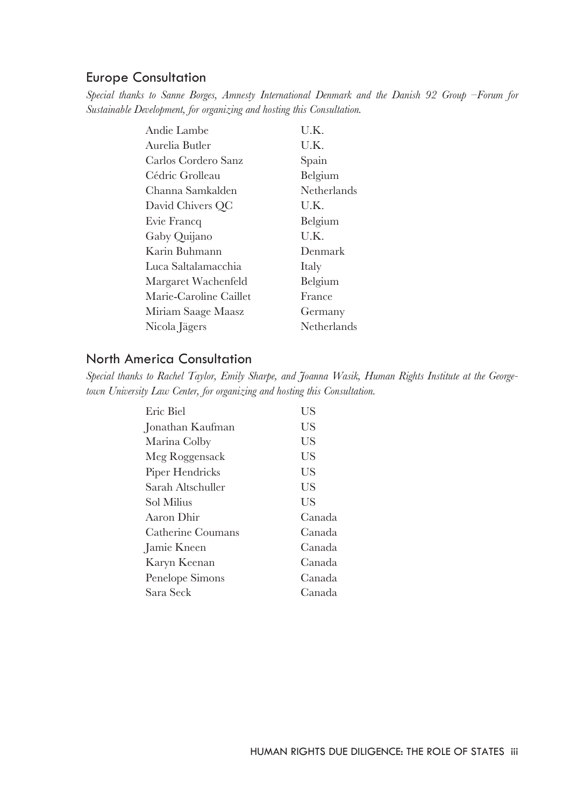# Europe Consultation

*Special thanks to Sanne Borges, Amnesty International Denmark and the Danish 92 Group –Forum for Sustainable Development, for organizing and hosting this Consultation.* 

| Andie Lambe            | U.K.        |
|------------------------|-------------|
| Aurelia Butler         | U.K.        |
| Carlos Cordero Sanz    | Spain       |
| Cédric Grolleau        | Belgium     |
| Channa Samkalden       | Netherlands |
| David Chivers QC       | U.K.        |
| Evie Francq            | Belgium     |
| Gaby Quijano           | U.K.        |
| Karin Buhmann          | Denmark     |
| Luca Saltalamacchia    | Italy       |
| Margaret Wachenfeld    | Belgium     |
| Marie-Caroline Caillet | France      |
| Miriam Saage Maasz     | Germany     |
| Nicola Jägers          | Netherlands |
|                        |             |

# North America Consultation

*Special thanks to Rachel Taylor, Emily Sharpe, and Joanna Wasik, Human Rights Institute at the Georgetown University Law Center, for organizing and hosting this Consultation.* 

| Eric Biel                | <b>US</b> |
|--------------------------|-----------|
| Jonathan Kaufman         | US        |
| Marina Colby             | <b>US</b> |
| Meg Roggensack           | <b>US</b> |
| Piper Hendricks          | <b>US</b> |
| Sarah Altschuller        | <b>US</b> |
| Sol Milius               | <b>US</b> |
| Aaron Dhir               | Canada    |
| <b>Catherine Coumans</b> | Canada    |
| Jamie Kneen              | Canada    |
| Karyn Keenan             | Canada    |
| Penelope Simons          | Canada    |
| Sara Seck                | Canada    |
|                          |           |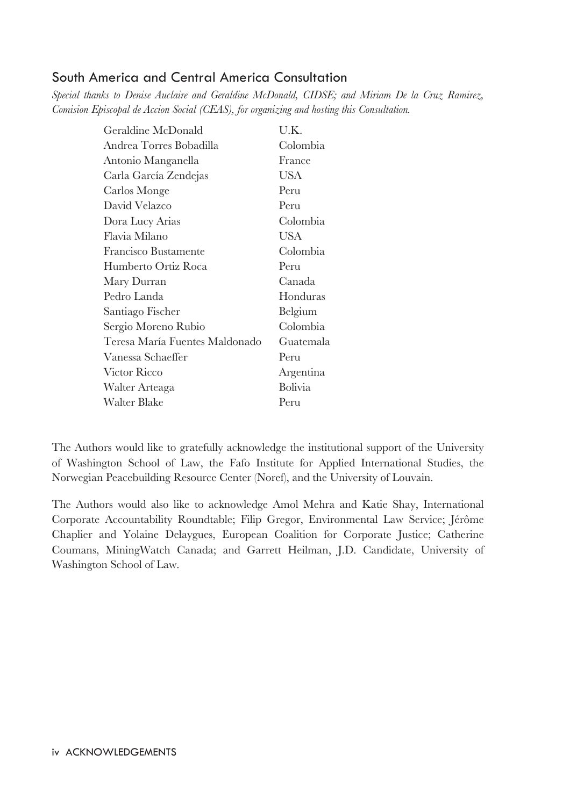# South America and Central America Consultation

*Special thanks to Denise Auclaire and Geraldine McDonald, CIDSE; and Miriam De la Cruz Ramirez, Comision Episcopal de Accion Social (CEAS), for organizing and hosting this Consultation.* 

| Geraldine McDonald             | U.K.           |
|--------------------------------|----------------|
| Andrea Torres Bobadilla        | Colombia       |
| Antonio Manganella             | France         |
| Carla García Zendejas          | USA            |
| Carlos Monge                   | Peru           |
| David Velazco                  | Peru           |
| Dora Lucy Arias                | Colombia       |
| Flavia Milano                  | USA            |
| Francisco Bustamente           | Colombia       |
| Humberto Ortiz Roca            | Peru           |
| Mary Durran                    | Canada         |
| Pedro Landa                    | Honduras       |
| Santiago Fischer               | Belgium        |
| Sergio Moreno Rubio            | Colombia       |
| Teresa María Fuentes Maldonado | Guatemala      |
| Vanessa Schaeffer              | Peru           |
| Victor Ricco                   | Argentina      |
| Walter Arteaga                 | <b>Bolivia</b> |
| <b>Walter Blake</b>            | Peru           |

The Authors would like to gratefully acknowledge the institutional support of the University of Washington School of Law, the Fafo Institute for Applied International Studies, the Norwegian Peacebuilding Resource Center (Noref), and the University of Louvain.

The Authors would also like to acknowledge Amol Mehra and Katie Shay, International Corporate Accountability Roundtable; Filip Gregor, Environmental Law Service; Jérôme Chaplier and Yolaine Delaygues, European Coalition for Corporate Justice; Catherine Coumans, MiningWatch Canada; and Garrett Heilman, J.D. Candidate, University of Washington School of Law.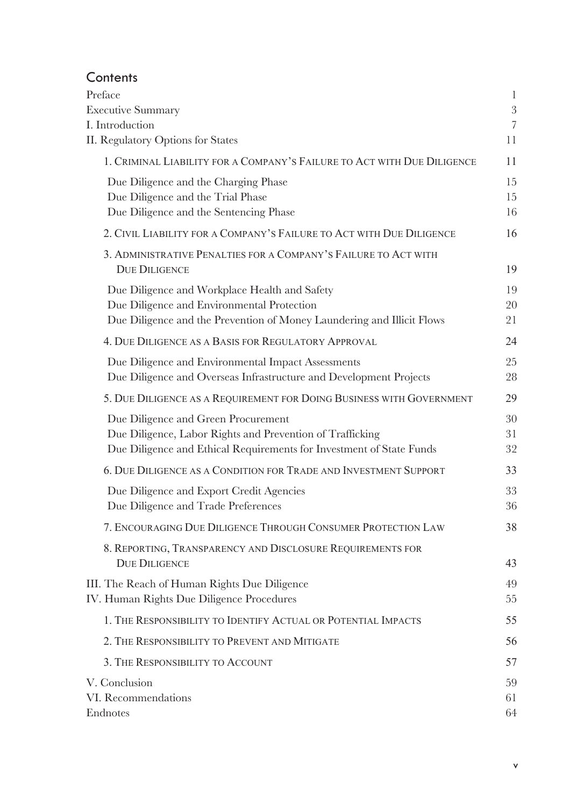# **Contents**

| Preface                                                                 | $\perp$        |
|-------------------------------------------------------------------------|----------------|
| <b>Executive Summary</b>                                                | $\mathfrak{Z}$ |
| I. Introduction                                                         | 7              |
| II. Regulatory Options for States                                       | 11             |
| 1. CRIMINAL LIABILITY FOR A COMPANY'S FAILURE TO ACT WITH DUE DILIGENCE | 11             |
| Due Diligence and the Charging Phase                                    | 15             |
| Due Diligence and the Trial Phase                                       | 15             |
| Due Diligence and the Sentencing Phase                                  | 16             |
| 2. CIVIL LIABILITY FOR A COMPANY'S FAILURE TO ACT WITH DUE DILIGENCE    | 16             |
| 3. ADMINISTRATIVE PENALTIES FOR A COMPANY'S FAILURE TO ACT WITH         |                |
| <b>DUE DILIGENCE</b>                                                    | 19             |
| Due Diligence and Workplace Health and Safety                           | 19             |
| Due Diligence and Environmental Protection                              | 20             |
| Due Diligence and the Prevention of Money Laundering and Illicit Flows  | 21             |
| 4. DUE DILIGENCE AS A BASIS FOR REGULATORY APPROVAL                     | 24             |
| Due Diligence and Environmental Impact Assessments                      | 25             |
| Due Diligence and Overseas Infrastructure and Development Projects      | 28             |
| 5. DUE DILIGENCE AS A REQUIREMENT FOR DOING BUSINESS WITH GOVERNMENT    | 29             |
| Due Diligence and Green Procurement                                     | 30             |
| Due Diligence, Labor Rights and Prevention of Trafficking               | 31             |
| Due Diligence and Ethical Requirements for Investment of State Funds    | 32             |
| 6. DUE DILIGENCE AS A CONDITION FOR TRADE AND INVESTMENT SUPPORT        | 33             |
| Due Diligence and Export Credit Agencies                                | 33             |
| Due Diligence and Trade Preferences                                     | 36             |
| 7. ENCOURAGING DUE DILIGENCE THROUGH CONSUMER PROTECTION LAW            | 38             |
| 8. REPORTING, TRANSPARENCY AND DISCLOSURE REQUIREMENTS FOR              |                |
| <b>DUE DILIGENCE</b>                                                    | 43             |
| III. The Reach of Human Rights Due Diligence                            | 49             |
| IV. Human Rights Due Diligence Procedures                               | 55             |
| 1. THE RESPONSIBILITY TO IDENTIFY ACTUAL OR POTENTIAL IMPACTS           | 55             |
| 2. THE RESPONSIBILITY TO PREVENT AND MITIGATE                           | 56             |
| 3. THE RESPONSIBILITY TO ACCOUNT                                        | 57             |
| V. Conclusion                                                           | 59             |
| VI. Recommendations                                                     | 61             |
| Endnotes                                                                | 64             |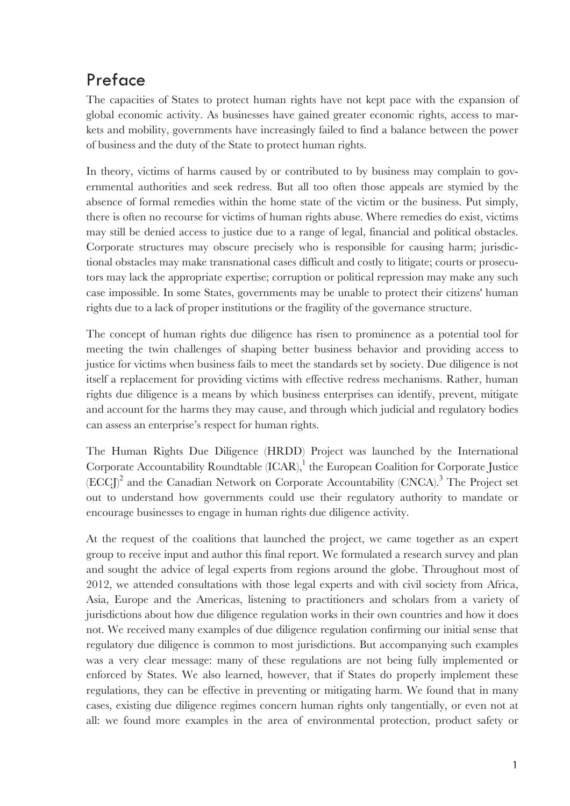# Preface

The capacities of States to protect human rights have not kept pace with the expansion of global economic activity. As businesses have gained greater economic rights, access to markets and mobility, governments have increasingly failed to find a balance between the power of business and the duty of the State to protect human rights.

In theory, victims of harms caused by or contributed to by business may complain to governmental authorities and seek redress. But all too often those appeals are stymied by the absence of formal remedies within the home state of the victim or the business. Put simply, there is often no recourse for victims of human rights abuse. Where remedies do exist, victims may still be denied access to justice due to a range of legal, financial and political obstacles. Corporate structures may obscure precisely who is responsible for causing harm; jurisdictional obstacles may make transnational cases difficult and costly to litigate; courts or prosecutors may lack the appropriate expertise; corruption or political repression may make any such case impossible. In some States, governments may be unable to protect their citizens' human rights due to a lack of proper institutions or the fragility of the governance structure.

The concept of human rights due diligence has risen to prominence as a potential tool for meeting the twin challenges of shaping better business behavior and providing access to justice for victims when business fails to meet the standards set by society. Due diligence is not itself a replacement for providing victims with effective redress mechanisms. Rather, human rights due diligence is a means by which business enterprises can identify, prevent, mitigate and account for the harms they may cause, and through which judicial and regulatory bodies can assess an enterprise's respect for human rights.

The Human Rights Due Diligence (HRDD) Project was launched by the International Corporate Accountability Roundtable (ICAR),<sup>1</sup> the European Coalition for Corporate Justice  $(ECCJ)<sup>2</sup>$  and the Canadian Network on Corporate Accountability (CNCA).<sup>3</sup> The Project set out to understand how governments could use their regulatory authority to mandate or encourage businesses to engage in human rights due diligence activity.

At the request of the coalitions that launched the project, we came together as an expert group to receive input and author this final report. We formulated a research survey and plan and sought the advice of legal experts from regions around the globe. Throughout most of 2012, we attended consultations with those legal experts and with civil society from Africa, Asia, Europe and the Americas, listening to practitioners and scholars from a variety of jurisdictions about how due diligence regulation works in their own countries and how it does not. We received many examples of due diligence regulation confirming our initial sense that regulatory due diligence is common to most jurisdictions. But accompanying such examples was a very clear message: many of these regulations are not being fully implemented or enforced by States. We also learned, however, that if States do properly implement these regulations, they can be effective in preventing or mitigating harm. We found that in many cases, existing due diligence regimes concern human rights only tangentially, or even not at all: we found more examples in the area of environmental protection, product safety or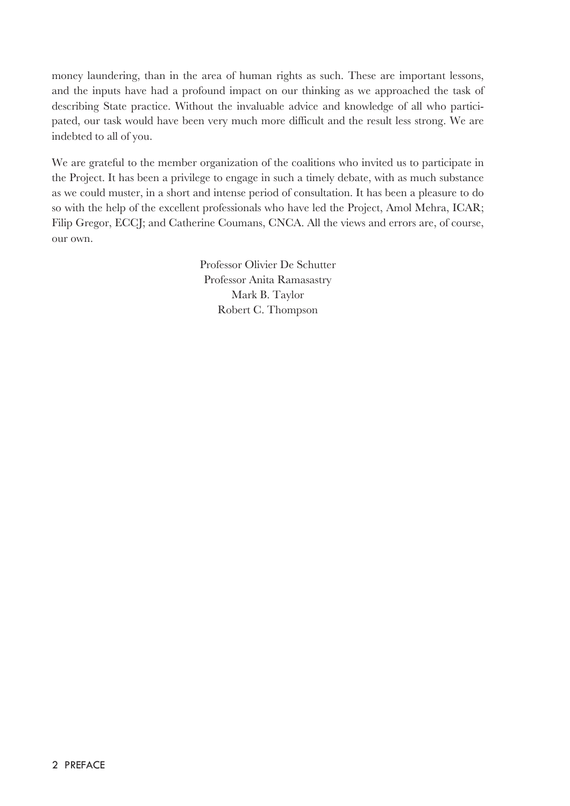money laundering, than in the area of human rights as such. These are important lessons, and the inputs have had a profound impact on our thinking as we approached the task of describing State practice. Without the invaluable advice and knowledge of all who participated, our task would have been very much more difficult and the result less strong. We are indebted to all of you.

We are grateful to the member organization of the coalitions who invited us to participate in the Project. It has been a privilege to engage in such a timely debate, with as much substance as we could muster, in a short and intense period of consultation. It has been a pleasure to do so with the help of the excellent professionals who have led the Project, Amol Mehra, ICAR; Filip Gregor, ECCJ; and Catherine Coumans, CNCA. All the views and errors are, of course, our own.

> Professor Olivier De Schutter Professor Anita Ramasastry Mark B. Taylor Robert C. Thompson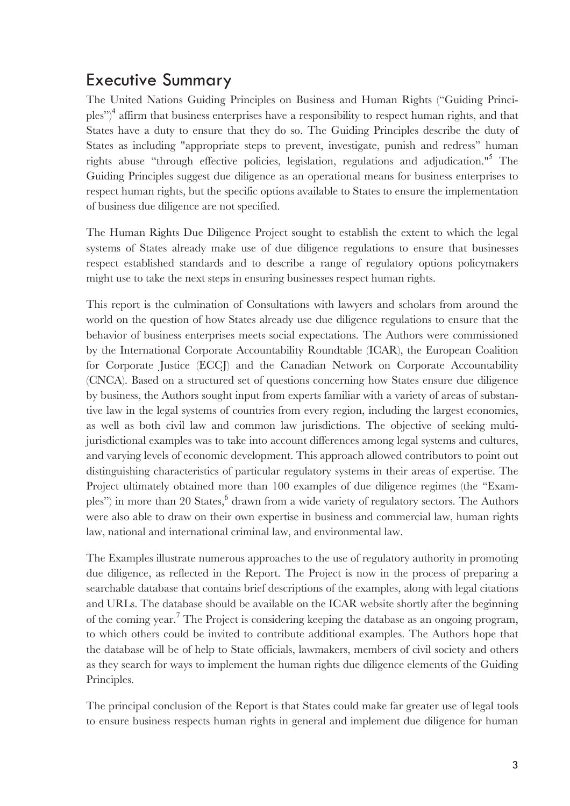# Executive Summary

The United Nations Guiding Principles on Business and Human Rights ("Guiding Principles")<sup>4</sup> affirm that business enterprises have a responsibility to respect human rights, and that States have a duty to ensure that they do so. The Guiding Principles describe the duty of States as including "appropriate steps to prevent, investigate, punish and redress" human rights abuse "through effective policies, legislation, regulations and adjudication."<sup>5</sup> The Guiding Principles suggest due diligence as an operational means for business enterprises to respect human rights, but the specific options available to States to ensure the implementation of business due diligence are not specified.

The Human Rights Due Diligence Project sought to establish the extent to which the legal systems of States already make use of due diligence regulations to ensure that businesses respect established standards and to describe a range of regulatory options policymakers might use to take the next steps in ensuring businesses respect human rights.

This report is the culmination of Consultations with lawyers and scholars from around the world on the question of how States already use due diligence regulations to ensure that the behavior of business enterprises meets social expectations. The Authors were commissioned by the International Corporate Accountability Roundtable (ICAR), the European Coalition for Corporate Justice (ECCJ) and the Canadian Network on Corporate Accountability (CNCA). Based on a structured set of questions concerning how States ensure due diligence by business, the Authors sought input from experts familiar with a variety of areas of substantive law in the legal systems of countries from every region, including the largest economies, as well as both civil law and common law jurisdictions. The objective of seeking multijurisdictional examples was to take into account differences among legal systems and cultures, and varying levels of economic development. This approach allowed contributors to point out distinguishing characteristics of particular regulatory systems in their areas of expertise. The Project ultimately obtained more than 100 examples of due diligence regimes (the "Examples") in more than 20 States, <sup>6</sup> drawn from a wide variety of regulatory sectors. The Authors were also able to draw on their own expertise in business and commercial law, human rights law, national and international criminal law, and environmental law.

The Examples illustrate numerous approaches to the use of regulatory authority in promoting due diligence, as reflected in the Report. The Project is now in the process of preparing a searchable database that contains brief descriptions of the examples, along with legal citations and URLs. The database should be available on the ICAR website shortly after the beginning of the coming year.<sup>7</sup> The Project is considering keeping the database as an ongoing program, to which others could be invited to contribute additional examples. The Authors hope that the database will be of help to State officials, lawmakers, members of civil society and others as they search for ways to implement the human rights due diligence elements of the Guiding Principles.

The principal conclusion of the Report is that States could make far greater use of legal tools to ensure business respects human rights in general and implement due diligence for human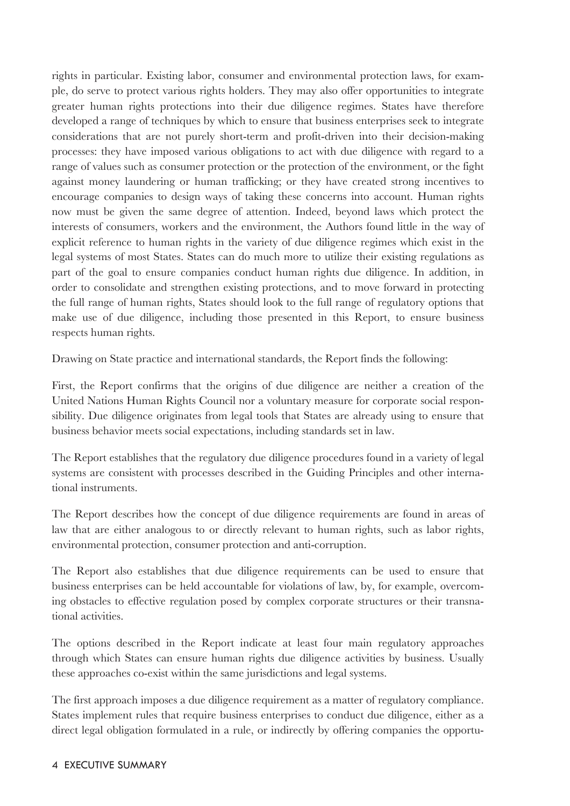rights in particular. Existing labor, consumer and environmental protection laws, for example, do serve to protect various rights holders. They may also offer opportunities to integrate greater human rights protections into their due diligence regimes. States have therefore developed a range of techniques by which to ensure that business enterprises seek to integrate considerations that are not purely short-term and profit-driven into their decision-making processes: they have imposed various obligations to act with due diligence with regard to a range of values such as consumer protection or the protection of the environment, or the fight against money laundering or human trafficking; or they have created strong incentives to encourage companies to design ways of taking these concerns into account. Human rights now must be given the same degree of attention. Indeed, beyond laws which protect the interests of consumers, workers and the environment, the Authors found little in the way of explicit reference to human rights in the variety of due diligence regimes which exist in the legal systems of most States. States can do much more to utilize their existing regulations as part of the goal to ensure companies conduct human rights due diligence. In addition, in order to consolidate and strengthen existing protections, and to move forward in protecting the full range of human rights, States should look to the full range of regulatory options that make use of due diligence, including those presented in this Report, to ensure business respects human rights.

Drawing on State practice and international standards, the Report finds the following:

First, the Report confirms that the origins of due diligence are neither a creation of the United Nations Human Rights Council nor a voluntary measure for corporate social responsibility. Due diligence originates from legal tools that States are already using to ensure that business behavior meets social expectations, including standards set in law.

The Report establishes that the regulatory due diligence procedures found in a variety of legal systems are consistent with processes described in the Guiding Principles and other international instruments.

The Report describes how the concept of due diligence requirements are found in areas of law that are either analogous to or directly relevant to human rights, such as labor rights, environmental protection, consumer protection and anti-corruption.

The Report also establishes that due diligence requirements can be used to ensure that business enterprises can be held accountable for violations of law, by, for example, overcoming obstacles to effective regulation posed by complex corporate structures or their transnational activities.

The options described in the Report indicate at least four main regulatory approaches through which States can ensure human rights due diligence activities by business. Usually these approaches co-exist within the same jurisdictions and legal systems.

The first approach imposes a due diligence requirement as a matter of regulatory compliance. States implement rules that require business enterprises to conduct due diligence, either as a direct legal obligation formulated in a rule, or indirectly by offering companies the opportu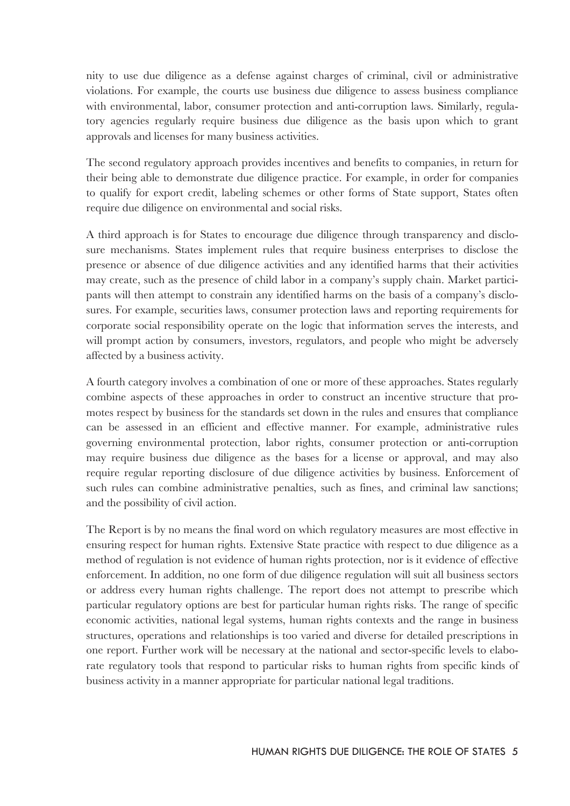nity to use due diligence as a defense against charges of criminal, civil or administrative violations. For example, the courts use business due diligence to assess business compliance with environmental, labor, consumer protection and anti-corruption laws. Similarly, regulatory agencies regularly require business due diligence as the basis upon which to grant approvals and licenses for many business activities.

The second regulatory approach provides incentives and benefits to companies, in return for their being able to demonstrate due diligence practice. For example, in order for companies to qualify for export credit, labeling schemes or other forms of State support, States often require due diligence on environmental and social risks.

A third approach is for States to encourage due diligence through transparency and disclosure mechanisms. States implement rules that require business enterprises to disclose the presence or absence of due diligence activities and any identified harms that their activities may create, such as the presence of child labor in a company's supply chain. Market participants will then attempt to constrain any identified harms on the basis of a company's disclosures. For example, securities laws, consumer protection laws and reporting requirements for corporate social responsibility operate on the logic that information serves the interests, and will prompt action by consumers, investors, regulators, and people who might be adversely affected by a business activity.

A fourth category involves a combination of one or more of these approaches. States regularly combine aspects of these approaches in order to construct an incentive structure that promotes respect by business for the standards set down in the rules and ensures that compliance can be assessed in an efficient and effective manner. For example, administrative rules governing environmental protection, labor rights, consumer protection or anti-corruption may require business due diligence as the bases for a license or approval, and may also require regular reporting disclosure of due diligence activities by business. Enforcement of such rules can combine administrative penalties, such as fines, and criminal law sanctions; and the possibility of civil action.

The Report is by no means the final word on which regulatory measures are most effective in ensuring respect for human rights. Extensive State practice with respect to due diligence as a method of regulation is not evidence of human rights protection, nor is it evidence of effective enforcement. In addition, no one form of due diligence regulation will suit all business sectors or address every human rights challenge. The report does not attempt to prescribe which particular regulatory options are best for particular human rights risks. The range of specific economic activities, national legal systems, human rights contexts and the range in business structures, operations and relationships is too varied and diverse for detailed prescriptions in one report. Further work will be necessary at the national and sector-specific levels to elaborate regulatory tools that respond to particular risks to human rights from specific kinds of business activity in a manner appropriate for particular national legal traditions.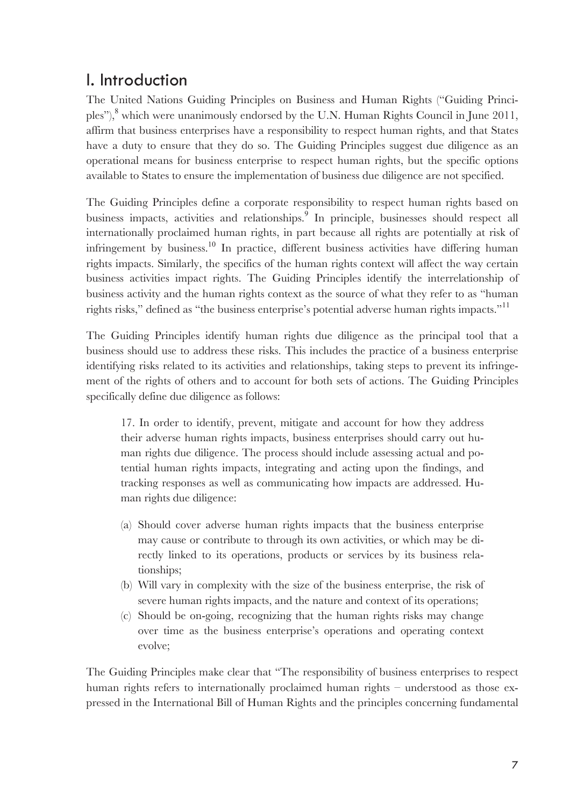# I. Introduction

The United Nations Guiding Principles on Business and Human Rights ("Guiding Principles"),<sup>8</sup> which were unanimously endorsed by the U.N. Human Rights Council in June 2011, affirm that business enterprises have a responsibility to respect human rights, and that States have a duty to ensure that they do so. The Guiding Principles suggest due diligence as an operational means for business enterprise to respect human rights, but the specific options available to States to ensure the implementation of business due diligence are not specified.

The Guiding Principles define a corporate responsibility to respect human rights based on business impacts, activities and relationships.<sup>9</sup> In principle, businesses should respect all internationally proclaimed human rights, in part because all rights are potentially at risk of infringement by business.<sup>10</sup> In practice, different business activities have differing human rights impacts. Similarly, the specifics of the human rights context will affect the way certain business activities impact rights. The Guiding Principles identify the interrelationship of business activity and the human rights context as the source of what they refer to as "human rights risks," defined as "the business enterprise's potential adverse human rights impacts." $^{11}$ 

The Guiding Principles identify human rights due diligence as the principal tool that a business should use to address these risks. This includes the practice of a business enterprise identifying risks related to its activities and relationships, taking steps to prevent its infringement of the rights of others and to account for both sets of actions. The Guiding Principles specifically define due diligence as follows:

17. In order to identify, prevent, mitigate and account for how they address their adverse human rights impacts, business enterprises should carry out human rights due diligence. The process should include assessing actual and potential human rights impacts, integrating and acting upon the findings, and tracking responses as well as communicating how impacts are addressed. Human rights due diligence:

- (a) Should cover adverse human rights impacts that the business enterprise may cause or contribute to through its own activities, or which may be directly linked to its operations, products or services by its business relationships;
- (b) Will vary in complexity with the size of the business enterprise, the risk of severe human rights impacts, and the nature and context of its operations;
- (c) Should be on-going, recognizing that the human rights risks may change over time as the business enterprise's operations and operating context evolve;

The Guiding Principles make clear that "The responsibility of business enterprises to respect human rights refers to internationally proclaimed human rights – understood as those expressed in the International Bill of Human Rights and the principles concerning fundamental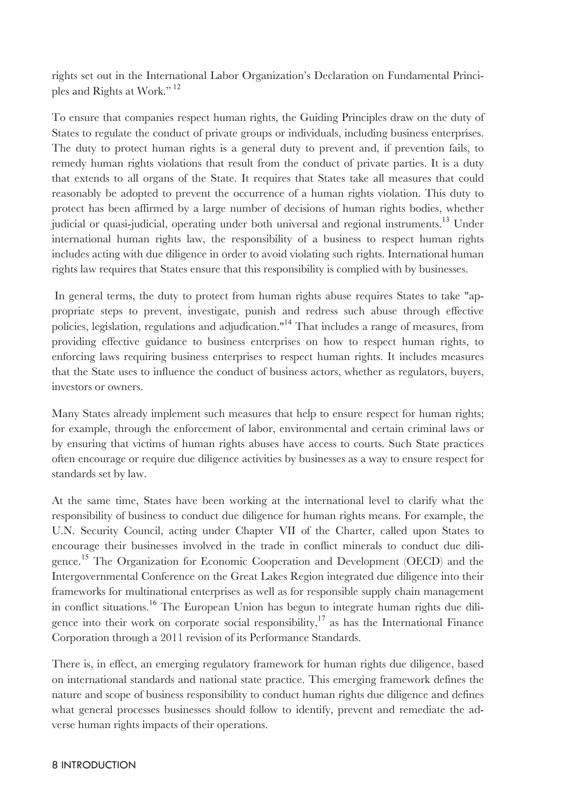rights set out in the International Labor Organization's Declaration on Fundamental Principles and Rights at Work."<sup>12</sup>

To ensure that companies respect human rights, the Guiding Principles draw on the duty of States to regulate the conduct of private groups or individuals, including business enterprises. The duty to protect human rights is a general duty to prevent and, if prevention fails, to remedy human rights violations that result from the conduct of private parties. It is a duty that extends to all organs of the State. It requires that States take all measures that could reasonably be adopted to prevent the occurrence of a human rights violation. This duty to protect has been affirmed by a large number of decisions of human rights bodies, whether judicial or quasi-judicial, operating under both universal and regional instruments.<sup>13</sup> Under international human rights law, the responsibility of a business to respect human rights includes acting with due diligence in order to avoid violating such rights. International human rights law requires that States ensure that this responsibility is complied with by businesses.

 In general terms, the duty to protect from human rights abuse requires States to take "appropriate steps to prevent, investigate, punish and redress such abuse through effective policies, legislation, regulations and adjudication."<sup>14</sup> That includes a range of measures, from providing effective guidance to business enterprises on how to respect human rights, to enforcing laws requiring business enterprises to respect human rights. It includes measures that the State uses to influence the conduct of business actors, whether as regulators, buyers, investors or owners.

Many States already implement such measures that help to ensure respect for human rights; for example, through the enforcement of labor, environmental and certain criminal laws or by ensuring that victims of human rights abuses have access to courts. Such State practices often encourage or require due diligence activities by businesses as a way to ensure respect for standards set by law.

At the same time, States have been working at the international level to clarify what the responsibility of business to conduct due diligence for human rights means. For example, the U.N. Security Council, acting under Chapter VII of the Charter, called upon States to encourage their businesses involved in the trade in conflict minerals to conduct due diligence.<sup>15</sup> The Organization for Economic Cooperation and Development (OECD) and the Intergovernmental Conference on the Great Lakes Region integrated due diligence into their frameworks for multinational enterprises as well as for responsible supply chain management in conflict situations.<sup>16</sup> The European Union has begun to integrate human rights due diligence into their work on corporate social responsibility, $17$  as has the International Finance Corporation through a 2011 revision of its Performance Standards.

There is, in effect, an emerging regulatory framework for human rights due diligence, based on international standards and national state practice. This emerging framework defines the nature and scope of business responsibility to conduct human rights due diligence and defines what general processes businesses should follow to identify, prevent and remediate the adverse human rights impacts of their operations.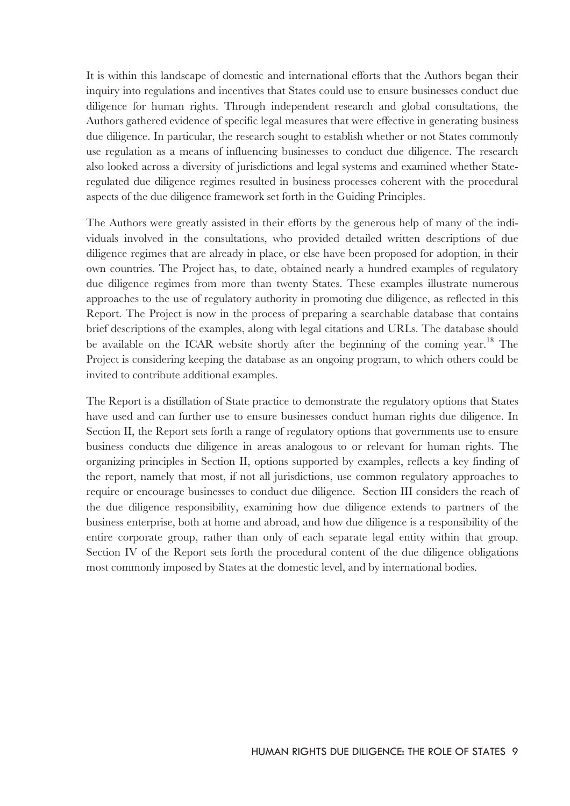It is within this landscape of domestic and international efforts that the Authors began their inquiry into regulations and incentives that States could use to ensure businesses conduct due diligence for human rights. Through independent research and global consultations, the Authors gathered evidence of specific legal measures that were effective in generating business due diligence. In particular, the research sought to establish whether or not States commonly use regulation as a means of influencing businesses to conduct due diligence. The research also looked across a diversity of jurisdictions and legal systems and examined whether Stateregulated due diligence regimes resulted in business processes coherent with the procedural aspects of the due diligence framework set forth in the Guiding Principles.

The Authors were greatly assisted in their efforts by the generous help of many of the individuals involved in the consultations, who provided detailed written descriptions of due diligence regimes that are already in place, or else have been proposed for adoption, in their own countries. The Project has, to date, obtained nearly a hundred examples of regulatory due diligence regimes from more than twenty States. These examples illustrate numerous approaches to the use of regulatory authority in promoting due diligence, as reflected in this Report. The Project is now in the process of preparing a searchable database that contains brief descriptions of the examples, along with legal citations and URLs. The database should be available on the ICAR website shortly after the beginning of the coming year.<sup>18</sup> The Project is considering keeping the database as an ongoing program, to which others could be invited to contribute additional examples.

The Report is a distillation of State practice to demonstrate the regulatory options that States have used and can further use to ensure businesses conduct human rights due diligence. In Section II, the Report sets forth a range of regulatory options that governments use to ensure business conducts due diligence in areas analogous to or relevant for human rights. The organizing principles in Section II, options supported by examples, reflects a key finding of the report, namely that most, if not all jurisdictions, use common regulatory approaches to require or encourage businesses to conduct due diligence. Section III considers the reach of the due diligence responsibility, examining how due diligence extends to partners of the business enterprise, both at home and abroad, and how due diligence is a responsibility of the entire corporate group, rather than only of each separate legal entity within that group. Section IV of the Report sets forth the procedural content of the due diligence obligations most commonly imposed by States at the domestic level, and by international bodies.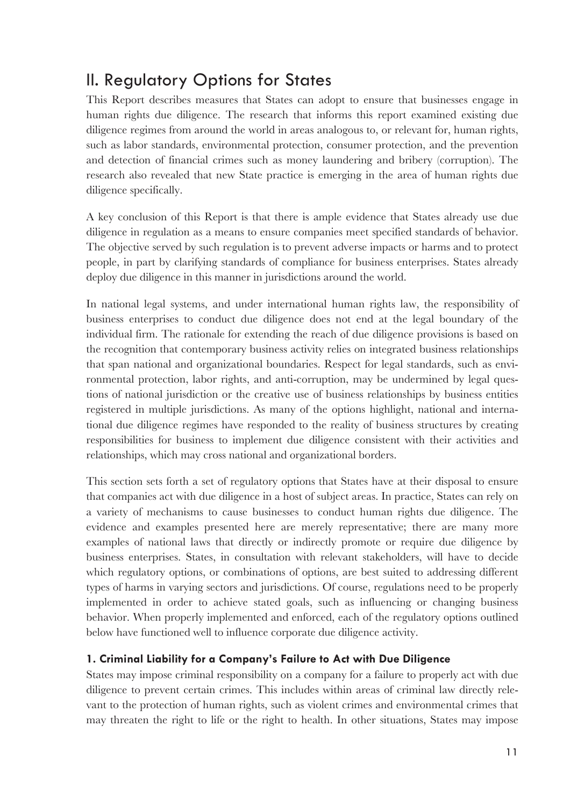# II. Regulatory Options for States

This Report describes measures that States can adopt to ensure that businesses engage in human rights due diligence. The research that informs this report examined existing due diligence regimes from around the world in areas analogous to, or relevant for, human rights, such as labor standards, environmental protection, consumer protection, and the prevention and detection of financial crimes such as money laundering and bribery (corruption). The research also revealed that new State practice is emerging in the area of human rights due diligence specifically.

A key conclusion of this Report is that there is ample evidence that States already use due diligence in regulation as a means to ensure companies meet specified standards of behavior. The objective served by such regulation is to prevent adverse impacts or harms and to protect people, in part by clarifying standards of compliance for business enterprises. States already deploy due diligence in this manner in jurisdictions around the world.

In national legal systems, and under international human rights law, the responsibility of business enterprises to conduct due diligence does not end at the legal boundary of the individual firm. The rationale for extending the reach of due diligence provisions is based on the recognition that contemporary business activity relies on integrated business relationships that span national and organizational boundaries. Respect for legal standards, such as environmental protection, labor rights, and anti-corruption, may be undermined by legal questions of national jurisdiction or the creative use of business relationships by business entities registered in multiple jurisdictions. As many of the options highlight, national and international due diligence regimes have responded to the reality of business structures by creating responsibilities for business to implement due diligence consistent with their activities and relationships, which may cross national and organizational borders.

This section sets forth a set of regulatory options that States have at their disposal to ensure that companies act with due diligence in a host of subject areas. In practice, States can rely on a variety of mechanisms to cause businesses to conduct human rights due diligence. The evidence and examples presented here are merely representative; there are many more examples of national laws that directly or indirectly promote or require due diligence by business enterprises. States, in consultation with relevant stakeholders, will have to decide which regulatory options, or combinations of options, are best suited to addressing different types of harms in varying sectors and jurisdictions. Of course, regulations need to be properly implemented in order to achieve stated goals, such as influencing or changing business behavior. When properly implemented and enforced, each of the regulatory options outlined below have functioned well to influence corporate due diligence activity.

# **1. Criminal Liability for a Company's Failure to Act with Due Diligence**

States may impose criminal responsibility on a company for a failure to properly act with due diligence to prevent certain crimes. This includes within areas of criminal law directly relevant to the protection of human rights, such as violent crimes and environmental crimes that may threaten the right to life or the right to health. In other situations, States may impose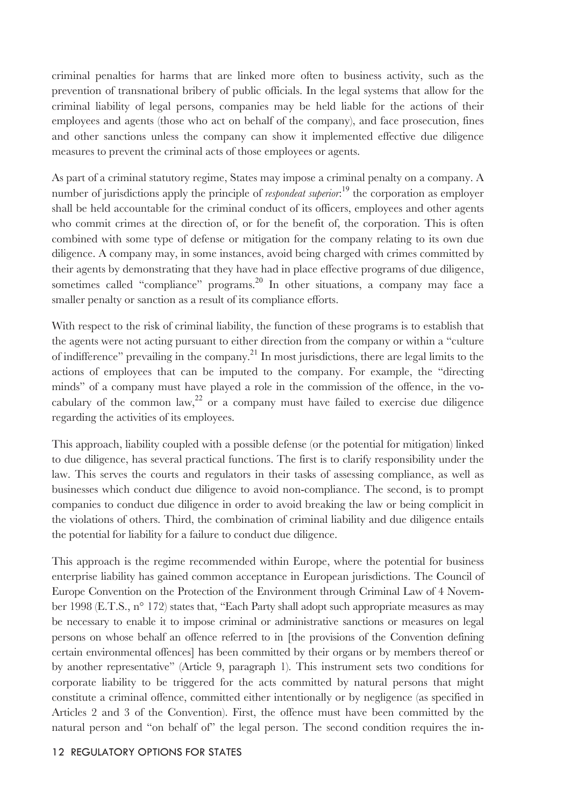criminal penalties for harms that are linked more often to business activity, such as the prevention of transnational bribery of public officials. In the legal systems that allow for the criminal liability of legal persons, companies may be held liable for the actions of their employees and agents (those who act on behalf of the company), and face prosecution, fines and other sanctions unless the company can show it implemented effective due diligence measures to prevent the criminal acts of those employees or agents.

As part of a criminal statutory regime, States may impose a criminal penalty on a company. A number of jurisdictions apply the principle of *respondeat superior*: <sup>19</sup> the corporation as employer shall be held accountable for the criminal conduct of its officers, employees and other agents who commit crimes at the direction of, or for the benefit of, the corporation. This is often combined with some type of defense or mitigation for the company relating to its own due diligence. A company may, in some instances, avoid being charged with crimes committed by their agents by demonstrating that they have had in place effective programs of due diligence, sometimes called "compliance" programs.<sup>20</sup> In other situations, a company may face a smaller penalty or sanction as a result of its compliance efforts.

With respect to the risk of criminal liability, the function of these programs is to establish that the agents were not acting pursuant to either direction from the company or within a "culture of indifference" prevailing in the company.<sup>21</sup> In most jurisdictions, there are legal limits to the actions of employees that can be imputed to the company. For example, the "directing minds" of a company must have played a role in the commission of the offence, in the vocabulary of the common  $law<sub>1</sub><sup>22</sup>$  or a company must have failed to exercise due diligence regarding the activities of its employees.

This approach, liability coupled with a possible defense (or the potential for mitigation) linked to due diligence, has several practical functions. The first is to clarify responsibility under the law. This serves the courts and regulators in their tasks of assessing compliance, as well as businesses which conduct due diligence to avoid non-compliance. The second, is to prompt companies to conduct due diligence in order to avoid breaking the law or being complicit in the violations of others. Third, the combination of criminal liability and due diligence entails the potential for liability for a failure to conduct due diligence.

This approach is the regime recommended within Europe, where the potential for business enterprise liability has gained common acceptance in European jurisdictions. The Council of Europe Convention on the Protection of the Environment through Criminal Law of 4 November 1998 (E.T.S., n° 172) states that, "Each Party shall adopt such appropriate measures as may be necessary to enable it to impose criminal or administrative sanctions or measures on legal persons on whose behalf an offence referred to in [the provisions of the Convention defining certain environmental offences] has been committed by their organs or by members thereof or by another representative" (Article 9, paragraph 1). This instrument sets two conditions for corporate liability to be triggered for the acts committed by natural persons that might constitute a criminal offence, committed either intentionally or by negligence (as specified in Articles 2 and 3 of the Convention). First, the offence must have been committed by the natural person and "on behalf of" the legal person. The second condition requires the in-

#### 12 REGULATORY OPTIONS FOR STATES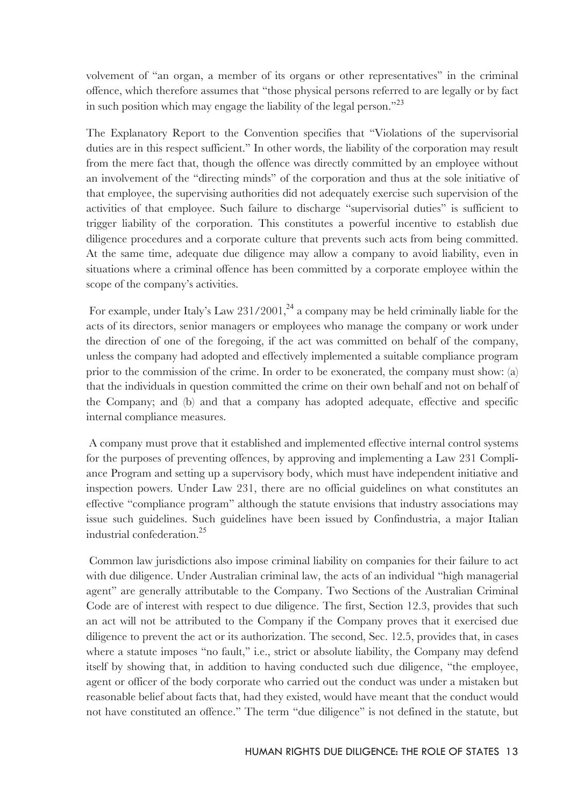volvement of "an organ, a member of its organs or other representatives" in the criminal offence, which therefore assumes that "those physical persons referred to are legally or by fact in such position which may engage the liability of the legal person."<sup>23</sup>

The Explanatory Report to the Convention specifies that "Violations of the supervisorial duties are in this respect sufficient." In other words, the liability of the corporation may result from the mere fact that, though the offence was directly committed by an employee without an involvement of the "directing minds" of the corporation and thus at the sole initiative of that employee, the supervising authorities did not adequately exercise such supervision of the activities of that employee. Such failure to discharge "supervisorial duties" is sufficient to trigger liability of the corporation. This constitutes a powerful incentive to establish due diligence procedures and a corporate culture that prevents such acts from being committed. At the same time, adequate due diligence may allow a company to avoid liability, even in situations where a criminal offence has been committed by a corporate employee within the scope of the company's activities.

For example, under Italy's Law  $231/2001$ ,<sup>24</sup> a company may be held criminally liable for the acts of its directors, senior managers or employees who manage the company or work under the direction of one of the foregoing, if the act was committed on behalf of the company, unless the company had adopted and effectively implemented a suitable compliance program prior to the commission of the crime. In order to be exonerated, the company must show: (a) that the individuals in question committed the crime on their own behalf and not on behalf of the Company; and (b) and that a company has adopted adequate, effective and specific internal compliance measures.

 A company must prove that it established and implemented effective internal control systems for the purposes of preventing offences, by approving and implementing a Law 231 Compliance Program and setting up a supervisory body, which must have independent initiative and inspection powers. Under Law 231, there are no official guidelines on what constitutes an effective "compliance program" although the statute envisions that industry associations may issue such guidelines. Such guidelines have been issued by Confindustria, a major Italian industrial confederation.<sup>25</sup>

 Common law jurisdictions also impose criminal liability on companies for their failure to act with due diligence. Under Australian criminal law, the acts of an individual "high managerial agent" are generally attributable to the Company. Two Sections of the Australian Criminal Code are of interest with respect to due diligence. The first, Section 12.3, provides that such an act will not be attributed to the Company if the Company proves that it exercised due diligence to prevent the act or its authorization. The second, Sec. 12.5, provides that, in cases where a statute imposes "no fault," i.e., strict or absolute liability, the Company may defend itself by showing that, in addition to having conducted such due diligence, "the employee, agent or officer of the body corporate who carried out the conduct was under a mistaken but reasonable belief about facts that, had they existed, would have meant that the conduct would not have constituted an offence." The term "due diligence" is not defined in the statute, but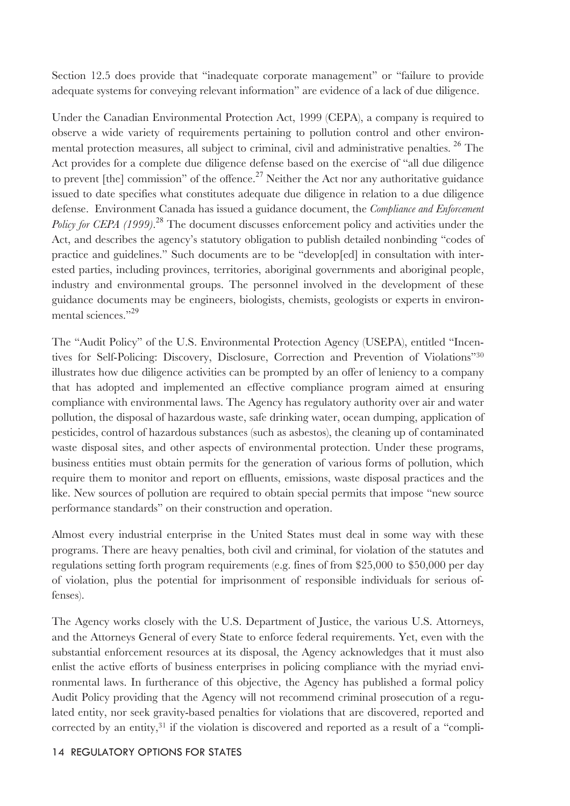Section 12.5 does provide that "inadequate corporate management" or "failure to provide adequate systems for conveying relevant information" are evidence of a lack of due diligence.

Under the Canadian Environmental Protection Act, 1999 (CEPA), a company is required to observe a wide variety of requirements pertaining to pollution control and other environmental protection measures, all subject to criminal, civil and administrative penalties.  $26$  The Act provides for a complete due diligence defense based on the exercise of "all due diligence to prevent [the] commission" of the offence.<sup>27</sup> Neither the Act nor any authoritative guidance issued to date specifies what constitutes adequate due diligence in relation to a due diligence defense. Environment Canada has issued a guidance document, the *Compliance and Enforcement*  Policy for CEPA (1999).<sup>28</sup> The document discusses enforcement policy and activities under the Act, and describes the agency's statutory obligation to publish detailed nonbinding "codes of practice and guidelines." Such documents are to be "develop[ed] in consultation with interested parties, including provinces, territories, aboriginal governments and aboriginal people, industry and environmental groups. The personnel involved in the development of these guidance documents may be engineers, biologists, chemists, geologists or experts in environmental sciences."<sup>29</sup>

The "Audit Policy" of the U.S. Environmental Protection Agency (USEPA), entitled "Incentives for Self-Policing: Discovery, Disclosure, Correction and Prevention of Violations"<sup>30</sup> illustrates how due diligence activities can be prompted by an offer of leniency to a company that has adopted and implemented an effective compliance program aimed at ensuring compliance with environmental laws. The Agency has regulatory authority over air and water pollution, the disposal of hazardous waste, safe drinking water, ocean dumping, application of pesticides, control of hazardous substances (such as asbestos), the cleaning up of contaminated waste disposal sites, and other aspects of environmental protection. Under these programs, business entities must obtain permits for the generation of various forms of pollution, which require them to monitor and report on effluents, emissions, waste disposal practices and the like. New sources of pollution are required to obtain special permits that impose "new source performance standards" on their construction and operation.

Almost every industrial enterprise in the United States must deal in some way with these programs. There are heavy penalties, both civil and criminal, for violation of the statutes and regulations setting forth program requirements (e.g. fines of from \$25,000 to \$50,000 per day of violation, plus the potential for imprisonment of responsible individuals for serious offenses).

The Agency works closely with the U.S. Department of Justice, the various U.S. Attorneys, and the Attorneys General of every State to enforce federal requirements. Yet, even with the substantial enforcement resources at its disposal, the Agency acknowledges that it must also enlist the active efforts of business enterprises in policing compliance with the myriad environmental laws. In furtherance of this objective, the Agency has published a formal policy Audit Policy providing that the Agency will not recommend criminal prosecution of a regulated entity, nor seek gravity-based penalties for violations that are discovered, reported and corrected by an entity,<sup>31</sup> if the violation is discovered and reported as a result of a "compli-

#### 14 REGULATORY OPTIONS FOR STATES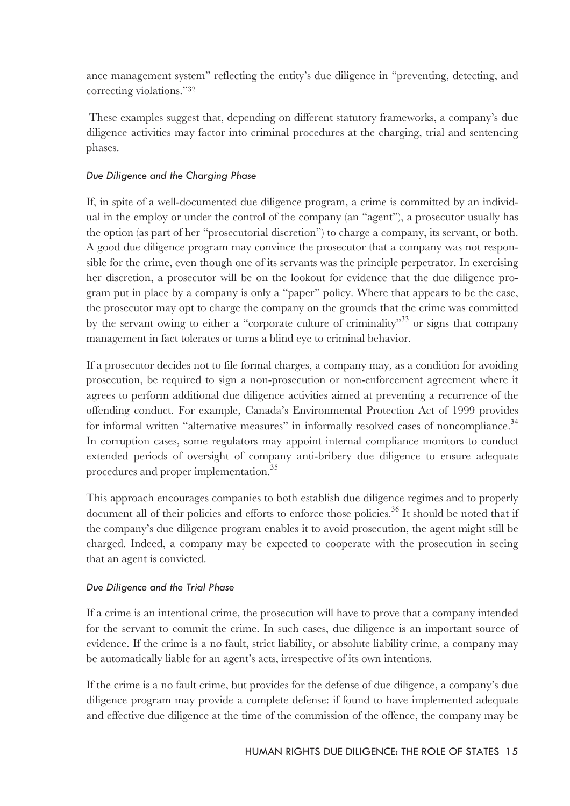ance management system" reflecting the entity's due diligence in "preventing, detecting, and correcting violations."<sup>32</sup>

 These examples suggest that, depending on different statutory frameworks, a company's due diligence activities may factor into criminal procedures at the charging, trial and sentencing phases.

## *Due Diligence and the Charging Phase*

If, in spite of a well-documented due diligence program, a crime is committed by an individual in the employ or under the control of the company (an "agent"), a prosecutor usually has the option (as part of her "prosecutorial discretion") to charge a company, its servant, or both. A good due diligence program may convince the prosecutor that a company was not responsible for the crime, even though one of its servants was the principle perpetrator. In exercising her discretion, a prosecutor will be on the lookout for evidence that the due diligence program put in place by a company is only a "paper" policy. Where that appears to be the case, the prosecutor may opt to charge the company on the grounds that the crime was committed by the servant owing to either a "corporate culture of criminality"<sup>33</sup> or signs that company management in fact tolerates or turns a blind eye to criminal behavior.

If a prosecutor decides not to file formal charges, a company may, as a condition for avoiding prosecution, be required to sign a non-prosecution or non-enforcement agreement where it agrees to perform additional due diligence activities aimed at preventing a recurrence of the offending conduct. For example, Canada's Environmental Protection Act of 1999 provides for informal written "alternative measures" in informally resolved cases of noncompliance.<sup>34</sup> In corruption cases, some regulators may appoint internal compliance monitors to conduct extended periods of oversight of company anti-bribery due diligence to ensure adequate procedures and proper implementation.<sup>35</sup>

This approach encourages companies to both establish due diligence regimes and to properly document all of their policies and efforts to enforce those policies.<sup>36</sup> It should be noted that if the company's due diligence program enables it to avoid prosecution, the agent might still be charged. Indeed, a company may be expected to cooperate with the prosecution in seeing that an agent is convicted.

## *Due Diligence and the Trial Phase*

If a crime is an intentional crime, the prosecution will have to prove that a company intended for the servant to commit the crime. In such cases, due diligence is an important source of evidence. If the crime is a no fault, strict liability, or absolute liability crime, a company may be automatically liable for an agent's acts, irrespective of its own intentions.

If the crime is a no fault crime, but provides for the defense of due diligence, a company's due diligence program may provide a complete defense: if found to have implemented adequate and effective due diligence at the time of the commission of the offence, the company may be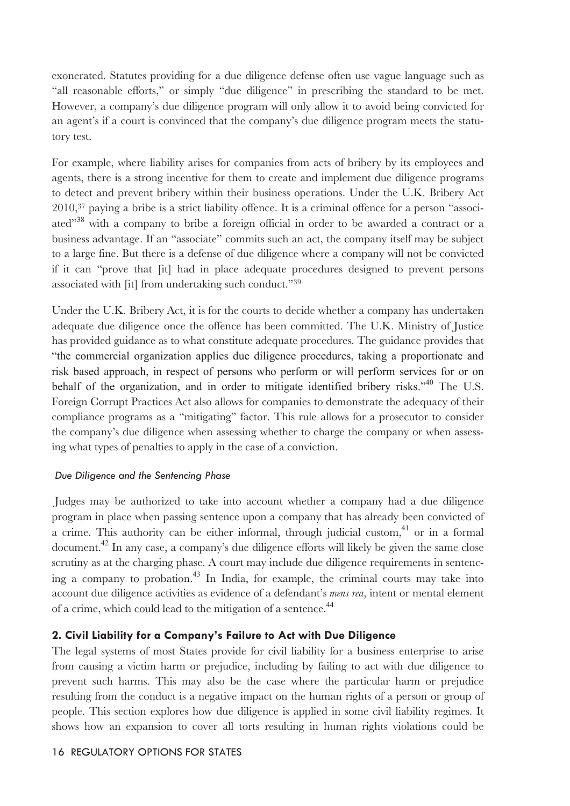exonerated. Statutes providing for a due diligence defense often use vague language such as "all reasonable efforts," or simply "due diligence" in prescribing the standard to be met. However, a company's due diligence program will only allow it to avoid being convicted for an agent's if a court is convinced that the company's due diligence program meets the statutory test.

For example, where liability arises for companies from acts of bribery by its employees and agents, there is a strong incentive for them to create and implement due diligence programs to detect and prevent bribery within their business operations. Under the U.K. Bribery Act 2010,37 paying a bribe is a strict liability offence. It is a criminal offence for a person "associated"<sup>38</sup> with a company to bribe a foreign official in order to be awarded a contract or a business advantage. If an "associate" commits such an act, the company itself may be subject to a large fine. But there is a defense of due diligence where a company will not be convicted if it can "prove that [it] had in place adequate procedures designed to prevent persons associated with [it] from undertaking such conduct."<sup>39</sup>

Under the U.K. Bribery Act, it is for the courts to decide whether a company has undertaken adequate due diligence once the offence has been committed. The U.K. Ministry of Justice has provided guidance as to what constitute adequate procedures. The guidance provides that "the commercial organization applies due diligence procedures, taking a proportionate and risk based approach, in respect of persons who perform or will perform services for or on behalf of the organization, and in order to mitigate identified bribery risks."<sup>40</sup> The U.S. Foreign Corrupt Practices Act also allows for companies to demonstrate the adequacy of their compliance programs as a "mitigating" factor. This rule allows for a prosecutor to consider the company's due diligence when assessing whether to charge the company or when assessing what types of penalties to apply in the case of a conviction.

#### *Due Diligence and the Sentencing Phase*

 Judges may be authorized to take into account whether a company had a due diligence program in place when passing sentence upon a company that has already been convicted of a crime. This authority can be either informal, through judicial custom, $41$  or in a formal document.<sup>42</sup> In any case, a company's due diligence efforts will likely be given the same close scrutiny as at the charging phase. A court may include due diligence requirements in sentencing a company to probation.<sup>43</sup> In India, for example, the criminal courts may take into account due diligence activities as evidence of a defendant's *mens rea*, intent or mental element of a crime, which could lead to the mitigation of a sentence.<sup>44</sup>

# **2. Civil Liability for a Company's Failure to Act with Due Diligence**

The legal systems of most States provide for civil liability for a business enterprise to arise from causing a victim harm or prejudice, including by failing to act with due diligence to prevent such harms. This may also be the case where the particular harm or prejudice resulting from the conduct is a negative impact on the human rights of a person or group of people. This section explores how due diligence is applied in some civil liability regimes. It shows how an expansion to cover all torts resulting in human rights violations could be

## 16 REGULATORY OPTIONS FOR STATES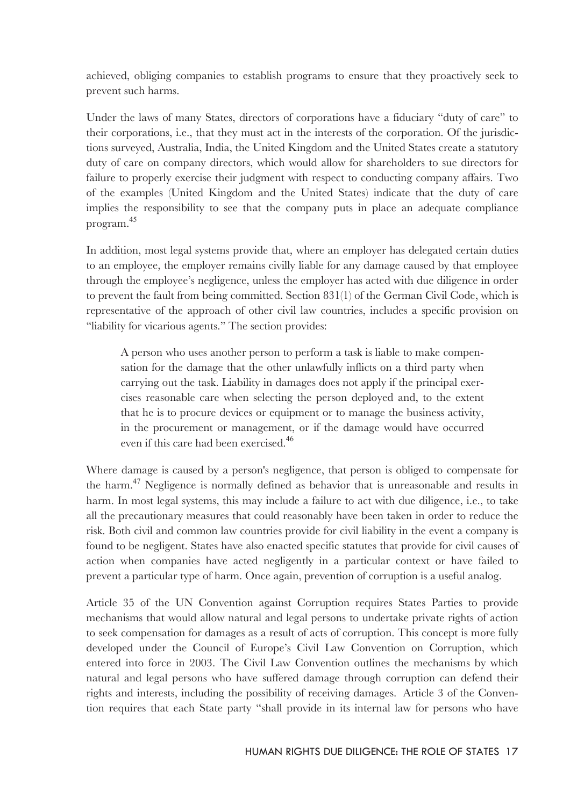achieved, obliging companies to establish programs to ensure that they proactively seek to prevent such harms.

Under the laws of many States, directors of corporations have a fiduciary "duty of care" to their corporations, i.e., that they must act in the interests of the corporation. Of the jurisdictions surveyed, Australia, India, the United Kingdom and the United States create a statutory duty of care on company directors, which would allow for shareholders to sue directors for failure to properly exercise their judgment with respect to conducting company affairs. Two of the examples (United Kingdom and the United States) indicate that the duty of care implies the responsibility to see that the company puts in place an adequate compliance program. 45

In addition, most legal systems provide that, where an employer has delegated certain duties to an employee, the employer remains civilly liable for any damage caused by that employee through the employee's negligence, unless the employer has acted with due diligence in order to prevent the fault from being committed. Section 831(1) of the German Civil Code, which is representative of the approach of other civil law countries, includes a specific provision on "liability for vicarious agents." The section provides:

A person who uses another person to perform a task is liable to make compensation for the damage that the other unlawfully inflicts on a third party when carrying out the task. Liability in damages does not apply if the principal exercises reasonable care when selecting the person deployed and, to the extent that he is to procure devices or equipment or to manage the business activity, in the procurement or management, or if the damage would have occurred even if this care had been exercised.<sup>46</sup>

Where damage is caused by a person's negligence, that person is obliged to compensate for the harm.<sup>47</sup> Negligence is normally defined as behavior that is unreasonable and results in harm. In most legal systems, this may include a failure to act with due diligence, i.e., to take all the precautionary measures that could reasonably have been taken in order to reduce the risk. Both civil and common law countries provide for civil liability in the event a company is found to be negligent. States have also enacted specific statutes that provide for civil causes of action when companies have acted negligently in a particular context or have failed to prevent a particular type of harm. Once again, prevention of corruption is a useful analog.

Article 35 of the UN Convention against Corruption requires States Parties to provide mechanisms that would allow natural and legal persons to undertake private rights of action to seek compensation for damages as a result of acts of corruption. This concept is more fully developed under the Council of Europe's Civil Law Convention on Corruption, which entered into force in 2003. The Civil Law Convention outlines the mechanisms by which natural and legal persons who have suffered damage through corruption can defend their rights and interests, including the possibility of receiving damages. Article 3 of the Convention requires that each State party "shall provide in its internal law for persons who have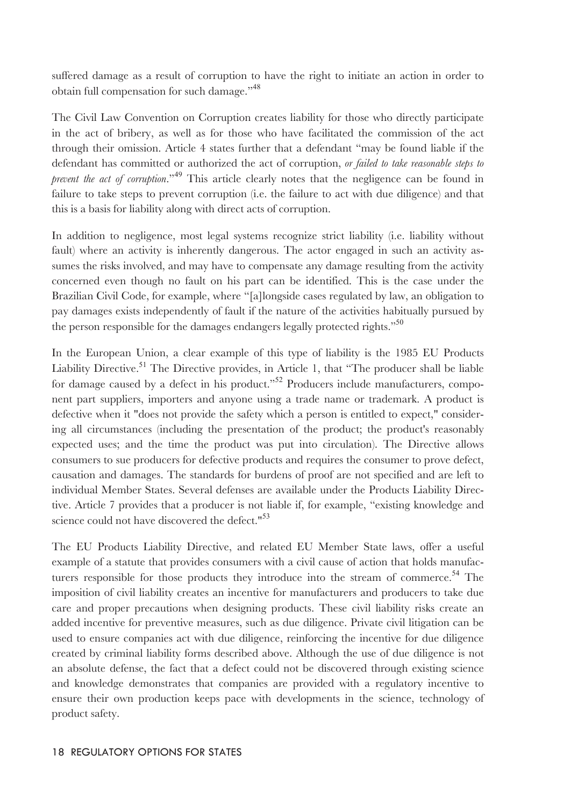suffered damage as a result of corruption to have the right to initiate an action in order to obtain full compensation for such damage."<sup>48</sup>

The Civil Law Convention on Corruption creates liability for those who directly participate in the act of bribery, as well as for those who have facilitated the commission of the act through their omission. Article 4 states further that a defendant "may be found liable if the defendant has committed or authorized the act of corruption, *or failed to take reasonable steps to prevent the act of corruption*."<sup>49</sup> This article clearly notes that the negligence can be found in failure to take steps to prevent corruption (i.e. the failure to act with due diligence) and that this is a basis for liability along with direct acts of corruption.

In addition to negligence, most legal systems recognize strict liability (i.e. liability without fault) where an activity is inherently dangerous. The actor engaged in such an activity assumes the risks involved, and may have to compensate any damage resulting from the activity concerned even though no fault on his part can be identified. This is the case under the Brazilian Civil Code, for example, where "[a]longside cases regulated by law, an obligation to pay damages exists independently of fault if the nature of the activities habitually pursued by the person responsible for the damages endangers legally protected rights."<sup>50</sup>

In the European Union, a clear example of this type of liability is the 1985 EU Products Liability Directive.<sup>51</sup> The Directive provides, in Article 1, that "The producer shall be liable for damage caused by a defect in his product."<sup>52</sup> Producers include manufacturers, component part suppliers, importers and anyone using a trade name or trademark. A product is defective when it "does not provide the safety which a person is entitled to expect," considering all circumstances (including the presentation of the product; the product's reasonably expected uses; and the time the product was put into circulation). The Directive allows consumers to sue producers for defective products and requires the consumer to prove defect, causation and damages. The standards for burdens of proof are not specified and are left to individual Member States. Several defenses are available under the Products Liability Directive. Article 7 provides that a producer is not liable if, for example, "existing knowledge and science could not have discovered the defect."<sup>53</sup>

The EU Products Liability Directive, and related EU Member State laws, offer a useful example of a statute that provides consumers with a civil cause of action that holds manufacturers responsible for those products they introduce into the stream of commerce.<sup>54</sup> The imposition of civil liability creates an incentive for manufacturers and producers to take due care and proper precautions when designing products. These civil liability risks create an added incentive for preventive measures, such as due diligence. Private civil litigation can be used to ensure companies act with due diligence, reinforcing the incentive for due diligence created by criminal liability forms described above. Although the use of due diligence is not an absolute defense, the fact that a defect could not be discovered through existing science and knowledge demonstrates that companies are provided with a regulatory incentive to ensure their own production keeps pace with developments in the science, technology of product safety.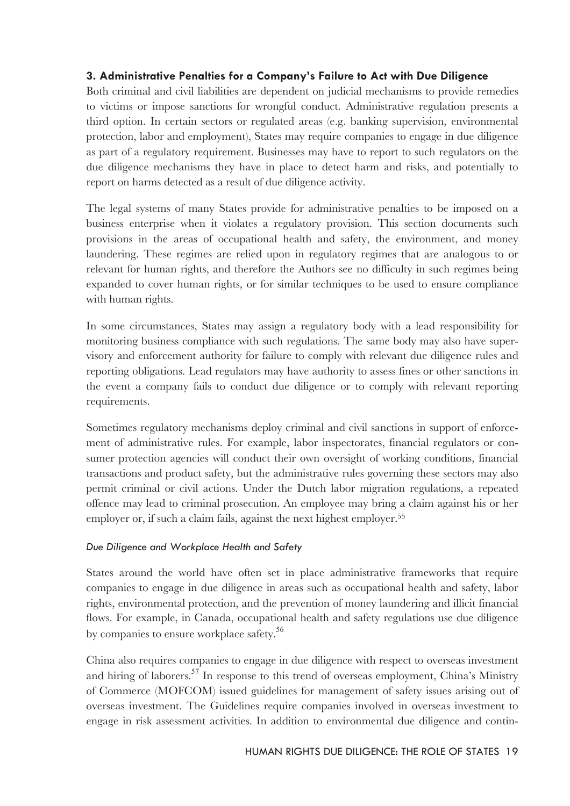# **3. Administrative Penalties for a Company's Failure to Act with Due Diligence**

Both criminal and civil liabilities are dependent on judicial mechanisms to provide remedies to victims or impose sanctions for wrongful conduct. Administrative regulation presents a third option. In certain sectors or regulated areas (e.g. banking supervision, environmental protection, labor and employment), States may require companies to engage in due diligence as part of a regulatory requirement. Businesses may have to report to such regulators on the due diligence mechanisms they have in place to detect harm and risks, and potentially to report on harms detected as a result of due diligence activity.

The legal systems of many States provide for administrative penalties to be imposed on a business enterprise when it violates a regulatory provision. This section documents such provisions in the areas of occupational health and safety, the environment, and money laundering. These regimes are relied upon in regulatory regimes that are analogous to or relevant for human rights, and therefore the Authors see no difficulty in such regimes being expanded to cover human rights, or for similar techniques to be used to ensure compliance with human rights.

In some circumstances, States may assign a regulatory body with a lead responsibility for monitoring business compliance with such regulations. The same body may also have supervisory and enforcement authority for failure to comply with relevant due diligence rules and reporting obligations. Lead regulators may have authority to assess fines or other sanctions in the event a company fails to conduct due diligence or to comply with relevant reporting requirements.

Sometimes regulatory mechanisms deploy criminal and civil sanctions in support of enforcement of administrative rules. For example, labor inspectorates, financial regulators or consumer protection agencies will conduct their own oversight of working conditions, financial transactions and product safety, but the administrative rules governing these sectors may also permit criminal or civil actions. Under the Dutch labor migration regulations, a repeated offence may lead to criminal prosecution. An employee may bring a claim against his or her employer or, if such a claim fails, against the next highest employer.<sup>55</sup>

#### *Due Diligence and Workplace Health and Safety*

States around the world have often set in place administrative frameworks that require companies to engage in due diligence in areas such as occupational health and safety, labor rights, environmental protection, and the prevention of money laundering and illicit financial flows. For example, in Canada, occupational health and safety regulations use due diligence by companies to ensure workplace safety.<sup>56</sup>

China also requires companies to engage in due diligence with respect to overseas investment and hiring of laborers.<sup>57</sup> In response to this trend of overseas employment, China's Ministry of Commerce (MOFCOM) issued guidelines for management of safety issues arising out of overseas investment. The Guidelines require companies involved in overseas investment to engage in risk assessment activities. In addition to environmental due diligence and contin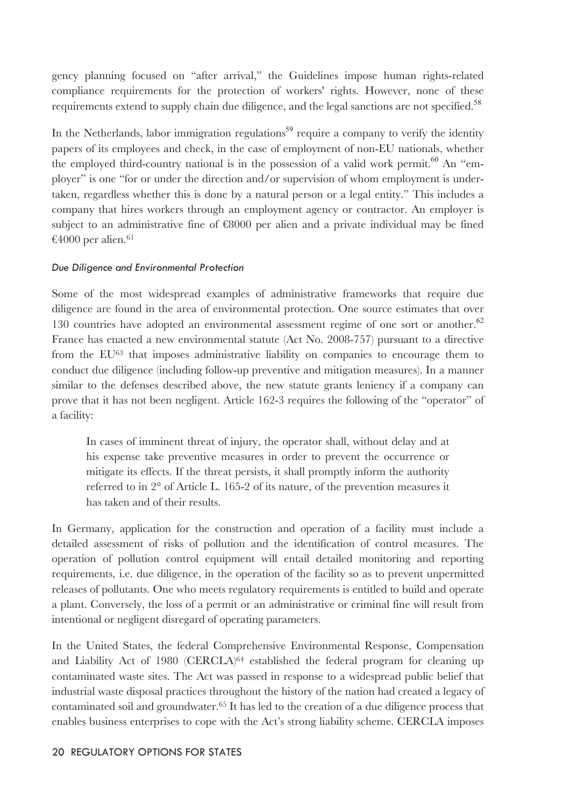gency planning focused on "after arrival," the Guidelines impose human rights-related compliance requirements for the protection of workers' rights. However, none of these requirements extend to supply chain due diligence, and the legal sanctions are not specified.<sup>58</sup>

In the Netherlands, labor immigration regulations<sup>59</sup> require a company to verify the identity papers of its employees and check, in the case of employment of non-EU nationals, whether the employed third-country national is in the possession of a valid work permit.<sup>60</sup> An "employer" is one "for or under the direction and/or supervision of whom employment is undertaken, regardless whether this is done by a natural person or a legal entity." This includes a company that hires workers through an employment agency or contractor. An employer is subject to an administrative fine of €8000 per alien and a private individual may be fined €4000 per alien.<sup>61</sup>

### *Due Diligence and Environmental Protection*

Some of the most widespread examples of administrative frameworks that require due diligence are found in the area of environmental protection. One source estimates that over 130 countries have adopted an environmental assessment regime of one sort or another.<sup>62</sup> France has enacted a new environmental statute (Act No. 2008-757) pursuant to a directive from the EU<sup>63</sup> that imposes administrative liability on companies to encourage them to conduct due diligence (including follow-up preventive and mitigation measures). In a manner similar to the defenses described above, the new statute grants leniency if a company can prove that it has not been negligent. Article 162-3 requires the following of the "operator" of a facility:

In cases of imminent threat of injury, the operator shall, without delay and at his expense take preventive measures in order to prevent the occurrence or mitigate its effects. If the threat persists, it shall promptly inform the authority referred to in 2° of Article L. 165-2 of its nature, of the prevention measures it has taken and of their results.

In Germany, application for the construction and operation of a facility must include a detailed assessment of risks of pollution and the identification of control measures. The operation of pollution control equipment will entail detailed monitoring and reporting requirements, i.e. due diligence, in the operation of the facility so as to prevent unpermitted releases of pollutants. One who meets regulatory requirements is entitled to build and operate a plant. Conversely, the loss of a permit or an administrative or criminal fine will result from intentional or negligent disregard of operating parameters.

In the United States, the federal Comprehensive Environmental Response, Compensation and Liability Act of 1980 (CERCLA)<sup>64</sup> established the federal program for cleaning up contaminated waste sites. The Act was passed in response to a widespread public belief that industrial waste disposal practices throughout the history of the nation had created a legacy of contaminated soil and groundwater.<sup>65</sup> It has led to the creation of a due diligence process that enables business enterprises to cope with the Act's strong liability scheme. CERCLA imposes

#### 20 REGULATORY OPTIONS FOR STATES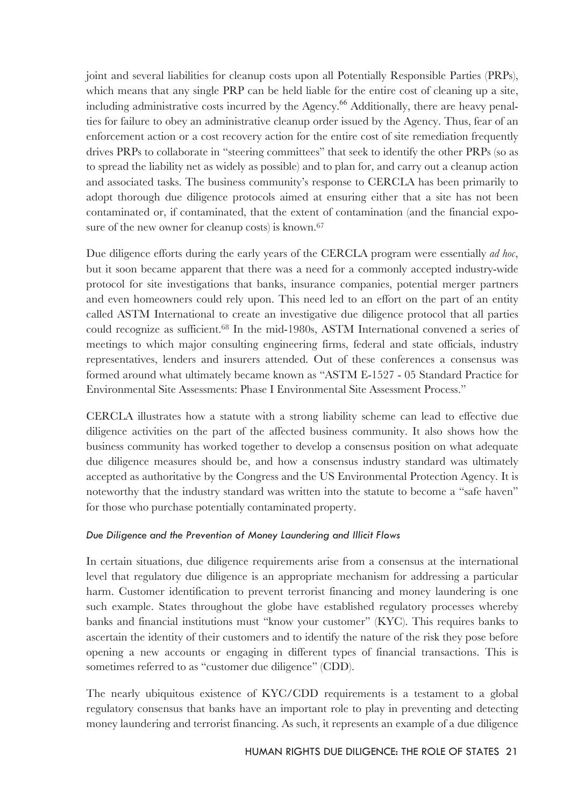joint and several liabilities for cleanup costs upon all Potentially Responsible Parties (PRPs), which means that any single PRP can be held liable for the entire cost of cleaning up a site, including administrative costs incurred by the Agency.<sup>66</sup> Additionally, there are heavy penalties for failure to obey an administrative cleanup order issued by the Agency. Thus, fear of an enforcement action or a cost recovery action for the entire cost of site remediation frequently drives PRPs to collaborate in "steering committees" that seek to identify the other PRPs (so as to spread the liability net as widely as possible) and to plan for, and carry out a cleanup action and associated tasks. The business community's response to CERCLA has been primarily to adopt thorough due diligence protocols aimed at ensuring either that a site has not been contaminated or, if contaminated, that the extent of contamination (and the financial exposure of the new owner for cleanup costs) is known.<sup>67</sup>

Due diligence efforts during the early years of the CERCLA program were essentially *ad hoc*, but it soon became apparent that there was a need for a commonly accepted industry-wide protocol for site investigations that banks, insurance companies, potential merger partners and even homeowners could rely upon. This need led to an effort on the part of an entity called ASTM International to create an investigative due diligence protocol that all parties could recognize as sufficient.<sup>68</sup> In the mid-1980s, ASTM International convened a series of meetings to which major consulting engineering firms, federal and state officials, industry representatives, lenders and insurers attended. Out of these conferences a consensus was formed around what ultimately became known as "ASTM E-1527 - 05 Standard Practice for Environmental Site Assessments: Phase I Environmental Site Assessment Process."

CERCLA illustrates how a statute with a strong liability scheme can lead to effective due diligence activities on the part of the affected business community. It also shows how the business community has worked together to develop a consensus position on what adequate due diligence measures should be, and how a consensus industry standard was ultimately accepted as authoritative by the Congress and the US Environmental Protection Agency. It is noteworthy that the industry standard was written into the statute to become a "safe haven" for those who purchase potentially contaminated property.

## *Due Diligence and the Prevention of Money Laundering and Illicit Flows*

In certain situations, due diligence requirements arise from a consensus at the international level that regulatory due diligence is an appropriate mechanism for addressing a particular harm. Customer identification to prevent terrorist financing and money laundering is one such example. States throughout the globe have established regulatory processes whereby banks and financial institutions must "know your customer" (KYC). This requires banks to ascertain the identity of their customers and to identify the nature of the risk they pose before opening a new accounts or engaging in different types of financial transactions. This is sometimes referred to as "customer due diligence" (CDD).

The nearly ubiquitous existence of KYC/CDD requirements is a testament to a global regulatory consensus that banks have an important role to play in preventing and detecting money laundering and terrorist financing. As such, it represents an example of a due diligence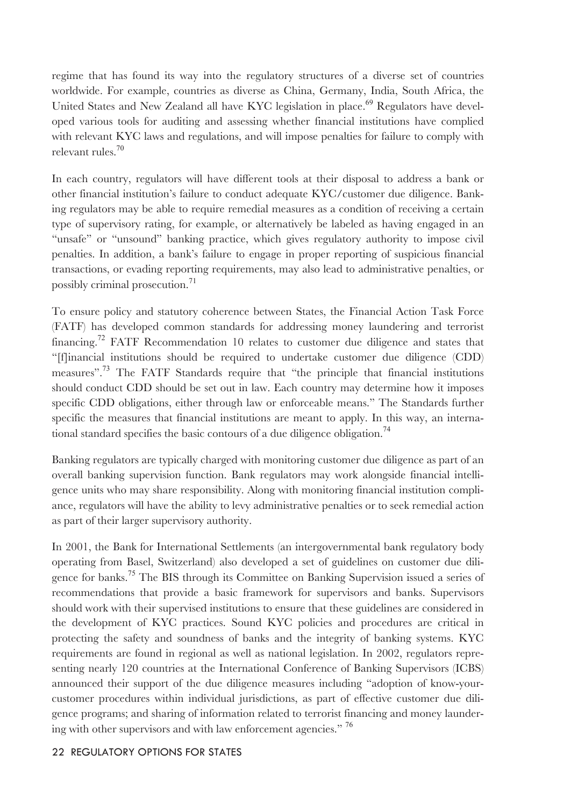regime that has found its way into the regulatory structures of a diverse set of countries worldwide. For example, countries as diverse as China, Germany, India, South Africa, the United States and New Zealand all have KYC legislation in place.<sup>69</sup> Regulators have developed various tools for auditing and assessing whether financial institutions have complied with relevant KYC laws and regulations, and will impose penalties for failure to comply with relevant rules.<sup>70</sup>

In each country, regulators will have different tools at their disposal to address a bank or other financial institution's failure to conduct adequate KYC/customer due diligence. Banking regulators may be able to require remedial measures as a condition of receiving a certain type of supervisory rating, for example, or alternatively be labeled as having engaged in an "unsafe" or "unsound" banking practice, which gives regulatory authority to impose civil penalties. In addition, a bank's failure to engage in proper reporting of suspicious financial transactions, or evading reporting requirements, may also lead to administrative penalties, or possibly criminal prosecution.<sup>71</sup>

To ensure policy and statutory coherence between States, the Financial Action Task Force (FATF) has developed common standards for addressing money laundering and terrorist financing.<sup>72</sup> FATF Recommendation 10 relates to customer due diligence and states that "[f]inancial institutions should be required to undertake customer due diligence (CDD) measures".<sup>73</sup> The FATF Standards require that "the principle that financial institutions should conduct CDD should be set out in law. Each country may determine how it imposes specific CDD obligations, either through law or enforceable means." The Standards further specific the measures that financial institutions are meant to apply. In this way, an international standard specifies the basic contours of a due diligence obligation.<sup>74</sup>

Banking regulators are typically charged with monitoring customer due diligence as part of an overall banking supervision function. Bank regulators may work alongside financial intelligence units who may share responsibility. Along with monitoring financial institution compliance, regulators will have the ability to levy administrative penalties or to seek remedial action as part of their larger supervisory authority.

In 2001, the Bank for International Settlements (an intergovernmental bank regulatory body operating from Basel, Switzerland) also developed a set of guidelines on customer due diligence for banks.<sup>75</sup> The BIS through its Committee on Banking Supervision issued a series of recommendations that provide a basic framework for supervisors and banks. Supervisors should work with their supervised institutions to ensure that these guidelines are considered in the development of KYC practices. Sound KYC policies and procedures are critical in protecting the safety and soundness of banks and the integrity of banking systems. KYC requirements are found in regional as well as national legislation. In 2002, regulators representing nearly 120 countries at the International Conference of Banking Supervisors (ICBS) announced their support of the due diligence measures including "adoption of know-yourcustomer procedures within individual jurisdictions, as part of effective customer due diligence programs; and sharing of information related to terrorist financing and money laundering with other supervisors and with law enforcement agencies." <sup>76</sup>

#### 22 REGULATORY OPTIONS FOR STATES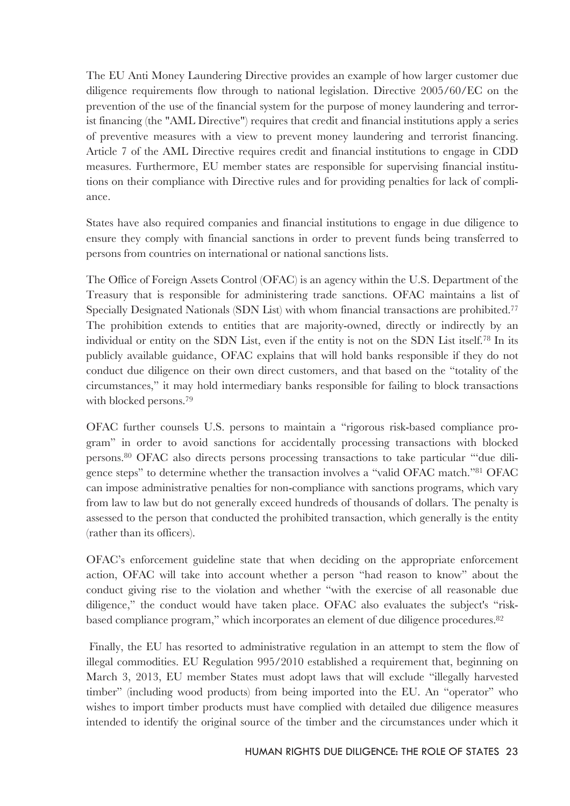The EU Anti Money Laundering Directive provides an example of how larger customer due diligence requirements flow through to national legislation. Directive 2005/60/EC on the prevention of the use of the financial system for the purpose of money laundering and terrorist financing (the "AML Directive") requires that credit and financial institutions apply a series of preventive measures with a view to prevent money laundering and terrorist financing. Article 7 of the AML Directive requires credit and financial institutions to engage in CDD measures. Furthermore, EU member states are responsible for supervising financial institutions on their compliance with Directive rules and for providing penalties for lack of compliance.

States have also required companies and financial institutions to engage in due diligence to ensure they comply with financial sanctions in order to prevent funds being transferred to persons from countries on international or national sanctions lists.

The Office of Foreign Assets Control (OFAC) is an agency within the U.S. Department of the Treasury that is responsible for administering trade sanctions. OFAC maintains a list of Specially Designated Nationals (SDN List) with whom financial transactions are prohibited.<sup>77</sup> The prohibition extends to entities that are majority-owned, directly or indirectly by an individual or entity on the SDN List, even if the entity is not on the SDN List itself.<sup>78</sup> In its publicly available guidance, OFAC explains that will hold banks responsible if they do not conduct due diligence on their own direct customers, and that based on the "totality of the circumstances," it may hold intermediary banks responsible for failing to block transactions with blocked persons.<sup>79</sup>

OFAC further counsels U.S. persons to maintain a "rigorous risk-based compliance program" in order to avoid sanctions for accidentally processing transactions with blocked persons.80 OFAC also directs persons processing transactions to take particular "'due diligence steps" to determine whether the transaction involves a "valid OFAC match."<sup>81</sup> OFAC can impose administrative penalties for non-compliance with sanctions programs, which vary from law to law but do not generally exceed hundreds of thousands of dollars. The penalty is assessed to the person that conducted the prohibited transaction, which generally is the entity (rather than its officers).

OFAC's enforcement guideline state that when deciding on the appropriate enforcement action, OFAC will take into account whether a person "had reason to know" about the conduct giving rise to the violation and whether "with the exercise of all reasonable due diligence," the conduct would have taken place. OFAC also evaluates the subject's "riskbased compliance program," which incorporates an element of due diligence procedures.<sup>82</sup>

 Finally, the EU has resorted to administrative regulation in an attempt to stem the flow of illegal commodities. EU Regulation 995/2010 established a requirement that, beginning on March 3, 2013, EU member States must adopt laws that will exclude "illegally harvested timber" (including wood products) from being imported into the EU. An "operator" who wishes to import timber products must have complied with detailed due diligence measures intended to identify the original source of the timber and the circumstances under which it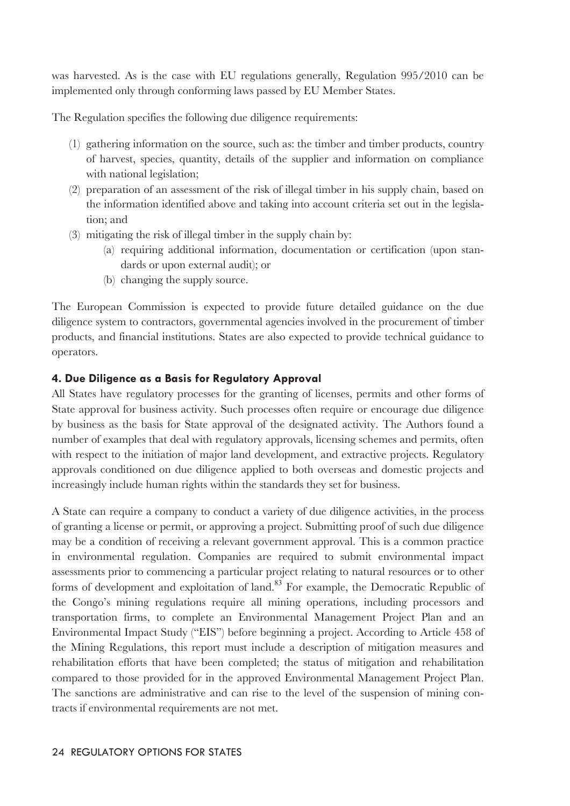was harvested. As is the case with EU regulations generally, Regulation 995/2010 can be implemented only through conforming laws passed by EU Member States.

The Regulation specifies the following due diligence requirements:

- (1) gathering information on the source, such as: the timber and timber products, country of harvest, species, quantity, details of the supplier and information on compliance with national legislation;
- (2) preparation of an assessment of the risk of illegal timber in his supply chain, based on the information identified above and taking into account criteria set out in the legislation; and
- (3) mitigating the risk of illegal timber in the supply chain by:
	- (a) requiring additional information, documentation or certification (upon standards or upon external audit); or
	- (b) changing the supply source.

The European Commission is expected to provide future detailed guidance on the due diligence system to contractors, governmental agencies involved in the procurement of timber products, and financial institutions. States are also expected to provide technical guidance to operators.

### **4. Due Diligence as a Basis for Regulatory Approval**

All States have regulatory processes for the granting of licenses, permits and other forms of State approval for business activity. Such processes often require or encourage due diligence by business as the basis for State approval of the designated activity. The Authors found a number of examples that deal with regulatory approvals, licensing schemes and permits, often with respect to the initiation of major land development, and extractive projects. Regulatory approvals conditioned on due diligence applied to both overseas and domestic projects and increasingly include human rights within the standards they set for business.

A State can require a company to conduct a variety of due diligence activities, in the process of granting a license or permit, or approving a project. Submitting proof of such due diligence may be a condition of receiving a relevant government approval. This is a common practice in environmental regulation. Companies are required to submit environmental impact assessments prior to commencing a particular project relating to natural resources or to other forms of development and exploitation of land.<sup>83</sup> For example, the Democratic Republic of the Congo's mining regulations require all mining operations, including processors and transportation firms, to complete an Environmental Management Project Plan and an Environmental Impact Study ("EIS") before beginning a project. According to Article 458 of the Mining Regulations, this report must include a description of mitigation measures and rehabilitation efforts that have been completed; the status of mitigation and rehabilitation compared to those provided for in the approved Environmental Management Project Plan. The sanctions are administrative and can rise to the level of the suspension of mining contracts if environmental requirements are not met.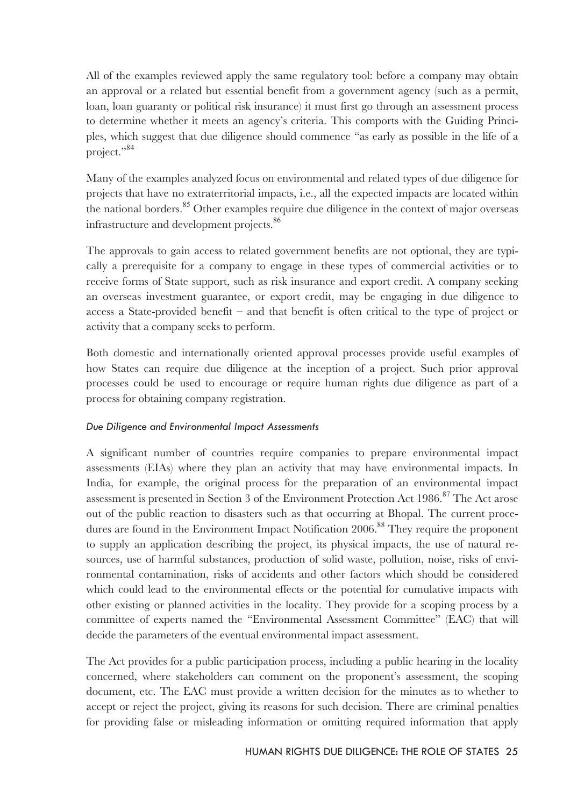All of the examples reviewed apply the same regulatory tool: before a company may obtain an approval or a related but essential benefit from a government agency (such as a permit, loan, loan guaranty or political risk insurance) it must first go through an assessment process to determine whether it meets an agency's criteria. This comports with the Guiding Principles, which suggest that due diligence should commence "as early as possible in the life of a project."<sup>84</sup>

Many of the examples analyzed focus on environmental and related types of due diligence for projects that have no extraterritorial impacts, i.e., all the expected impacts are located within the national borders.<sup>85</sup> Other examples require due diligence in the context of major overseas infrastructure and development projects. 86

The approvals to gain access to related government benefits are not optional, they are typically a prerequisite for a company to engage in these types of commercial activities or to receive forms of State support, such as risk insurance and export credit. A company seeking an overseas investment guarantee, or export credit, may be engaging in due diligence to access a State-provided benefit – and that benefit is often critical to the type of project or activity that a company seeks to perform.

Both domestic and internationally oriented approval processes provide useful examples of how States can require due diligence at the inception of a project. Such prior approval processes could be used to encourage or require human rights due diligence as part of a process for obtaining company registration.

## *Due Diligence and Environmental Impact Assessments*

A significant number of countries require companies to prepare environmental impact assessments (EIAs) where they plan an activity that may have environmental impacts. In India, for example, the original process for the preparation of an environmental impact assessment is presented in Section 3 of the Environment Protection Act 1986.<sup>87</sup> The Act arose out of the public reaction to disasters such as that occurring at Bhopal. The current procedures are found in the Environment Impact Notification 2006.<sup>88</sup> They require the proponent to supply an application describing the project, its physical impacts, the use of natural resources, use of harmful substances, production of solid waste, pollution, noise, risks of environmental contamination, risks of accidents and other factors which should be considered which could lead to the environmental effects or the potential for cumulative impacts with other existing or planned activities in the locality. They provide for a scoping process by a committee of experts named the "Environmental Assessment Committee" (EAC) that will decide the parameters of the eventual environmental impact assessment.

The Act provides for a public participation process, including a public hearing in the locality concerned, where stakeholders can comment on the proponent's assessment, the scoping document, etc. The EAC must provide a written decision for the minutes as to whether to accept or reject the project, giving its reasons for such decision. There are criminal penalties for providing false or misleading information or omitting required information that apply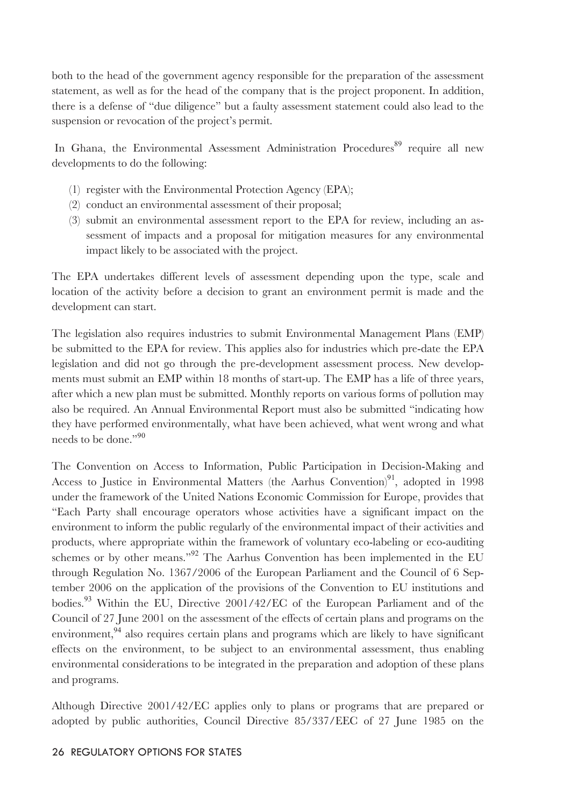both to the head of the government agency responsible for the preparation of the assessment statement, as well as for the head of the company that is the project proponent. In addition, there is a defense of "due diligence" but a faulty assessment statement could also lead to the suspension or revocation of the project's permit.

In Ghana, the Environmental Assessment Administration Procedures<sup>89</sup> require all new developments to do the following:

- (1) register with the Environmental Protection Agency (EPA);
- (2) conduct an environmental assessment of their proposal;
- (3) submit an environmental assessment report to the EPA for review, including an assessment of impacts and a proposal for mitigation measures for any environmental impact likely to be associated with the project.

The EPA undertakes different levels of assessment depending upon the type, scale and location of the activity before a decision to grant an environment permit is made and the development can start.

The legislation also requires industries to submit Environmental Management Plans (EMP) be submitted to the EPA for review. This applies also for industries which pre-date the EPA legislation and did not go through the pre-development assessment process. New developments must submit an EMP within 18 months of start-up. The EMP has a life of three years, after which a new plan must be submitted. Monthly reports on various forms of pollution may also be required. An Annual Environmental Report must also be submitted "indicating how they have performed environmentally, what have been achieved, what went wrong and what needs to be done."<sup>90</sup>

The Convention on Access to Information, Public Participation in Decision-Making and Access to Justice in Environmental Matters (the Aarhus Convention)<sup>91</sup>, adopted in 1998 under the framework of the United Nations Economic Commission for Europe, provides that "Each Party shall encourage operators whose activities have a significant impact on the environment to inform the public regularly of the environmental impact of their activities and products, where appropriate within the framework of voluntary eco-labeling or eco-auditing schemes or by other means."<sup>92</sup> The Aarhus Convention has been implemented in the EU through Regulation No. 1367/2006 of the European Parliament and the Council of 6 September 2006 on the application of the provisions of the Convention to EU institutions and bodies.<sup>93</sup> Within the EU, Directive 2001/42/EC of the European Parliament and of the Council of 27 June 2001 on the assessment of the effects of certain plans and programs on the environment, $^{94}$  also requires certain plans and programs which are likely to have significant effects on the environment, to be subject to an environmental assessment, thus enabling environmental considerations to be integrated in the preparation and adoption of these plans and programs.

Although Directive 2001/42/EC applies only to plans or programs that are prepared or adopted by public authorities, Council Directive 85/337/EEC of 27 June 1985 on the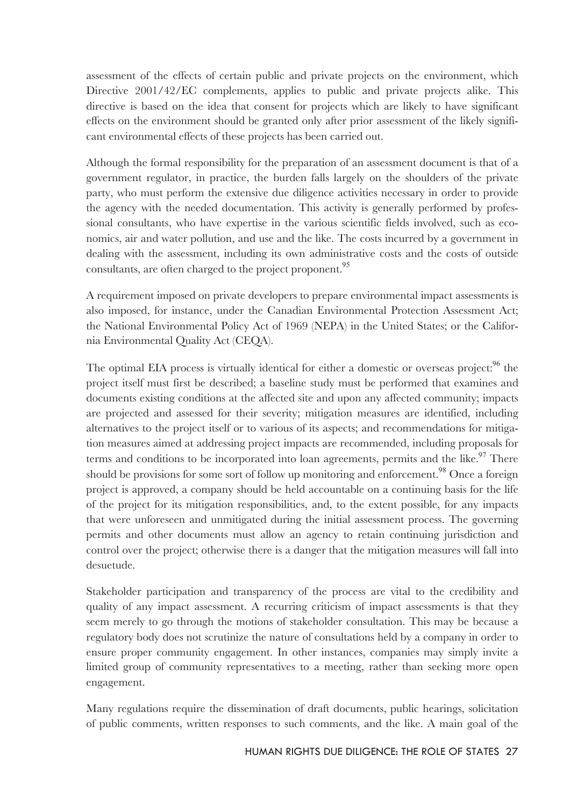assessment of the effects of certain public and private projects on the environment, which Directive 2001/42/EC complements, applies to public and private projects alike. This directive is based on the idea that consent for projects which are likely to have significant effects on the environment should be granted only after prior assessment of the likely significant environmental effects of these projects has been carried out.

Although the formal responsibility for the preparation of an assessment document is that of a government regulator, in practice, the burden falls largely on the shoulders of the private party, who must perform the extensive due diligence activities necessary in order to provide the agency with the needed documentation. This activity is generally performed by professional consultants, who have expertise in the various scientific fields involved, such as economics, air and water pollution, and use and the like. The costs incurred by a government in dealing with the assessment, including its own administrative costs and the costs of outside consultants, are often charged to the project proponent.<sup>95</sup>

A requirement imposed on private developers to prepare environmental impact assessments is also imposed, for instance, under the Canadian Environmental Protection Assessment Act; the National Environmental Policy Act of 1969 (NEPA) in the United States; or the California Environmental Quality Act (CEQA).

The optimal EIA process is virtually identical for either a domestic or overseas project:<sup>96</sup> the project itself must first be described; a baseline study must be performed that examines and documents existing conditions at the affected site and upon any affected community; impacts are projected and assessed for their severity; mitigation measures are identified, including alternatives to the project itself or to various of its aspects; and recommendations for mitigation measures aimed at addressing project impacts are recommended, including proposals for terms and conditions to be incorporated into loan agreements, permits and the like.<sup>97</sup> There should be provisions for some sort of follow up monitoring and enforcement.<sup>98</sup> Once a foreign project is approved, a company should be held accountable on a continuing basis for the life of the project for its mitigation responsibilities, and, to the extent possible, for any impacts that were unforeseen and unmitigated during the initial assessment process. The governing permits and other documents must allow an agency to retain continuing jurisdiction and control over the project; otherwise there is a danger that the mitigation measures will fall into desuetude.

Stakeholder participation and transparency of the process are vital to the credibility and quality of any impact assessment. A recurring criticism of impact assessments is that they seem merely to go through the motions of stakeholder consultation. This may be because a regulatory body does not scrutinize the nature of consultations held by a company in order to ensure proper community engagement. In other instances, companies may simply invite a limited group of community representatives to a meeting, rather than seeking more open engagement.

Many regulations require the dissemination of draft documents, public hearings, solicitation of public comments, written responses to such comments, and the like. A main goal of the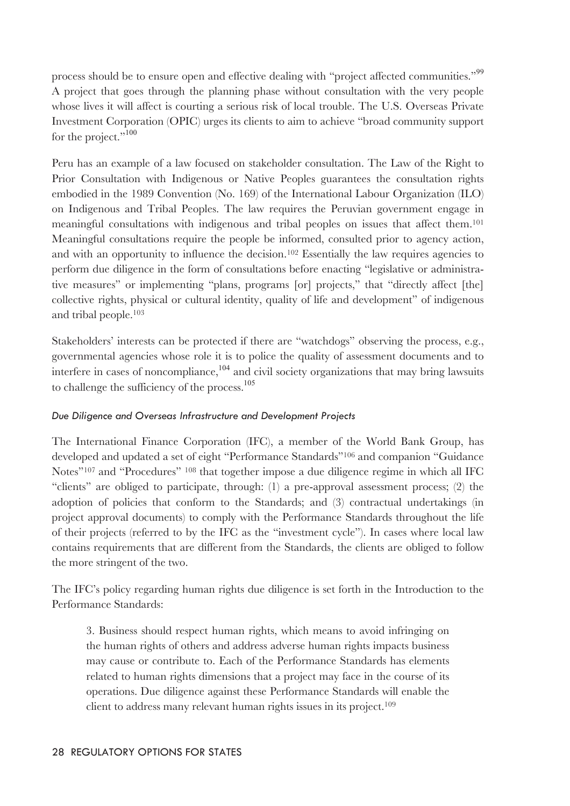process should be to ensure open and effective dealing with "project affected communities."<sup>99</sup> A project that goes through the planning phase without consultation with the very people whose lives it will affect is courting a serious risk of local trouble. The U.S. Overseas Private Investment Corporation (OPIC) urges its clients to aim to achieve "broad community support for the project."<sup>100</sup>

Peru has an example of a law focused on stakeholder consultation. The Law of the Right to Prior Consultation with Indigenous or Native Peoples guarantees the consultation rights embodied in the 1989 Convention (No. 169) of the International Labour Organization (ILO) on Indigenous and Tribal Peoples. The law requires the Peruvian government engage in meaningful consultations with indigenous and tribal peoples on issues that affect them.<sup>101</sup> Meaningful consultations require the people be informed, consulted prior to agency action, and with an opportunity to influence the decision.<sup>102</sup> Essentially the law requires agencies to perform due diligence in the form of consultations before enacting "legislative or administrative measures" or implementing "plans, programs [or] projects," that "directly affect [the] collective rights, physical or cultural identity, quality of life and development" of indigenous and tribal people.<sup>103</sup>

Stakeholders' interests can be protected if there are "watchdogs" observing the process, e.g., governmental agencies whose role it is to police the quality of assessment documents and to interfere in cases of noncompliance, $104$  and civil society organizations that may bring lawsuits to challenge the sufficiency of the process.<sup>105</sup>

## *Due Diligence and Overseas Infrastructure and Development Projects*

The International Finance Corporation (IFC), a member of the World Bank Group, has developed and updated a set of eight "Performance Standards"<sup>106</sup> and companion "Guidance Notes"<sup>107</sup> and "Procedures" <sup>108</sup> that together impose a due diligence regime in which all IFC "clients" are obliged to participate, through: (1) a pre-approval assessment process; (2) the adoption of policies that conform to the Standards; and (3) contractual undertakings (in project approval documents) to comply with the Performance Standards throughout the life of their projects (referred to by the IFC as the "investment cycle"). In cases where local law contains requirements that are different from the Standards, the clients are obliged to follow the more stringent of the two.

The IFC's policy regarding human rights due diligence is set forth in the Introduction to the Performance Standards:

3. Business should respect human rights, which means to avoid infringing on the human rights of others and address adverse human rights impacts business may cause or contribute to. Each of the Performance Standards has elements related to human rights dimensions that a project may face in the course of its operations. Due diligence against these Performance Standards will enable the client to address many relevant human rights issues in its project.<sup>109</sup>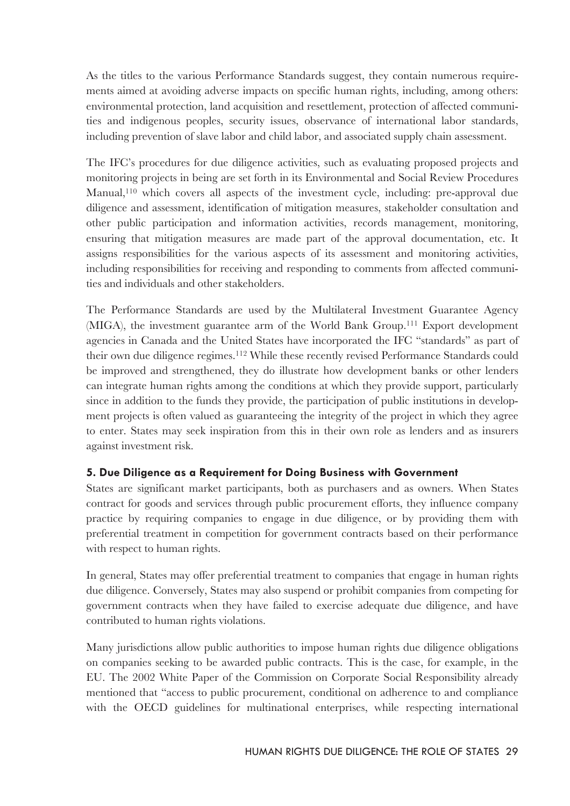As the titles to the various Performance Standards suggest, they contain numerous requirements aimed at avoiding adverse impacts on specific human rights, including, among others: environmental protection, land acquisition and resettlement, protection of affected communities and indigenous peoples, security issues, observance of international labor standards, including prevention of slave labor and child labor, and associated supply chain assessment.

The IFC's procedures for due diligence activities, such as evaluating proposed projects and monitoring projects in being are set forth in its Environmental and Social Review Procedures Manual,<sup>110</sup> which covers all aspects of the investment cycle, including: pre-approval due diligence and assessment, identification of mitigation measures, stakeholder consultation and other public participation and information activities, records management, monitoring, ensuring that mitigation measures are made part of the approval documentation, etc. It assigns responsibilities for the various aspects of its assessment and monitoring activities, including responsibilities for receiving and responding to comments from affected communities and individuals and other stakeholders.

The Performance Standards are used by the Multilateral Investment Guarantee Agency (MIGA), the investment guarantee arm of the World Bank Group.<sup>111</sup> Export development agencies in Canada and the United States have incorporated the IFC "standards" as part of their own due diligence regimes.<sup>112</sup> While these recently revised Performance Standards could be improved and strengthened, they do illustrate how development banks or other lenders can integrate human rights among the conditions at which they provide support, particularly since in addition to the funds they provide, the participation of public institutions in development projects is often valued as guaranteeing the integrity of the project in which they agree to enter. States may seek inspiration from this in their own role as lenders and as insurers against investment risk.

## **5. Due Diligence as a Requirement for Doing Business with Government**

States are significant market participants, both as purchasers and as owners. When States contract for goods and services through public procurement efforts, they influence company practice by requiring companies to engage in due diligence, or by providing them with preferential treatment in competition for government contracts based on their performance with respect to human rights.

In general, States may offer preferential treatment to companies that engage in human rights due diligence. Conversely, States may also suspend or prohibit companies from competing for government contracts when they have failed to exercise adequate due diligence, and have contributed to human rights violations.

Many jurisdictions allow public authorities to impose human rights due diligence obligations on companies seeking to be awarded public contracts. This is the case, for example, in the EU. The 2002 White Paper of the Commission on Corporate Social Responsibility already mentioned that "access to public procurement, conditional on adherence to and compliance with the OECD guidelines for multinational enterprises, while respecting international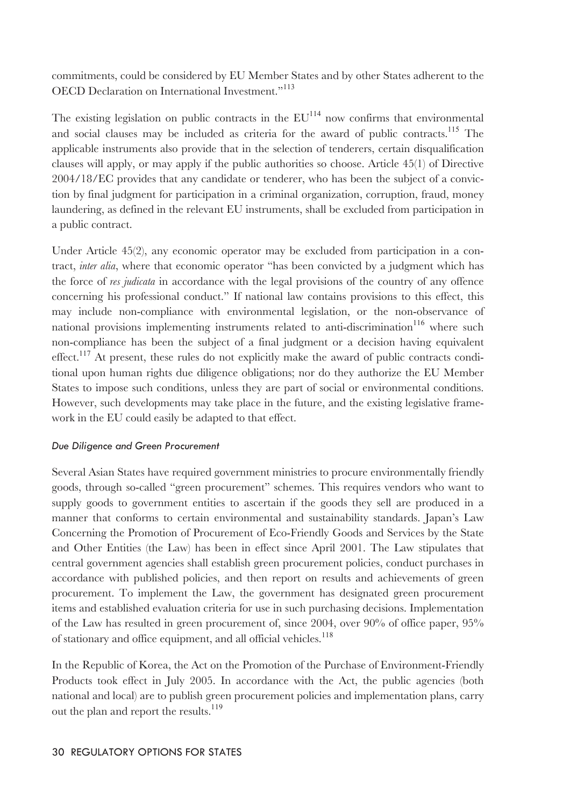commitments, could be considered by EU Member States and by other States adherent to the OECD Declaration on International Investment."<sup>113</sup>

The existing legislation on public contracts in the  $EU^{114}$  now confirms that environmental and social clauses may be included as criteria for the award of public contracts.<sup>115</sup> The applicable instruments also provide that in the selection of tenderers, certain disqualification clauses will apply, or may apply if the public authorities so choose. Article 45(1) of Directive 2004/18/EC provides that any candidate or tenderer, who has been the subject of a conviction by final judgment for participation in a criminal organization, corruption, fraud, money laundering, as defined in the relevant EU instruments, shall be excluded from participation in a public contract.

Under Article 45(2), any economic operator may be excluded from participation in a contract, *inter alia*, where that economic operator "has been convicted by a judgment which has the force of *res judicata* in accordance with the legal provisions of the country of any offence concerning his professional conduct." If national law contains provisions to this effect, this may include non-compliance with environmental legislation, or the non-observance of national provisions implementing instruments related to anti-discrimination<sup>116</sup> where such non-compliance has been the subject of a final judgment or a decision having equivalent effect.<sup>117</sup> At present, these rules do not explicitly make the award of public contracts conditional upon human rights due diligence obligations; nor do they authorize the EU Member States to impose such conditions, unless they are part of social or environmental conditions. However, such developments may take place in the future, and the existing legislative framework in the EU could easily be adapted to that effect.

#### *Due Diligence and Green Procurement*

Several Asian States have required government ministries to procure environmentally friendly goods, through so-called "green procurement" schemes. This requires vendors who want to supply goods to government entities to ascertain if the goods they sell are produced in a manner that conforms to certain environmental and sustainability standards. Japan's Law Concerning the Promotion of Procurement of Eco-Friendly Goods and Services by the State and Other Entities (the Law) has been in effect since April 2001. The Law stipulates that central government agencies shall establish green procurement policies, conduct purchases in accordance with published policies, and then report on results and achievements of green procurement. To implement the Law, the government has designated green procurement items and established evaluation criteria for use in such purchasing decisions. Implementation of the Law has resulted in green procurement of, since 2004, over 90% of office paper, 95% of stationary and office equipment, and all official vehicles.<sup>118</sup>

In the Republic of Korea, the Act on the Promotion of the Purchase of Environment-Friendly Products took effect in July 2005. In accordance with the Act, the public agencies (both national and local) are to publish green procurement policies and implementation plans, carry out the plan and report the results.<sup>119</sup>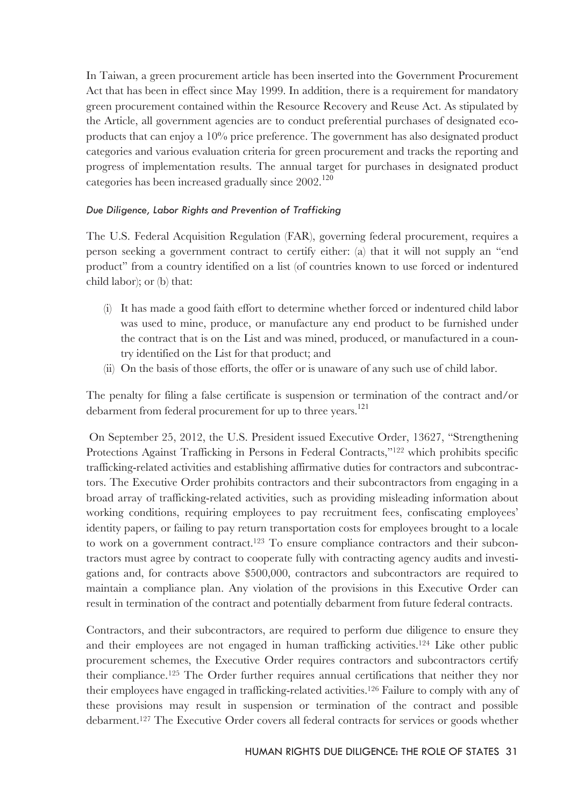In Taiwan, a green procurement article has been inserted into the Government Procurement Act that has been in effect since May 1999. In addition, there is a requirement for mandatory green procurement contained within the Resource Recovery and Reuse Act. As stipulated by the Article, all government agencies are to conduct preferential purchases of designated ecoproducts that can enjoy a 10% price preference. The government has also designated product categories and various evaluation criteria for green procurement and tracks the reporting and progress of implementation results. The annual target for purchases in designated product categories has been increased gradually since 2002.<sup>120</sup>

#### *Due Diligence, Labor Rights and Prevention of Trafficking*

The U.S. Federal Acquisition Regulation (FAR), governing federal procurement, requires a person seeking a government contract to certify either: (a) that it will not supply an "end product" from a country identified on a list (of countries known to use forced or indentured child labor); or (b) that:

- (i) It has made a good faith effort to determine whether forced or indentured child labor was used to mine, produce, or manufacture any end product to be furnished under the contract that is on the List and was mined, produced, or manufactured in a country identified on the List for that product; and
- (ii) On the basis of those efforts, the offer or is unaware of any such use of child labor.

The penalty for filing a false certificate is suspension or termination of the contract and/or debarment from federal procurement for up to three years.<sup>121</sup>

 On September 25, 2012, the U.S. President issued Executive Order, 13627, "Strengthening Protections Against Trafficking in Persons in Federal Contracts,"<sup>122</sup> which prohibits specific trafficking-related activities and establishing affirmative duties for contractors and subcontractors. The Executive Order prohibits contractors and their subcontractors from engaging in a broad array of trafficking-related activities, such as providing misleading information about working conditions, requiring employees to pay recruitment fees, confiscating employees' identity papers, or failing to pay return transportation costs for employees brought to a locale to work on a government contract.<sup>123</sup> To ensure compliance contractors and their subcontractors must agree by contract to cooperate fully with contracting agency audits and investigations and, for contracts above \$500,000, contractors and subcontractors are required to maintain a compliance plan. Any violation of the provisions in this Executive Order can result in termination of the contract and potentially debarment from future federal contracts.

Contractors, and their subcontractors, are required to perform due diligence to ensure they and their employees are not engaged in human trafficking activities.<sup>124</sup> Like other public procurement schemes, the Executive Order requires contractors and subcontractors certify their compliance.<sup>125</sup> The Order further requires annual certifications that neither they nor their employees have engaged in trafficking-related activities.<sup>126</sup> Failure to comply with any of these provisions may result in suspension or termination of the contract and possible debarment.127 The Executive Order covers all federal contracts for services or goods whether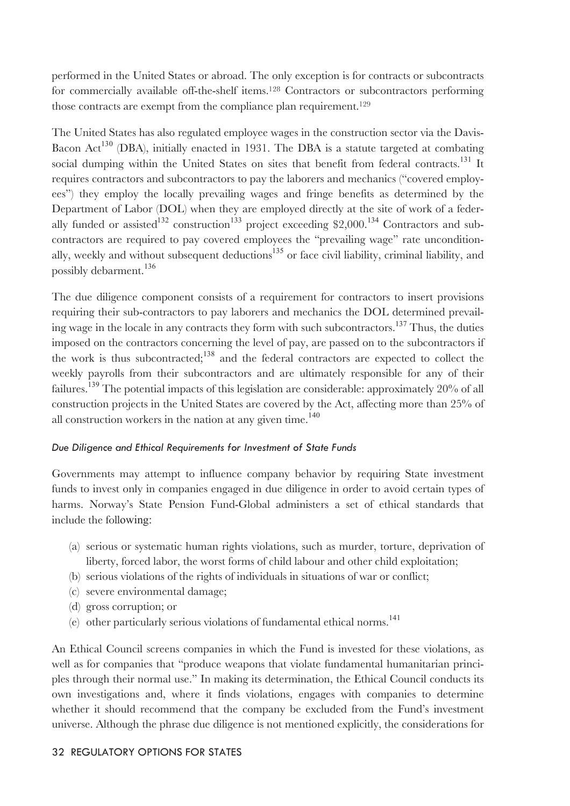performed in the United States or abroad. The only exception is for contracts or subcontracts for commercially available off-the-shelf items.<sup>128</sup> Contractors or subcontractors performing those contracts are exempt from the compliance plan requirement.<sup>129</sup>

The United States has also regulated employee wages in the construction sector via the Davis-Bacon Act<sup>130</sup> (DBA), initially enacted in 1931. The DBA is a statute targeted at combating social dumping within the United States on sites that benefit from federal contracts.<sup>131</sup> It requires contractors and subcontractors to pay the laborers and mechanics ("covered employees") they employ the locally prevailing wages and fringe benefits as determined by the Department of Labor (DOL) when they are employed directly at the site of work of a federally funded or assisted<sup>132</sup> construction<sup>133</sup> project exceeding \$2,000.<sup>134</sup> Contractors and subcontractors are required to pay covered employees the "prevailing wage" rate unconditionally, weekly and without subsequent deductions<sup>135</sup> or face civil liability, criminal liability, and possibly debarment.<sup>136</sup>

The due diligence component consists of a requirement for contractors to insert provisions requiring their sub-contractors to pay laborers and mechanics the DOL determined prevailing wage in the locale in any contracts they form with such subcontractors.<sup>137</sup> Thus, the duties imposed on the contractors concerning the level of pay, are passed on to the subcontractors if the work is thus subcontracted; $138$  and the federal contractors are expected to collect the weekly payrolls from their subcontractors and are ultimately responsible for any of their failures.<sup>139</sup> The potential impacts of this legislation are considerable: approximately 20% of all construction projects in the United States are covered by the Act, affecting more than 25% of all construction workers in the nation at any given time.<sup>140</sup>

#### *Due Diligence and Ethical Requirements for Investment of State Funds*

Governments may attempt to influence company behavior by requiring State investment funds to invest only in companies engaged in due diligence in order to avoid certain types of harms. Norway's State Pension Fund-Global administers a set of ethical standards that include the following:

- (a) serious or systematic human rights violations, such as murder, torture, deprivation of liberty, forced labor, the worst forms of child labour and other child exploitation;
- (b) serious violations of the rights of individuals in situations of war or conflict;
- (c) severe environmental damage;
- (d) gross corruption; or
- (e) other particularly serious violations of fundamental ethical norms.<sup>141</sup>

An Ethical Council screens companies in which the Fund is invested for these violations, as well as for companies that "produce weapons that violate fundamental humanitarian principles through their normal use." In making its determination, the Ethical Council conducts its own investigations and, where it finds violations, engages with companies to determine whether it should recommend that the company be excluded from the Fund's investment universe. Although the phrase due diligence is not mentioned explicitly, the considerations for

#### 32 REGULATORY OPTIONS FOR STATES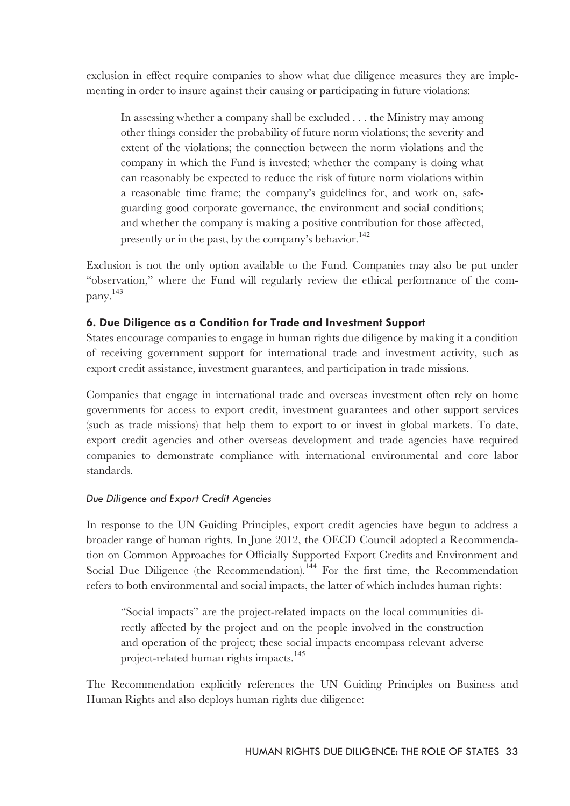exclusion in effect require companies to show what due diligence measures they are implementing in order to insure against their causing or participating in future violations:

In assessing whether a company shall be excluded . . . the Ministry may among other things consider the probability of future norm violations; the severity and extent of the violations; the connection between the norm violations and the company in which the Fund is invested; whether the company is doing what can reasonably be expected to reduce the risk of future norm violations within a reasonable time frame; the company's guidelines for, and work on, safeguarding good corporate governance, the environment and social conditions; and whether the company is making a positive contribution for those affected, presently or in the past, by the company's behavior.<sup>142</sup>

Exclusion is not the only option available to the Fund. Companies may also be put under "observation," where the Fund will regularly review the ethical performance of the company. 143

## **6. Due Diligence as a Condition for Trade and Investment Support**

States encourage companies to engage in human rights due diligence by making it a condition of receiving government support for international trade and investment activity, such as export credit assistance, investment guarantees, and participation in trade missions.

Companies that engage in international trade and overseas investment often rely on home governments for access to export credit, investment guarantees and other support services (such as trade missions) that help them to export to or invest in global markets. To date, export credit agencies and other overseas development and trade agencies have required companies to demonstrate compliance with international environmental and core labor standards.

## *Due Diligence and Export Credit Agencies*

In response to the UN Guiding Principles, export credit agencies have begun to address a broader range of human rights. In June 2012, the OECD Council adopted a Recommendation on Common Approaches for Officially Supported Export Credits and Environment and Social Due Diligence (the Recommendation).<sup>144</sup> For the first time, the Recommendation refers to both environmental and social impacts, the latter of which includes human rights:

"Social impacts" are the project-related impacts on the local communities directly affected by the project and on the people involved in the construction and operation of the project; these social impacts encompass relevant adverse project-related human rights impacts.<sup>145</sup>

The Recommendation explicitly references the UN Guiding Principles on Business and Human Rights and also deploys human rights due diligence: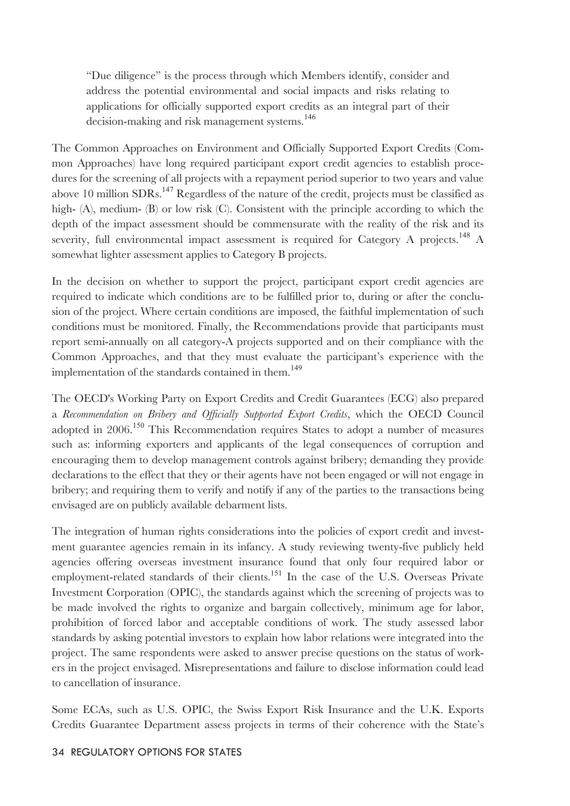"Due diligence" is the process through which Members identify, consider and address the potential environmental and social impacts and risks relating to applications for officially supported export credits as an integral part of their decision-making and risk management systems.<sup>146</sup>

The Common Approaches on Environment and Officially Supported Export Credits (Common Approaches) have long required participant export credit agencies to establish procedures for the screening of all projects with a repayment period superior to two years and value above 10 million  $SDRs.$ <sup>147</sup> Regardless of the nature of the credit, projects must be classified as high- (A), medium- (B) or low risk (C). Consistent with the principle according to which the depth of the impact assessment should be commensurate with the reality of the risk and its severity, full environmental impact assessment is required for Category A projects.<sup>148</sup> A somewhat lighter assessment applies to Category B projects.

In the decision on whether to support the project, participant export credit agencies are required to indicate which conditions are to be fulfilled prior to, during or after the conclusion of the project. Where certain conditions are imposed, the faithful implementation of such conditions must be monitored. Finally, the Recommendations provide that participants must report semi-annually on all category-A projects supported and on their compliance with the Common Approaches, and that they must evaluate the participant's experience with the implementation of the standards contained in them.<sup>149</sup>

The OECD's Working Party on Export Credits and Credit Guarantees (ECG) also prepared a *Recommendation on Bribery and Officially Supported Export Credits*, which the OECD Council adopted in 2006.<sup>150</sup> This Recommendation requires States to adopt a number of measures such as: informing exporters and applicants of the legal consequences of corruption and encouraging them to develop management controls against bribery; demanding they provide declarations to the effect that they or their agents have not been engaged or will not engage in bribery; and requiring them to verify and notify if any of the parties to the transactions being envisaged are on publicly available debarment lists.

The integration of human rights considerations into the policies of export credit and investment guarantee agencies remain in its infancy. A study reviewing twenty-five publicly held agencies offering overseas investment insurance found that only four required labor or employment-related standards of their clients.<sup>151</sup> In the case of the U.S. Overseas Private Investment Corporation (OPIC), the standards against which the screening of projects was to be made involved the rights to organize and bargain collectively, minimum age for labor, prohibition of forced labor and acceptable conditions of work. The study assessed labor standards by asking potential investors to explain how labor relations were integrated into the project. The same respondents were asked to answer precise questions on the status of workers in the project envisaged. Misrepresentations and failure to disclose information could lead to cancellation of insurance.

Some ECAs, such as U.S. OPIC, the Swiss Export Risk Insurance and the U.K. Exports Credits Guarantee Department assess projects in terms of their coherence with the State's

#### 34 REGULATORY OPTIONS FOR STATES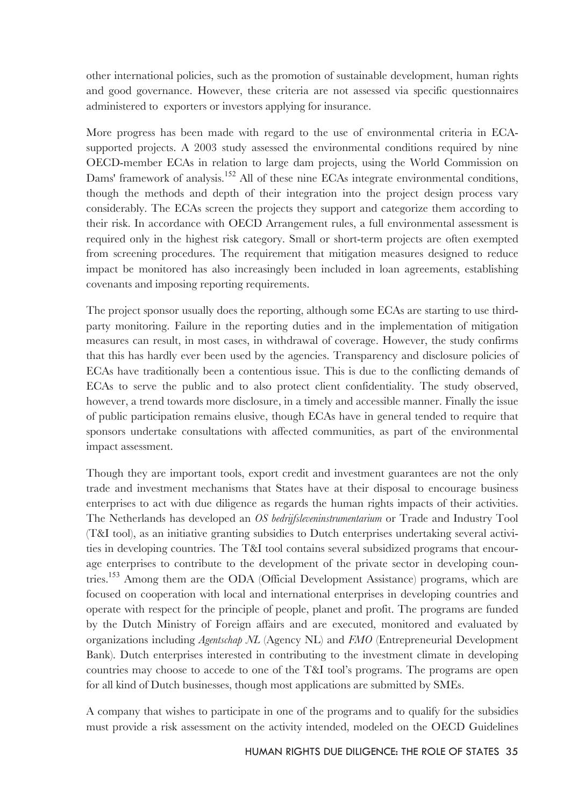other international policies, such as the promotion of sustainable development, human rights and good governance. However, these criteria are not assessed via specific questionnaires administered to exporters or investors applying for insurance.

More progress has been made with regard to the use of environmental criteria in ECAsupported projects. A 2003 study assessed the environmental conditions required by nine OECD-member ECAs in relation to large dam projects, using the World Commission on Dams' framework of analysis.<sup>152</sup> All of these nine ECAs integrate environmental conditions, though the methods and depth of their integration into the project design process vary considerably. The ECAs screen the projects they support and categorize them according to their risk. In accordance with OECD Arrangement rules, a full environmental assessment is required only in the highest risk category. Small or short-term projects are often exempted from screening procedures. The requirement that mitigation measures designed to reduce impact be monitored has also increasingly been included in loan agreements, establishing covenants and imposing reporting requirements.

The project sponsor usually does the reporting, although some ECAs are starting to use thirdparty monitoring. Failure in the reporting duties and in the implementation of mitigation measures can result, in most cases, in withdrawal of coverage. However, the study confirms that this has hardly ever been used by the agencies. Transparency and disclosure policies of ECAs have traditionally been a contentious issue. This is due to the conflicting demands of ECAs to serve the public and to also protect client confidentiality. The study observed, however, a trend towards more disclosure, in a timely and accessible manner. Finally the issue of public participation remains elusive, though ECAs have in general tended to require that sponsors undertake consultations with affected communities, as part of the environmental impact assessment.

Though they are important tools, export credit and investment guarantees are not the only trade and investment mechanisms that States have at their disposal to encourage business enterprises to act with due diligence as regards the human rights impacts of their activities. The Netherlands has developed an *OS bedrijfsleveninstrumentarium* or Trade and Industry Tool (T&I tool), as an initiative granting subsidies to Dutch enterprises undertaking several activities in developing countries. The T&I tool contains several subsidized programs that encourage enterprises to contribute to the development of the private sector in developing countries.<sup>153</sup> Among them are the ODA (Official Development Assistance) programs, which are focused on cooperation with local and international enterprises in developing countries and operate with respect for the principle of people, planet and profit. The programs are funded by the Dutch Ministry of Foreign affairs and are executed, monitored and evaluated by organizations including *Agentschap NL* (Agency NL) and *FMO* (Entrepreneurial Development Bank). Dutch enterprises interested in contributing to the investment climate in developing countries may choose to accede to one of the T&I tool's programs. The programs are open for all kind of Dutch businesses, though most applications are submitted by SMEs.

A company that wishes to participate in one of the programs and to qualify for the subsidies must provide a risk assessment on the activity intended, modeled on the OECD Guidelines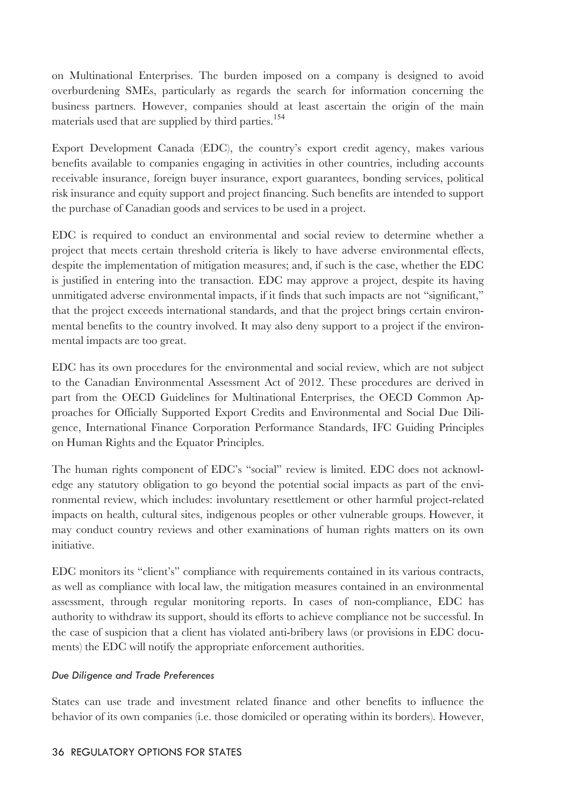on Multinational Enterprises. The burden imposed on a company is designed to avoid overburdening SMEs, particularly as regards the search for information concerning the business partners. However, companies should at least ascertain the origin of the main materials used that are supplied by third parties.<sup>154</sup>

Export Development Canada (EDC), the country's export credit agency, makes various benefits available to companies engaging in activities in other countries, including accounts receivable insurance, foreign buyer insurance, export guarantees, bonding services, political risk insurance and equity support and project financing. Such benefits are intended to support the purchase of Canadian goods and services to be used in a project.

EDC is required to conduct an environmental and social review to determine whether a project that meets certain threshold criteria is likely to have adverse environmental effects, despite the implementation of mitigation measures; and, if such is the case, whether the EDC is justified in entering into the transaction. EDC may approve a project, despite its having unmitigated adverse environmental impacts, if it finds that such impacts are not "significant," that the project exceeds international standards, and that the project brings certain environmental benefits to the country involved. It may also deny support to a project if the environmental impacts are too great.

EDC has its own procedures for the environmental and social review, which are not subject to the Canadian Environmental Assessment Act of 2012. These procedures are derived in part from the OECD Guidelines for Multinational Enterprises, the OECD Common Approaches for Officially Supported Export Credits and Environmental and Social Due Diligence, International Finance Corporation Performance Standards, IFC Guiding Principles on Human Rights and the Equator Principles.

The human rights component of EDC's "social" review is limited. EDC does not acknowledge any statutory obligation to go beyond the potential social impacts as part of the environmental review, which includes: involuntary resettlement or other harmful project-related impacts on health, cultural sites, indigenous peoples or other vulnerable groups. However, it may conduct country reviews and other examinations of human rights matters on its own initiative.

EDC monitors its "client's" compliance with requirements contained in its various contracts, as well as compliance with local law, the mitigation measures contained in an environmental assessment, through regular monitoring reports. In cases of non-compliance, EDC has authority to withdraw its support, should its efforts to achieve compliance not be successful. In the case of suspicion that a client has violated anti-bribery laws (or provisions in EDC documents) the EDC will notify the appropriate enforcement authorities.

#### *Due Diligence and Trade Preferences*

States can use trade and investment related finance and other benefits to influence the behavior of its own companies (i.e. those domiciled or operating within its borders). However,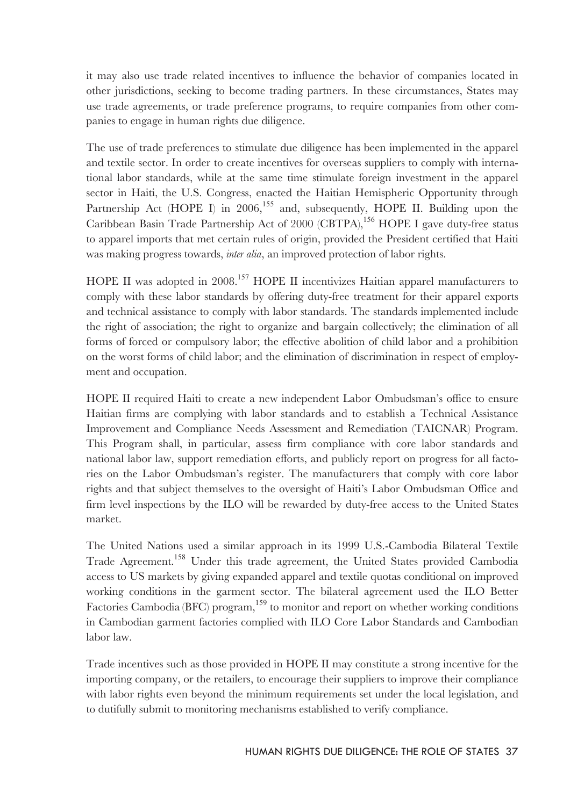it may also use trade related incentives to influence the behavior of companies located in other jurisdictions, seeking to become trading partners. In these circumstances, States may use trade agreements, or trade preference programs, to require companies from other companies to engage in human rights due diligence.

The use of trade preferences to stimulate due diligence has been implemented in the apparel and textile sector. In order to create incentives for overseas suppliers to comply with international labor standards, while at the same time stimulate foreign investment in the apparel sector in Haiti, the U.S. Congress, enacted the Haitian Hemispheric Opportunity through Partnership Act (HOPE I) in 2006,<sup>155</sup> and, subsequently, HOPE II. Building upon the Caribbean Basin Trade Partnership Act of 2000 (CBTPA),<sup>156</sup> HOPE I gave duty-free status to apparel imports that met certain rules of origin, provided the President certified that Haiti was making progress towards, *inter alia*, an improved protection of labor rights.

HOPE II was adopted in 2008.<sup>157</sup> HOPE II incentivizes Haitian apparel manufacturers to comply with these labor standards by offering duty-free treatment for their apparel exports and technical assistance to comply with labor standards. The standards implemented include the right of association; the right to organize and bargain collectively; the elimination of all forms of forced or compulsory labor; the effective abolition of child labor and a prohibition on the worst forms of child labor; and the elimination of discrimination in respect of employment and occupation.

HOPE II required Haiti to create a new independent Labor Ombudsman's office to ensure Haitian firms are complying with labor standards and to establish a Technical Assistance Improvement and Compliance Needs Assessment and Remediation (TAICNAR) Program. This Program shall, in particular, assess firm compliance with core labor standards and national labor law, support remediation efforts, and publicly report on progress for all factories on the Labor Ombudsman's register. The manufacturers that comply with core labor rights and that subject themselves to the oversight of Haiti's Labor Ombudsman Office and firm level inspections by the ILO will be rewarded by duty-free access to the United States market.

The United Nations used a similar approach in its 1999 U.S.-Cambodia Bilateral Textile Trade Agreement.<sup>158</sup> Under this trade agreement, the United States provided Cambodia access to US markets by giving expanded apparel and textile quotas conditional on improved working conditions in the garment sector. The bilateral agreement used the ILO Better Factories Cambodia (BFC) program,<sup>159</sup> to monitor and report on whether working conditions in Cambodian garment factories complied with ILO Core Labor Standards and Cambodian labor law.

Trade incentives such as those provided in HOPE II may constitute a strong incentive for the importing company, or the retailers, to encourage their suppliers to improve their compliance with labor rights even beyond the minimum requirements set under the local legislation, and to dutifully submit to monitoring mechanisms established to verify compliance.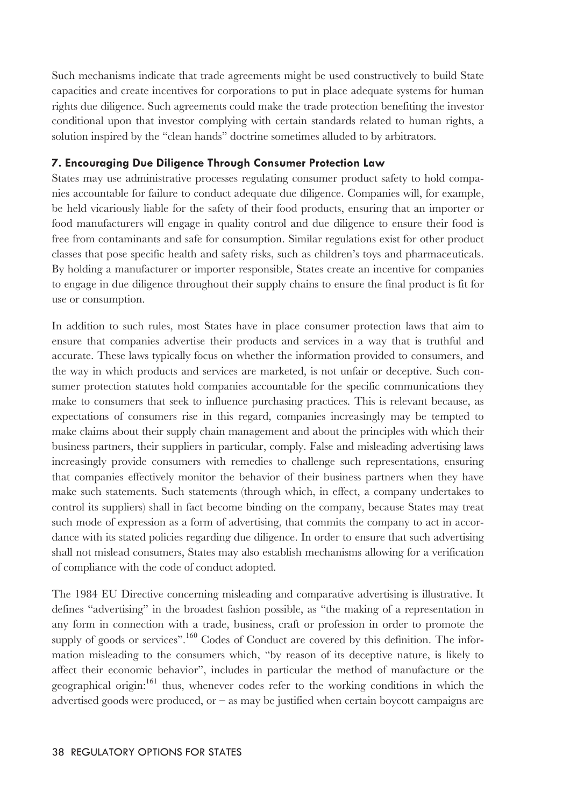Such mechanisms indicate that trade agreements might be used constructively to build State capacities and create incentives for corporations to put in place adequate systems for human rights due diligence. Such agreements could make the trade protection benefiting the investor conditional upon that investor complying with certain standards related to human rights, a solution inspired by the "clean hands" doctrine sometimes alluded to by arbitrators.

## **7. Encouraging Due Diligence Through Consumer Protection Law**

States may use administrative processes regulating consumer product safety to hold companies accountable for failure to conduct adequate due diligence. Companies will, for example, be held vicariously liable for the safety of their food products, ensuring that an importer or food manufacturers will engage in quality control and due diligence to ensure their food is free from contaminants and safe for consumption. Similar regulations exist for other product classes that pose specific health and safety risks, such as children's toys and pharmaceuticals. By holding a manufacturer or importer responsible, States create an incentive for companies to engage in due diligence throughout their supply chains to ensure the final product is fit for use or consumption.

In addition to such rules, most States have in place consumer protection laws that aim to ensure that companies advertise their products and services in a way that is truthful and accurate. These laws typically focus on whether the information provided to consumers, and the way in which products and services are marketed, is not unfair or deceptive. Such consumer protection statutes hold companies accountable for the specific communications they make to consumers that seek to influence purchasing practices. This is relevant because, as expectations of consumers rise in this regard, companies increasingly may be tempted to make claims about their supply chain management and about the principles with which their business partners, their suppliers in particular, comply. False and misleading advertising laws increasingly provide consumers with remedies to challenge such representations, ensuring that companies effectively monitor the behavior of their business partners when they have make such statements. Such statements (through which, in effect, a company undertakes to control its suppliers) shall in fact become binding on the company, because States may treat such mode of expression as a form of advertising, that commits the company to act in accordance with its stated policies regarding due diligence. In order to ensure that such advertising shall not mislead consumers, States may also establish mechanisms allowing for a verification of compliance with the code of conduct adopted.

The 1984 EU Directive concerning misleading and comparative advertising is illustrative. It defines "advertising" in the broadest fashion possible, as "the making of a representation in any form in connection with a trade, business, craft or profession in order to promote the supply of goods or services".<sup>160</sup> Codes of Conduct are covered by this definition. The information misleading to the consumers which, "by reason of its deceptive nature, is likely to affect their economic behavior", includes in particular the method of manufacture or the geographical origin:<sup>161</sup> thus, whenever codes refer to the working conditions in which the advertised goods were produced, or  $-$  as may be justified when certain boycott campaigns are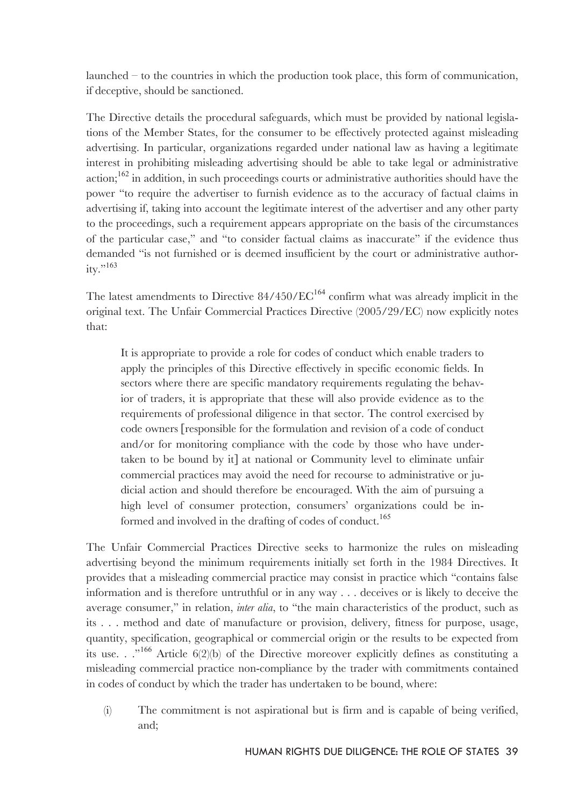launched – to the countries in which the production took place, this form of communication, if deceptive, should be sanctioned.

The Directive details the procedural safeguards, which must be provided by national legislations of the Member States, for the consumer to be effectively protected against misleading advertising. In particular, organizations regarded under national law as having a legitimate interest in prohibiting misleading advertising should be able to take legal or administrative action;<sup>162</sup> in addition, in such proceedings courts or administrative authorities should have the power "to require the advertiser to furnish evidence as to the accuracy of factual claims in advertising if, taking into account the legitimate interest of the advertiser and any other party to the proceedings, such a requirement appears appropriate on the basis of the circumstances of the particular case," and "to consider factual claims as inaccurate" if the evidence thus demanded "is not furnished or is deemed insufficient by the court or administrative authority."<sup>163</sup>

The latest amendments to Directive  $84/450/EC^{164}$  confirm what was already implicit in the original text. The Unfair Commercial Practices Directive (2005/29/EC) now explicitly notes that:

It is appropriate to provide a role for codes of conduct which enable traders to apply the principles of this Directive effectively in specific economic fields. In sectors where there are specific mandatory requirements regulating the behavior of traders, it is appropriate that these will also provide evidence as to the requirements of professional diligence in that sector. The control exercised by code owners [responsible for the formulation and revision of a code of conduct and/or for monitoring compliance with the code by those who have undertaken to be bound by it] at national or Community level to eliminate unfair commercial practices may avoid the need for recourse to administrative or judicial action and should therefore be encouraged. With the aim of pursuing a high level of consumer protection, consumers' organizations could be informed and involved in the drafting of codes of conduct.<sup>165</sup>

The Unfair Commercial Practices Directive seeks to harmonize the rules on misleading advertising beyond the minimum requirements initially set forth in the 1984 Directives. It provides that a misleading commercial practice may consist in practice which "contains false information and is therefore untruthful or in any way . . . deceives or is likely to deceive the average consumer," in relation, *inter alia*, to "the main characteristics of the product, such as its . . . method and date of manufacture or provision, delivery, fitness for purpose, usage, quantity, specification, geographical or commercial origin or the results to be expected from its use. . .<sup>"166</sup> Article 6(2)(b) of the Directive moreover explicitly defines as constituting a misleading commercial practice non-compliance by the trader with commitments contained in codes of conduct by which the trader has undertaken to be bound, where:

(i) The commitment is not aspirational but is firm and is capable of being verified, and;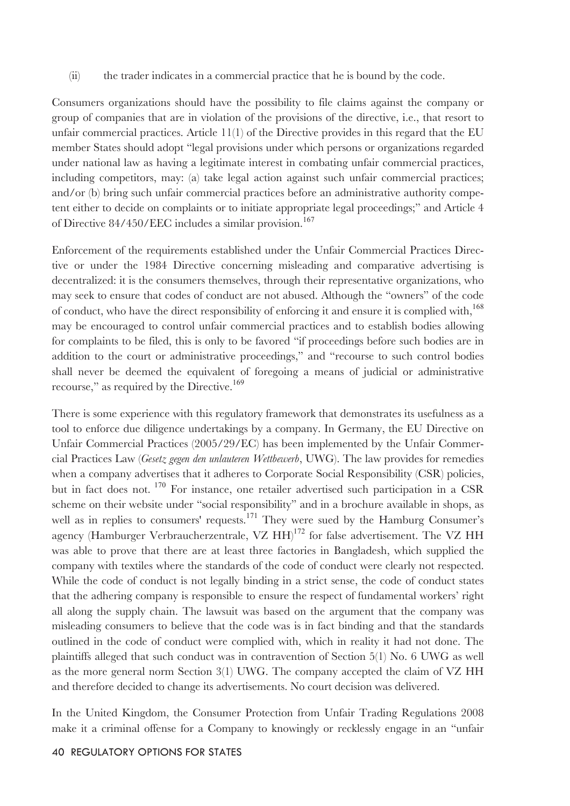(ii) the trader indicates in a commercial practice that he is bound by the code.

Consumers organizations should have the possibility to file claims against the company or group of companies that are in violation of the provisions of the directive, i.e., that resort to unfair commercial practices. Article 11(1) of the Directive provides in this regard that the EU member States should adopt "legal provisions under which persons or organizations regarded under national law as having a legitimate interest in combating unfair commercial practices, including competitors, may: (a) take legal action against such unfair commercial practices; and/or (b) bring such unfair commercial practices before an administrative authority competent either to decide on complaints or to initiate appropriate legal proceedings;" and Article 4 of Directive 84/450/EEC includes a similar provision.<sup>167</sup>

Enforcement of the requirements established under the Unfair Commercial Practices Directive or under the 1984 Directive concerning misleading and comparative advertising is decentralized: it is the consumers themselves, through their representative organizations, who may seek to ensure that codes of conduct are not abused. Although the "owners" of the code of conduct, who have the direct responsibility of enforcing it and ensure it is complied with, $168$ may be encouraged to control unfair commercial practices and to establish bodies allowing for complaints to be filed, this is only to be favored "if proceedings before such bodies are in addition to the court or administrative proceedings," and "recourse to such control bodies shall never be deemed the equivalent of foregoing a means of judicial or administrative recourse," as required by the Directive.<sup>169</sup>

There is some experience with this regulatory framework that demonstrates its usefulness as a tool to enforce due diligence undertakings by a company. In Germany, the EU Directive on Unfair Commercial Practices (2005/29/EC) has been implemented by the Unfair Commercial Practices Law (*Gesetz gegen den unlauteren Wettbewerb*, UWG). The law provides for remedies when a company advertises that it adheres to Corporate Social Responsibility (CSR) policies, but in fact does not.<sup>170</sup> For instance, one retailer advertised such participation in a CSR scheme on their website under "social responsibility" and in a brochure available in shops, as well as in replies to consumers' requests.<sup>171</sup> They were sued by the Hamburg Consumer's agency (Hamburger Verbraucherzentrale, VZ HH)<sup>172</sup> for false advertisement. The VZ HH was able to prove that there are at least three factories in Bangladesh, which supplied the company with textiles where the standards of the code of conduct were clearly not respected. While the code of conduct is not legally binding in a strict sense, the code of conduct states that the adhering company is responsible to ensure the respect of fundamental workers' right all along the supply chain. The lawsuit was based on the argument that the company was misleading consumers to believe that the code was is in fact binding and that the standards outlined in the code of conduct were complied with, which in reality it had not done. The plaintiffs alleged that such conduct was in contravention of Section 5(1) No. 6 UWG as well as the more general norm Section 3(1) UWG. The company accepted the claim of VZ HH and therefore decided to change its advertisements. No court decision was delivered.

In the United Kingdom, the Consumer Protection from Unfair Trading Regulations 2008 make it a criminal offense for a Company to knowingly or recklessly engage in an "unfair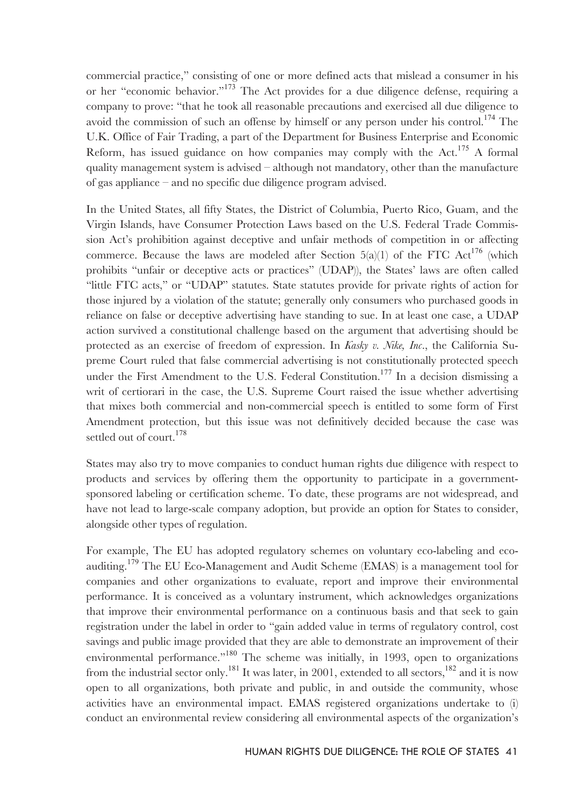commercial practice," consisting of one or more defined acts that mislead a consumer in his or her "economic behavior."<sup>173</sup> The Act provides for a due diligence defense, requiring a company to prove: "that he took all reasonable precautions and exercised all due diligence to avoid the commission of such an offense by himself or any person under his control.<sup>174</sup> The U.K. Office of Fair Trading, a part of the Department for Business Enterprise and Economic Reform, has issued guidance on how companies may comply with the Act.<sup>175</sup> A formal quality management system is advised – although not mandatory, other than the manufacture of gas appliance – and no specific due diligence program advised.

In the United States, all fifty States, the District of Columbia, Puerto Rico, Guam, and the Virgin Islands, have Consumer Protection Laws based on the U.S. Federal Trade Commission Act's prohibition against deceptive and unfair methods of competition in or affecting commerce. Because the laws are modeled after Section  $5(a)(1)$  of the FTC Act<sup>176</sup> (which prohibits "unfair or deceptive acts or practices" (UDAP)), the States' laws are often called "little FTC acts," or "UDAP" statutes. State statutes provide for private rights of action for those injured by a violation of the statute; generally only consumers who purchased goods in reliance on false or deceptive advertising have standing to sue. In at least one case, a UDAP action survived a constitutional challenge based on the argument that advertising should be protected as an exercise of freedom of expression. In *Kasky v. Nike, Inc*., the California Supreme Court ruled that false commercial advertising is not constitutionally protected speech under the First Amendment to the U.S. Federal Constitution.<sup>177</sup> In a decision dismissing a writ of certiorari in the case, the U.S. Supreme Court raised the issue whether advertising that mixes both commercial and non-commercial speech is entitled to some form of First Amendment protection, but this issue was not definitively decided because the case was settled out of court.<sup>178</sup>

States may also try to move companies to conduct human rights due diligence with respect to products and services by offering them the opportunity to participate in a governmentsponsored labeling or certification scheme. To date, these programs are not widespread, and have not lead to large-scale company adoption, but provide an option for States to consider, alongside other types of regulation.

For example, The EU has adopted regulatory schemes on voluntary eco-labeling and ecoauditing.<sup>179</sup> The EU Eco-Management and Audit Scheme (EMAS) is a management tool for companies and other organizations to evaluate, report and improve their environmental performance. It is conceived as a voluntary instrument, which acknowledges organizations that improve their environmental performance on a continuous basis and that seek to gain registration under the label in order to "gain added value in terms of regulatory control, cost savings and public image provided that they are able to demonstrate an improvement of their environmental performance."<sup>180</sup> The scheme was initially, in 1993, open to organizations from the industrial sector only.<sup>181</sup> It was later, in 2001, extended to all sectors,<sup>182</sup> and it is now open to all organizations, both private and public, in and outside the community, whose activities have an environmental impact. EMAS registered organizations undertake to (i) conduct an environmental review considering all environmental aspects of the organization's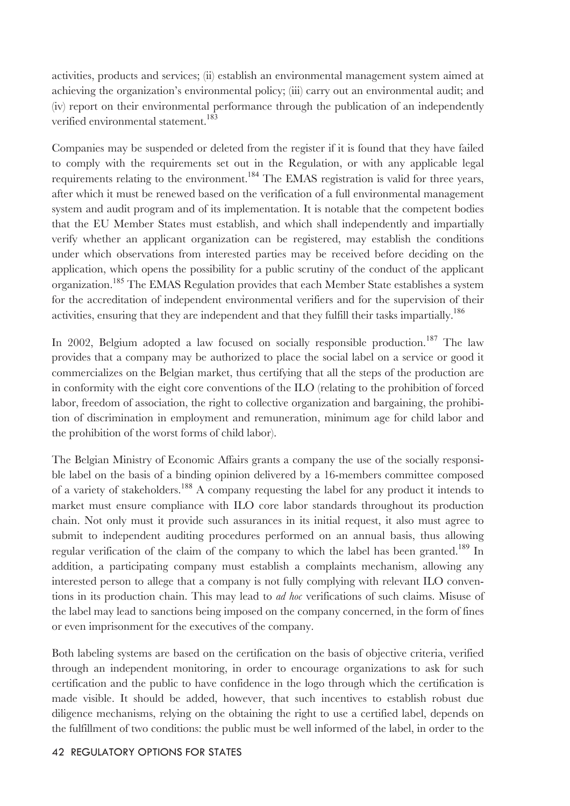activities, products and services; (ii) establish an environmental management system aimed at achieving the organization's environmental policy; (iii) carry out an environmental audit; and (iv) report on their environmental performance through the publication of an independently verified environmental statement.<sup>183</sup>

Companies may be suspended or deleted from the register if it is found that they have failed to comply with the requirements set out in the Regulation, or with any applicable legal requirements relating to the environment.<sup>184</sup> The EMAS registration is valid for three years, after which it must be renewed based on the verification of a full environmental management system and audit program and of its implementation. It is notable that the competent bodies that the EU Member States must establish, and which shall independently and impartially verify whether an applicant organization can be registered, may establish the conditions under which observations from interested parties may be received before deciding on the application, which opens the possibility for a public scrutiny of the conduct of the applicant organization.<sup>185</sup> The EMAS Regulation provides that each Member State establishes a system for the accreditation of independent environmental verifiers and for the supervision of their activities, ensuring that they are independent and that they fulfill their tasks impartially.<sup>186</sup>

In 2002, Belgium adopted a law focused on socially responsible production.<sup>187</sup> The law provides that a company may be authorized to place the social label on a service or good it commercializes on the Belgian market, thus certifying that all the steps of the production are in conformity with the eight core conventions of the ILO (relating to the prohibition of forced labor, freedom of association, the right to collective organization and bargaining, the prohibition of discrimination in employment and remuneration, minimum age for child labor and the prohibition of the worst forms of child labor).

The Belgian Ministry of Economic Affairs grants a company the use of the socially responsible label on the basis of a binding opinion delivered by a 16-members committee composed of a variety of stakeholders.<sup>188</sup> A company requesting the label for any product it intends to market must ensure compliance with ILO core labor standards throughout its production chain. Not only must it provide such assurances in its initial request, it also must agree to submit to independent auditing procedures performed on an annual basis, thus allowing regular verification of the claim of the company to which the label has been granted.<sup>189</sup> In addition, a participating company must establish a complaints mechanism, allowing any interested person to allege that a company is not fully complying with relevant ILO conventions in its production chain. This may lead to *ad hoc* verifications of such claims. Misuse of the label may lead to sanctions being imposed on the company concerned, in the form of fines or even imprisonment for the executives of the company.

Both labeling systems are based on the certification on the basis of objective criteria, verified through an independent monitoring, in order to encourage organizations to ask for such certification and the public to have confidence in the logo through which the certification is made visible. It should be added, however, that such incentives to establish robust due diligence mechanisms, relying on the obtaining the right to use a certified label, depends on the fulfillment of two conditions: the public must be well informed of the label, in order to the

#### 42 REGULATORY OPTIONS FOR STATES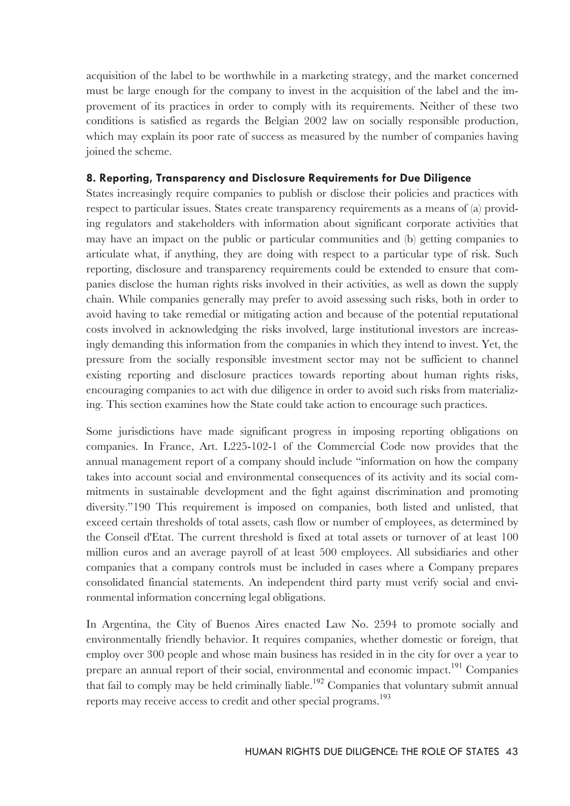acquisition of the label to be worthwhile in a marketing strategy, and the market concerned must be large enough for the company to invest in the acquisition of the label and the improvement of its practices in order to comply with its requirements. Neither of these two conditions is satisfied as regards the Belgian 2002 law on socially responsible production, which may explain its poor rate of success as measured by the number of companies having joined the scheme.

## **8. Reporting, Transparency and Disclosure Requirements for Due Diligence**

States increasingly require companies to publish or disclose their policies and practices with respect to particular issues. States create transparency requirements as a means of (a) providing regulators and stakeholders with information about significant corporate activities that may have an impact on the public or particular communities and (b) getting companies to articulate what, if anything, they are doing with respect to a particular type of risk. Such reporting, disclosure and transparency requirements could be extended to ensure that companies disclose the human rights risks involved in their activities, as well as down the supply chain. While companies generally may prefer to avoid assessing such risks, both in order to avoid having to take remedial or mitigating action and because of the potential reputational costs involved in acknowledging the risks involved, large institutional investors are increasingly demanding this information from the companies in which they intend to invest. Yet, the pressure from the socially responsible investment sector may not be sufficient to channel existing reporting and disclosure practices towards reporting about human rights risks, encouraging companies to act with due diligence in order to avoid such risks from materializing. This section examines how the State could take action to encourage such practices.

Some jurisdictions have made significant progress in imposing reporting obligations on companies. In France, Art. L225-102-1 of the Commercial Code now provides that the annual management report of a company should include "information on how the company takes into account social and environmental consequences of its activity and its social commitments in sustainable development and the fight against discrimination and promoting diversity."190 This requirement is imposed on companies, both listed and unlisted, that exceed certain thresholds of total assets, cash flow or number of employees, as determined by the Conseil d'Etat. The current threshold is fixed at total assets or turnover of at least 100 million euros and an average payroll of at least 500 employees. All subsidiaries and other companies that a company controls must be included in cases where a Company prepares consolidated financial statements. An independent third party must verify social and environmental information concerning legal obligations.

In Argentina, the City of Buenos Aires enacted Law No. 2594 to promote socially and environmentally friendly behavior. It requires companies, whether domestic or foreign, that employ over 300 people and whose main business has resided in in the city for over a year to prepare an annual report of their social, environmental and economic impact.<sup>191</sup> Companies that fail to comply may be held criminally liable.<sup>192</sup> Companies that voluntary submit annual reports may receive access to credit and other special programs.<sup>193</sup>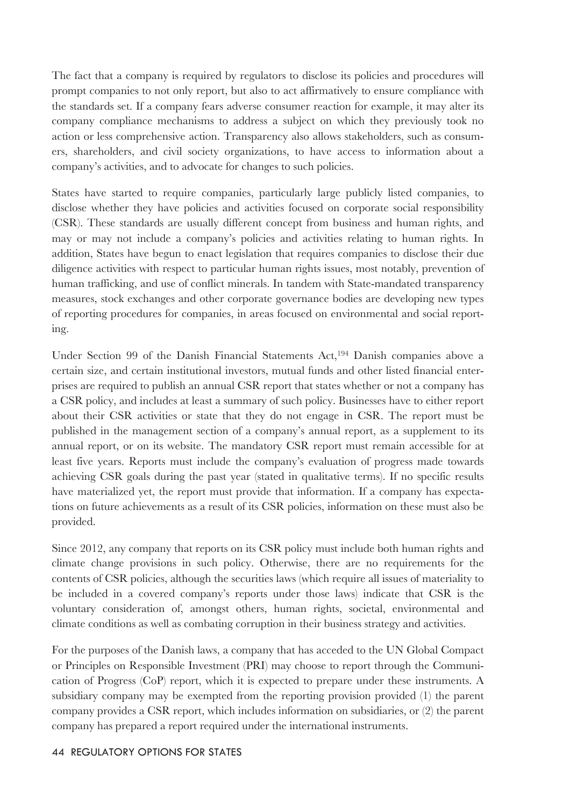The fact that a company is required by regulators to disclose its policies and procedures will prompt companies to not only report, but also to act affirmatively to ensure compliance with the standards set. If a company fears adverse consumer reaction for example, it may alter its company compliance mechanisms to address a subject on which they previously took no action or less comprehensive action. Transparency also allows stakeholders, such as consumers, shareholders, and civil society organizations, to have access to information about a company's activities, and to advocate for changes to such policies.

States have started to require companies, particularly large publicly listed companies, to disclose whether they have policies and activities focused on corporate social responsibility (CSR). These standards are usually different concept from business and human rights, and may or may not include a company's policies and activities relating to human rights. In addition, States have begun to enact legislation that requires companies to disclose their due diligence activities with respect to particular human rights issues, most notably, prevention of human trafficking, and use of conflict minerals. In tandem with State-mandated transparency measures, stock exchanges and other corporate governance bodies are developing new types of reporting procedures for companies, in areas focused on environmental and social reporting.

Under Section 99 of the Danish Financial Statements Act,<sup>194</sup> Danish companies above a certain size, and certain institutional investors, mutual funds and other listed financial enterprises are required to publish an annual CSR report that states whether or not a company has a CSR policy, and includes at least a summary of such policy. Businesses have to either report about their CSR activities or state that they do not engage in CSR. The report must be published in the management section of a company's annual report, as a supplement to its annual report, or on its website. The mandatory CSR report must remain accessible for at least five years. Reports must include the company's evaluation of progress made towards achieving CSR goals during the past year (stated in qualitative terms). If no specific results have materialized yet, the report must provide that information. If a company has expectations on future achievements as a result of its CSR policies, information on these must also be provided.

Since 2012, any company that reports on its CSR policy must include both human rights and climate change provisions in such policy. Otherwise, there are no requirements for the contents of CSR policies, although the securities laws (which require all issues of materiality to be included in a covered company's reports under those laws) indicate that CSR is the voluntary consideration of, amongst others, human rights, societal, environmental and climate conditions as well as combating corruption in their business strategy and activities.

For the purposes of the Danish laws, a company that has acceded to the UN Global Compact or Principles on Responsible Investment (PRI) may choose to report through the Communication of Progress (CoP) report, which it is expected to prepare under these instruments. A subsidiary company may be exempted from the reporting provision provided (1) the parent company provides a CSR report, which includes information on subsidiaries, or (2) the parent company has prepared a report required under the international instruments.

#### 44 REGULATORY OPTIONS FOR STATES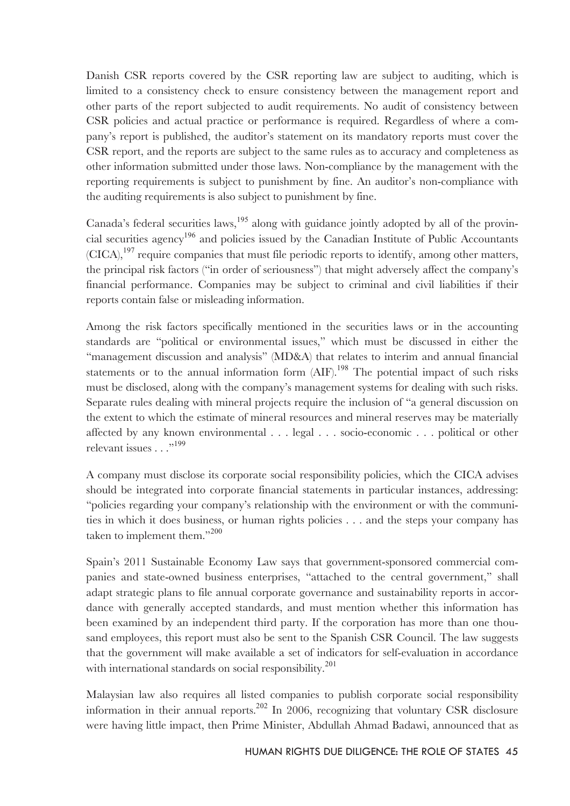Danish CSR reports covered by the CSR reporting law are subject to auditing, which is limited to a consistency check to ensure consistency between the management report and other parts of the report subjected to audit requirements. No audit of consistency between CSR policies and actual practice or performance is required. Regardless of where a company's report is published, the auditor's statement on its mandatory reports must cover the CSR report, and the reports are subject to the same rules as to accuracy and completeness as other information submitted under those laws. Non-compliance by the management with the reporting requirements is subject to punishment by fine. An auditor's non-compliance with the auditing requirements is also subject to punishment by fine.

Canada's federal securities laws, $195$  along with guidance jointly adopted by all of the provincial securities agency<sup>196</sup> and policies issued by the Canadian Institute of Public Accountants  $\left(CICA\right),$ <sup>197</sup> require companies that must file periodic reports to identify, among other matters, the principal risk factors ("in order of seriousness") that might adversely affect the company's financial performance. Companies may be subject to criminal and civil liabilities if their reports contain false or misleading information.

Among the risk factors specifically mentioned in the securities laws or in the accounting standards are "political or environmental issues," which must be discussed in either the "management discussion and analysis" (MD&A) that relates to interim and annual financial statements or to the annual information form  $(AIF)$ <sup>198</sup>. The potential impact of such risks must be disclosed, along with the company's management systems for dealing with such risks. Separate rules dealing with mineral projects require the inclusion of "a general discussion on the extent to which the estimate of mineral resources and mineral reserves may be materially affected by any known environmental . . . legal . . . socio-economic . . . political or other relevant issues . . . . . . . . . 199

A company must disclose its corporate social responsibility policies, which the CICA advises should be integrated into corporate financial statements in particular instances, addressing: "policies regarding your company's relationship with the environment or with the communities in which it does business, or human rights policies . . . and the steps your company has taken to implement them."<sup>200</sup>

Spain's 2011 Sustainable Economy Law says that government-sponsored commercial companies and state-owned business enterprises, "attached to the central government," shall adapt strategic plans to file annual corporate governance and sustainability reports in accordance with generally accepted standards, and must mention whether this information has been examined by an independent third party. If the corporation has more than one thousand employees, this report must also be sent to the Spanish CSR Council. The law suggests that the government will make available a set of indicators for self-evaluation in accordance with international standards on social responsibility.<sup>201</sup>

Malaysian law also requires all listed companies to publish corporate social responsibility information in their annual reports.<sup>202</sup> In 2006, recognizing that voluntary CSR disclosure were having little impact, then Prime Minister, Abdullah Ahmad Badawi, announced that as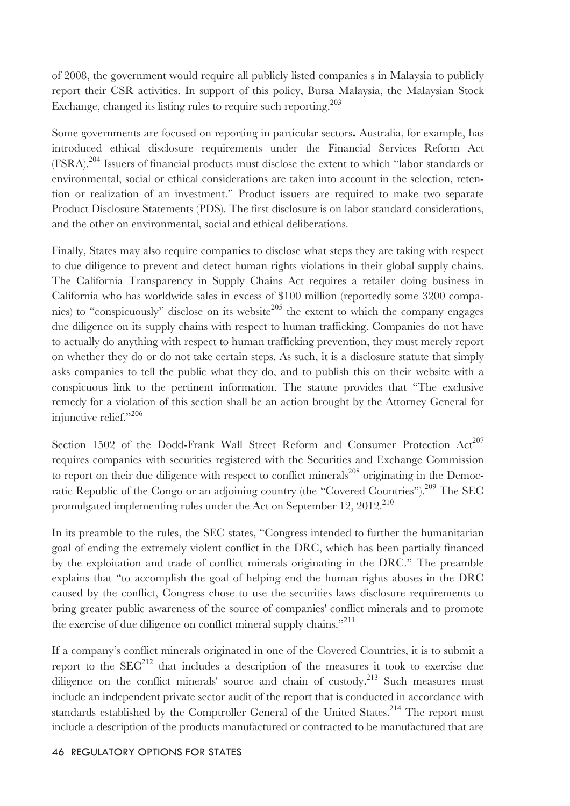of 2008, the government would require all publicly listed companies s in Malaysia to publicly report their CSR activities. In support of this policy, Bursa Malaysia, the Malaysian Stock Exchange, changed its listing rules to require such reporting.<sup>203</sup>

Some governments are focused on reporting in particular sectors**.** Australia, for example, has introduced ethical disclosure requirements under the Financial Services Reform Act (FSRA).<sup>204</sup> Issuers of financial products must disclose the extent to which "labor standards or environmental, social or ethical considerations are taken into account in the selection, retention or realization of an investment." Product issuers are required to make two separate Product Disclosure Statements (PDS). The first disclosure is on labor standard considerations, and the other on environmental, social and ethical deliberations.

Finally, States may also require companies to disclose what steps they are taking with respect to due diligence to prevent and detect human rights violations in their global supply chains. The California Transparency in Supply Chains Act requires a retailer doing business in California who has worldwide sales in excess of \$100 million (reportedly some 3200 companies) to "conspicuously" disclose on its website<sup>205</sup> the extent to which the company engages due diligence on its supply chains with respect to human trafficking. Companies do not have to actually do anything with respect to human trafficking prevention, they must merely report on whether they do or do not take certain steps. As such, it is a disclosure statute that simply asks companies to tell the public what they do, and to publish this on their website with a conspicuous link to the pertinent information. The statute provides that "The exclusive remedy for a violation of this section shall be an action brought by the Attorney General for injunctive relief."<sup>206</sup>

Section 1502 of the Dodd-Frank Wall Street Reform and Consumer Protection Act<sup>207</sup> requires companies with securities registered with the Securities and Exchange Commission to report on their due diligence with respect to conflict minerals $^{208}$  originating in the Democratic Republic of the Congo or an adjoining country (the "Covered Countries").<sup>209</sup> The SEC promulgated implementing rules under the Act on September 12, 2012.<sup>210</sup>

In its preamble to the rules, the SEC states, "Congress intended to further the humanitarian goal of ending the extremely violent conflict in the DRC, which has been partially financed by the exploitation and trade of conflict minerals originating in the DRC." The preamble explains that "to accomplish the goal of helping end the human rights abuses in the DRC caused by the conflict, Congress chose to use the securities laws disclosure requirements to bring greater public awareness of the source of companies' conflict minerals and to promote the exercise of due diligence on conflict mineral supply chains."<sup>211</sup>

If a company's conflict minerals originated in one of the Covered Countries, it is to submit a report to the  $SEC^{212}$  that includes a description of the measures it took to exercise due diligence on the conflict minerals' source and chain of custody.<sup>213</sup> Such measures must include an independent private sector audit of the report that is conducted in accordance with standards established by the Comptroller General of the United States.<sup>214</sup> The report must include a description of the products manufactured or contracted to be manufactured that are

#### 46 REGULATORY OPTIONS FOR STATES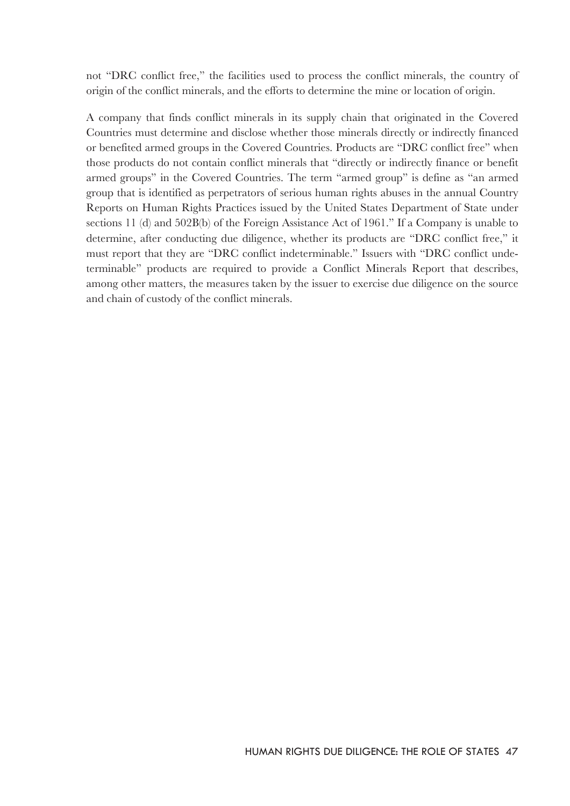not "DRC conflict free," the facilities used to process the conflict minerals, the country of origin of the conflict minerals, and the efforts to determine the mine or location of origin.

A company that finds conflict minerals in its supply chain that originated in the Covered Countries must determine and disclose whether those minerals directly or indirectly financed or benefited armed groups in the Covered Countries. Products are "DRC conflict free" when those products do not contain conflict minerals that "directly or indirectly finance or benefit armed groups" in the Covered Countries. The term "armed group" is define as "an armed group that is identified as perpetrators of serious human rights abuses in the annual Country Reports on Human Rights Practices issued by the United States Department of State under sections 11 (d) and 502B(b) of the Foreign Assistance Act of 1961." If a Company is unable to determine, after conducting due diligence, whether its products are "DRC conflict free," it must report that they are "DRC conflict indeterminable." Issuers with "DRC conflict undeterminable" products are required to provide a Conflict Minerals Report that describes, among other matters, the measures taken by the issuer to exercise due diligence on the source and chain of custody of the conflict minerals.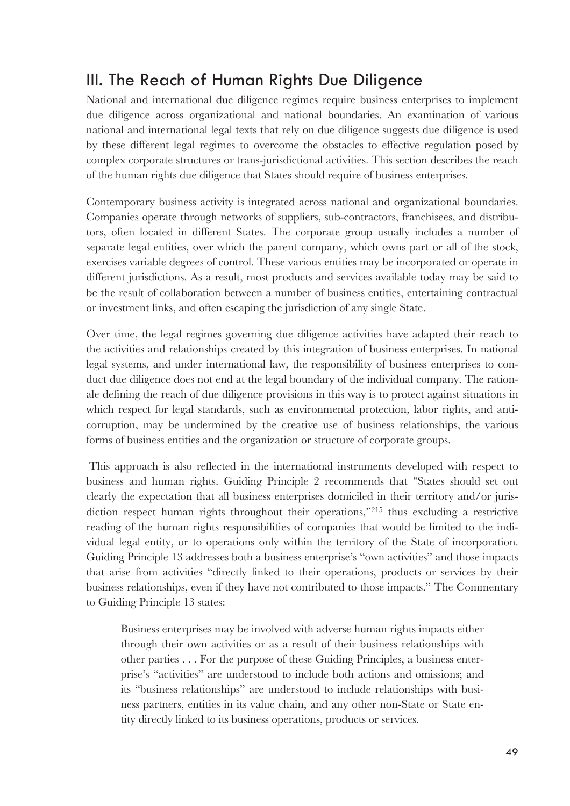# III. The Reach of Human Rights Due Diligence

National and international due diligence regimes require business enterprises to implement due diligence across organizational and national boundaries. An examination of various national and international legal texts that rely on due diligence suggests due diligence is used by these different legal regimes to overcome the obstacles to effective regulation posed by complex corporate structures or trans-jurisdictional activities. This section describes the reach of the human rights due diligence that States should require of business enterprises.

Contemporary business activity is integrated across national and organizational boundaries. Companies operate through networks of suppliers, sub-contractors, franchisees, and distributors, often located in different States. The corporate group usually includes a number of separate legal entities, over which the parent company, which owns part or all of the stock, exercises variable degrees of control. These various entities may be incorporated or operate in different jurisdictions. As a result, most products and services available today may be said to be the result of collaboration between a number of business entities, entertaining contractual or investment links, and often escaping the jurisdiction of any single State.

Over time, the legal regimes governing due diligence activities have adapted their reach to the activities and relationships created by this integration of business enterprises. In national legal systems, and under international law, the responsibility of business enterprises to conduct due diligence does not end at the legal boundary of the individual company. The rationale defining the reach of due diligence provisions in this way is to protect against situations in which respect for legal standards, such as environmental protection, labor rights, and anticorruption, may be undermined by the creative use of business relationships, the various forms of business entities and the organization or structure of corporate groups.

 This approach is also reflected in the international instruments developed with respect to business and human rights. Guiding Principle 2 recommends that "States should set out clearly the expectation that all business enterprises domiciled in their territory and/or jurisdiction respect human rights throughout their operations,"<sup>215</sup> thus excluding a restrictive reading of the human rights responsibilities of companies that would be limited to the individual legal entity, or to operations only within the territory of the State of incorporation. Guiding Principle 13 addresses both a business enterprise's "own activities" and those impacts that arise from activities "directly linked to their operations, products or services by their business relationships, even if they have not contributed to those impacts." The Commentary to Guiding Principle 13 states:

Business enterprises may be involved with adverse human rights impacts either through their own activities or as a result of their business relationships with other parties . . . For the purpose of these Guiding Principles, a business enterprise's "activities" are understood to include both actions and omissions; and its "business relationships" are understood to include relationships with business partners, entities in its value chain, and any other non-State or State entity directly linked to its business operations, products or services.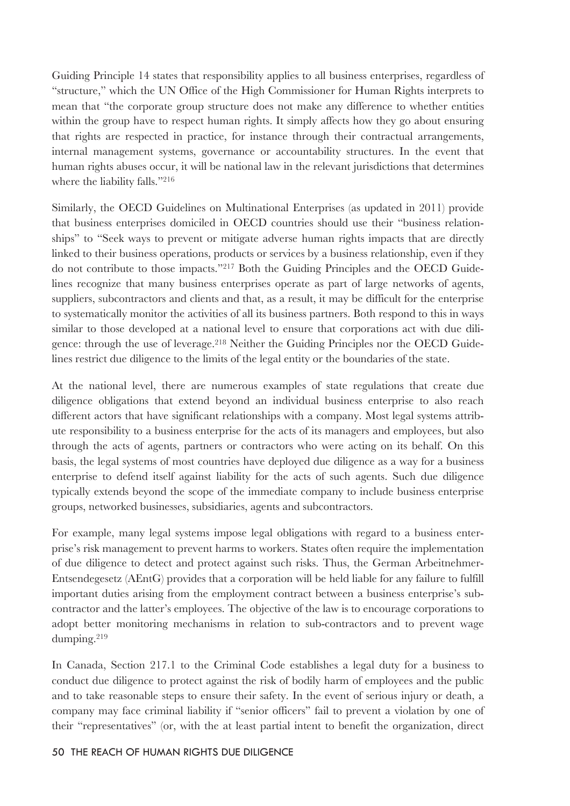Guiding Principle 14 states that responsibility applies to all business enterprises, regardless of "structure," which the UN Office of the High Commissioner for Human Rights interprets to mean that "the corporate group structure does not make any difference to whether entities within the group have to respect human rights. It simply affects how they go about ensuring that rights are respected in practice, for instance through their contractual arrangements, internal management systems, governance or accountability structures. In the event that human rights abuses occur, it will be national law in the relevant jurisdictions that determines where the liability falls."216

Similarly, the OECD Guidelines on Multinational Enterprises (as updated in 2011) provide that business enterprises domiciled in OECD countries should use their "business relationships" to "Seek ways to prevent or mitigate adverse human rights impacts that are directly linked to their business operations, products or services by a business relationship, even if they do not contribute to those impacts."217 Both the Guiding Principles and the OECD Guidelines recognize that many business enterprises operate as part of large networks of agents, suppliers, subcontractors and clients and that, as a result, it may be difficult for the enterprise to systematically monitor the activities of all its business partners. Both respond to this in ways similar to those developed at a national level to ensure that corporations act with due diligence: through the use of leverage.218 Neither the Guiding Principles nor the OECD Guidelines restrict due diligence to the limits of the legal entity or the boundaries of the state.

At the national level, there are numerous examples of state regulations that create due diligence obligations that extend beyond an individual business enterprise to also reach different actors that have significant relationships with a company. Most legal systems attribute responsibility to a business enterprise for the acts of its managers and employees, but also through the acts of agents, partners or contractors who were acting on its behalf. On this basis, the legal systems of most countries have deployed due diligence as a way for a business enterprise to defend itself against liability for the acts of such agents. Such due diligence typically extends beyond the scope of the immediate company to include business enterprise groups, networked businesses, subsidiaries, agents and subcontractors.

For example, many legal systems impose legal obligations with regard to a business enterprise's risk management to prevent harms to workers. States often require the implementation of due diligence to detect and protect against such risks. Thus, the German Arbeitnehmer-Entsendegesetz (AEntG) provides that a corporation will be held liable for any failure to fulfill important duties arising from the employment contract between a business enterprise's subcontractor and the latter's employees. The objective of the law is to encourage corporations to adopt better monitoring mechanisms in relation to sub-contractors and to prevent wage dumping.<sup>219</sup>

In Canada, Section 217.1 to the Criminal Code establishes a legal duty for a business to conduct due diligence to protect against the risk of bodily harm of employees and the public and to take reasonable steps to ensure their safety. In the event of serious injury or death, a company may face criminal liability if "senior officers" fail to prevent a violation by one of their "representatives" (or, with the at least partial intent to benefit the organization, direct

#### 50 THE REACH OF HUMAN RIGHTS DUE DILIGENCE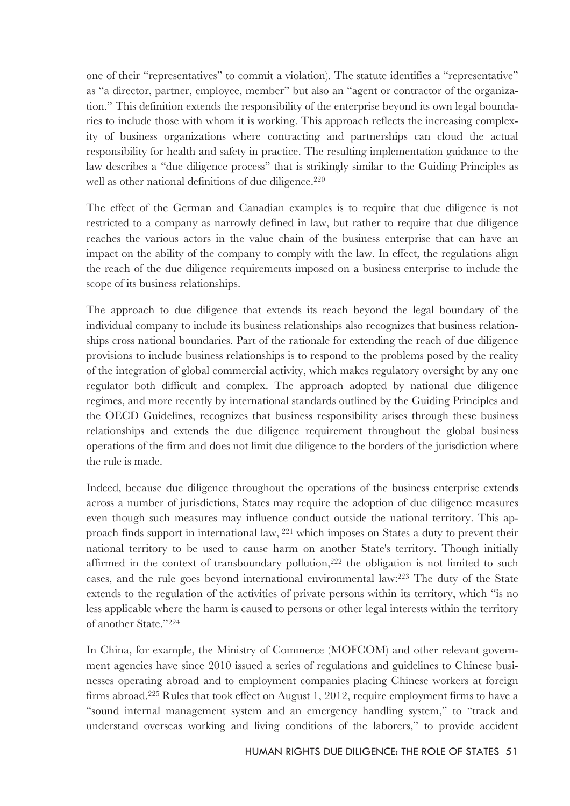one of their "representatives" to commit a violation). The statute identifies a "representative" as "a director, partner, employee, member" but also an "agent or contractor of the organization." This definition extends the responsibility of the enterprise beyond its own legal boundaries to include those with whom it is working. This approach reflects the increasing complexity of business organizations where contracting and partnerships can cloud the actual responsibility for health and safety in practice. The resulting implementation guidance to the law describes a "due diligence process" that is strikingly similar to the Guiding Principles as well as other national definitions of due diligence.<sup>220</sup>

The effect of the German and Canadian examples is to require that due diligence is not restricted to a company as narrowly defined in law, but rather to require that due diligence reaches the various actors in the value chain of the business enterprise that can have an impact on the ability of the company to comply with the law. In effect, the regulations align the reach of the due diligence requirements imposed on a business enterprise to include the scope of its business relationships.

The approach to due diligence that extends its reach beyond the legal boundary of the individual company to include its business relationships also recognizes that business relationships cross national boundaries. Part of the rationale for extending the reach of due diligence provisions to include business relationships is to respond to the problems posed by the reality of the integration of global commercial activity, which makes regulatory oversight by any one regulator both difficult and complex. The approach adopted by national due diligence regimes, and more recently by international standards outlined by the Guiding Principles and the OECD Guidelines, recognizes that business responsibility arises through these business relationships and extends the due diligence requirement throughout the global business operations of the firm and does not limit due diligence to the borders of the jurisdiction where the rule is made.

Indeed, because due diligence throughout the operations of the business enterprise extends across a number of jurisdictions, States may require the adoption of due diligence measures even though such measures may influence conduct outside the national territory. This approach finds support in international law, <sup>221</sup> which imposes on States a duty to prevent their national territory to be used to cause harm on another State's territory. Though initially affirmed in the context of transboundary pollution,<sup>222</sup> the obligation is not limited to such cases, and the rule goes beyond international environmental law:<sup>223</sup> The duty of the State extends to the regulation of the activities of private persons within its territory, which "is no less applicable where the harm is caused to persons or other legal interests within the territory of another State."<sup>224</sup>

In China, for example, the Ministry of Commerce (MOFCOM) and other relevant government agencies have since 2010 issued a series of regulations and guidelines to Chinese businesses operating abroad and to employment companies placing Chinese workers at foreign firms abroad.<sup>225</sup> Rules that took effect on August 1, 2012, require employment firms to have a "sound internal management system and an emergency handling system," to "track and understand overseas working and living conditions of the laborers," to provide accident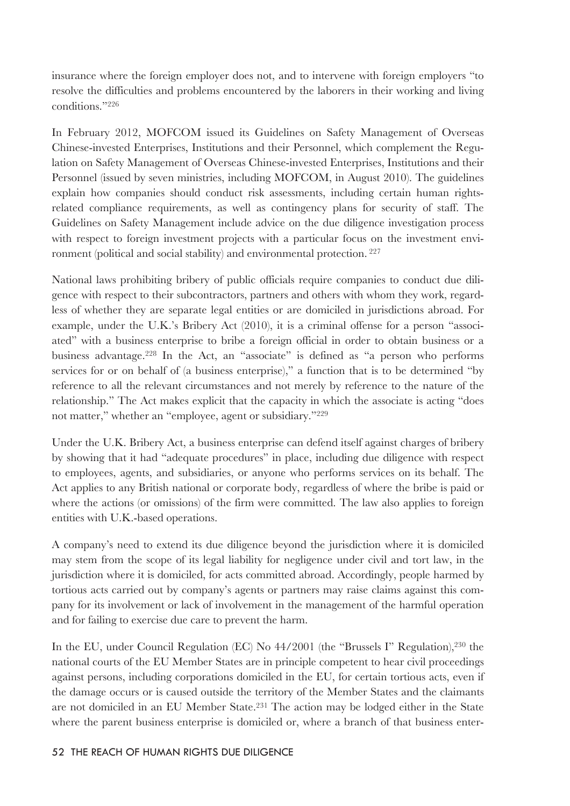insurance where the foreign employer does not, and to intervene with foreign employers "to resolve the difficulties and problems encountered by the laborers in their working and living conditions."<sup>226</sup>

In February 2012, MOFCOM issued its Guidelines on Safety Management of Overseas Chinese-invested Enterprises, Institutions and their Personnel, which complement the Regulation on Safety Management of Overseas Chinese-invested Enterprises, Institutions and their Personnel (issued by seven ministries, including MOFCOM, in August 2010). The guidelines explain how companies should conduct risk assessments, including certain human rightsrelated compliance requirements, as well as contingency plans for security of staff. The Guidelines on Safety Management include advice on the due diligence investigation process with respect to foreign investment projects with a particular focus on the investment environment (political and social stability) and environmental protection.<sup>227</sup>

National laws prohibiting bribery of public officials require companies to conduct due diligence with respect to their subcontractors, partners and others with whom they work, regardless of whether they are separate legal entities or are domiciled in jurisdictions abroad. For example, under the U.K.'s Bribery Act (2010), it is a criminal offense for a person "associated" with a business enterprise to bribe a foreign official in order to obtain business or a business advantage.<sup>228</sup> In the Act, an "associate" is defined as "a person who performs services for or on behalf of (a business enterprise)," a function that is to be determined "by reference to all the relevant circumstances and not merely by reference to the nature of the relationship." The Act makes explicit that the capacity in which the associate is acting "does not matter," whether an "employee, agent or subsidiary."<sup>229</sup>

Under the U.K. Bribery Act, a business enterprise can defend itself against charges of bribery by showing that it had "adequate procedures" in place, including due diligence with respect to employees, agents, and subsidiaries, or anyone who performs services on its behalf. The Act applies to any British national or corporate body, regardless of where the bribe is paid or where the actions (or omissions) of the firm were committed. The law also applies to foreign entities with U.K.-based operations.

A company's need to extend its due diligence beyond the jurisdiction where it is domiciled may stem from the scope of its legal liability for negligence under civil and tort law, in the jurisdiction where it is domiciled, for acts committed abroad. Accordingly, people harmed by tortious acts carried out by company's agents or partners may raise claims against this company for its involvement or lack of involvement in the management of the harmful operation and for failing to exercise due care to prevent the harm.

In the EU, under Council Regulation (EC) No 44/2001 (the "Brussels I" Regulation),<sup>230</sup> the national courts of the EU Member States are in principle competent to hear civil proceedings against persons, including corporations domiciled in the EU, for certain tortious acts, even if the damage occurs or is caused outside the territory of the Member States and the claimants are not domiciled in an EU Member State.<sup>231</sup> The action may be lodged either in the State where the parent business enterprise is domiciled or, where a branch of that business enter-

## 52 THE REACH OF HUMAN RIGHTS DUE DILIGENCE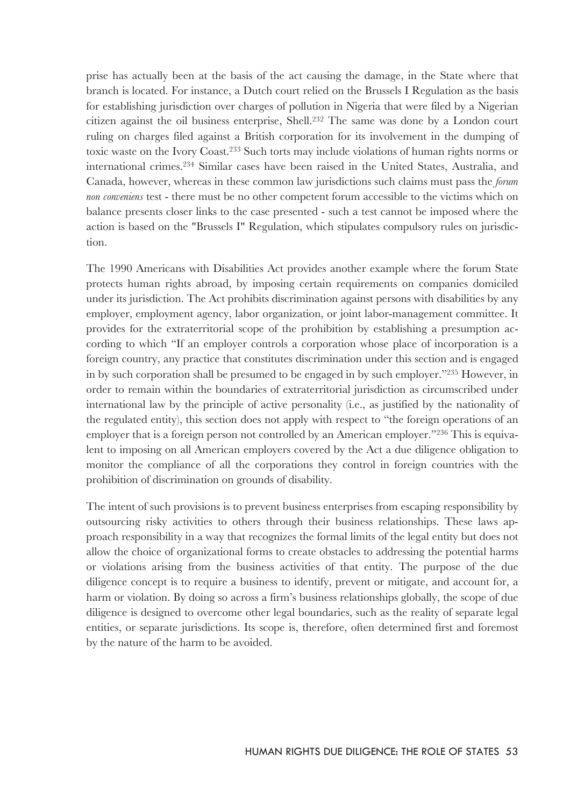prise has actually been at the basis of the act causing the damage, in the State where that branch is located. For instance, a Dutch court relied on the Brussels I Regulation as the basis for establishing jurisdiction over charges of pollution in Nigeria that were filed by a Nigerian citizen against the oil business enterprise, Shell.<sup>232</sup> The same was done by a London court ruling on charges filed against a British corporation for its involvement in the dumping of toxic waste on the Ivory Coast.<sup>233</sup> Such torts may include violations of human rights norms or international crimes.<sup>234</sup> Similar cases have been raised in the United States, Australia, and Canada, however, whereas in these common law jurisdictions such claims must pass the *forum non conveniens* test - there must be no other competent forum accessible to the victims which on balance presents closer links to the case presented - such a test cannot be imposed where the action is based on the "Brussels I" Regulation, which stipulates compulsory rules on jurisdiction.

The 1990 Americans with Disabilities Act provides another example where the forum State protects human rights abroad, by imposing certain requirements on companies domiciled under its jurisdiction. The Act prohibits discrimination against persons with disabilities by any employer, employment agency, labor organization, or joint labor-management committee. It provides for the extraterritorial scope of the prohibition by establishing a presumption according to which "If an employer controls a corporation whose place of incorporation is a foreign country, any practice that constitutes discrimination under this section and is engaged in by such corporation shall be presumed to be engaged in by such employer."<sup>235</sup> However, in order to remain within the boundaries of extraterritorial jurisdiction as circumscribed under international law by the principle of active personality (i.e., as justified by the nationality of the regulated entity), this section does not apply with respect to "the foreign operations of an employer that is a foreign person not controlled by an American employer."236 This is equivalent to imposing on all American employers covered by the Act a due diligence obligation to monitor the compliance of all the corporations they control in foreign countries with the prohibition of discrimination on grounds of disability.

The intent of such provisions is to prevent business enterprises from escaping responsibility by outsourcing risky activities to others through their business relationships. These laws approach responsibility in a way that recognizes the formal limits of the legal entity but does not allow the choice of organizational forms to create obstacles to addressing the potential harms or violations arising from the business activities of that entity. The purpose of the due diligence concept is to require a business to identify, prevent or mitigate, and account for, a harm or violation. By doing so across a firm's business relationships globally, the scope of due diligence is designed to overcome other legal boundaries, such as the reality of separate legal entities, or separate jurisdictions. Its scope is, therefore, often determined first and foremost by the nature of the harm to be avoided.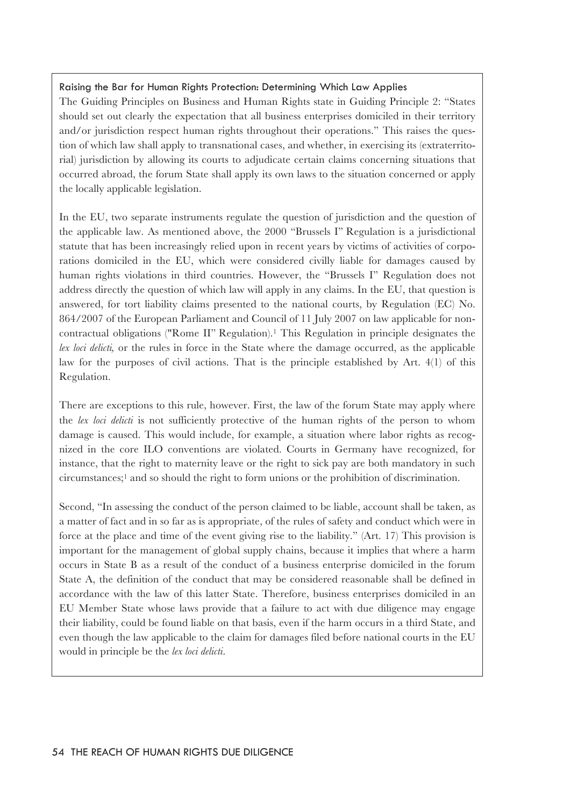### Raising the Bar for Human Rights Protection: Determining Which Law Applies

The Guiding Principles on Business and Human Rights state in Guiding Principle 2: "States should set out clearly the expectation that all business enterprises domiciled in their territory and/or jurisdiction respect human rights throughout their operations." This raises the question of which law shall apply to transnational cases, and whether, in exercising its (extraterritorial) jurisdiction by allowing its courts to adjudicate certain claims concerning situations that occurred abroad, the forum State shall apply its own laws to the situation concerned or apply the locally applicable legislation.

In the EU, two separate instruments regulate the question of jurisdiction and the question of the applicable law. As mentioned above, the 2000 "Brussels I" Regulation is a jurisdictional statute that has been increasingly relied upon in recent years by victims of activities of corporations domiciled in the EU, which were considered civilly liable for damages caused by human rights violations in third countries. However, the "Brussels I" Regulation does not address directly the question of which law will apply in any claims. In the EU, that question is answered, for tort liability claims presented to the national courts, by Regulation (EC) No. 864/2007 of the European Parliament and Council of 11 July 2007 on law applicable for noncontractual obligations ("Rome II" Regulation).1 This Regulation in principle designates the *lex loci delicti,* or the rules in force in the State where the damage occurred, as the applicable law for the purposes of civil actions. That is the principle established by Art. 4(1) of this Regulation.

There are exceptions to this rule, however. First, the law of the forum State may apply where the *lex loci delicti* is not sufficiently protective of the human rights of the person to whom damage is caused. This would include, for example, a situation where labor rights as recognized in the core ILO conventions are violated. Courts in Germany have recognized, for instance, that the right to maternity leave or the right to sick pay are both mandatory in such circumstances;1 and so should the right to form unions or the prohibition of discrimination.

Second, "In assessing the conduct of the person claimed to be liable, account shall be taken, as a matter of fact and in so far as is appropriate, of the rules of safety and conduct which were in force at the place and time of the event giving rise to the liability." (Art. 17) This provision is important for the management of global supply chains, because it implies that where a harm occurs in State B as a result of the conduct of a business enterprise domiciled in the forum State A, the definition of the conduct that may be considered reasonable shall be defined in accordance with the law of this latter State. Therefore, business enterprises domiciled in an EU Member State whose laws provide that a failure to act with due diligence may engage their liability, could be found liable on that basis, even if the harm occurs in a third State, and even though the law applicable to the claim for damages filed before national courts in the EU would in principle be the *lex loci delicti*.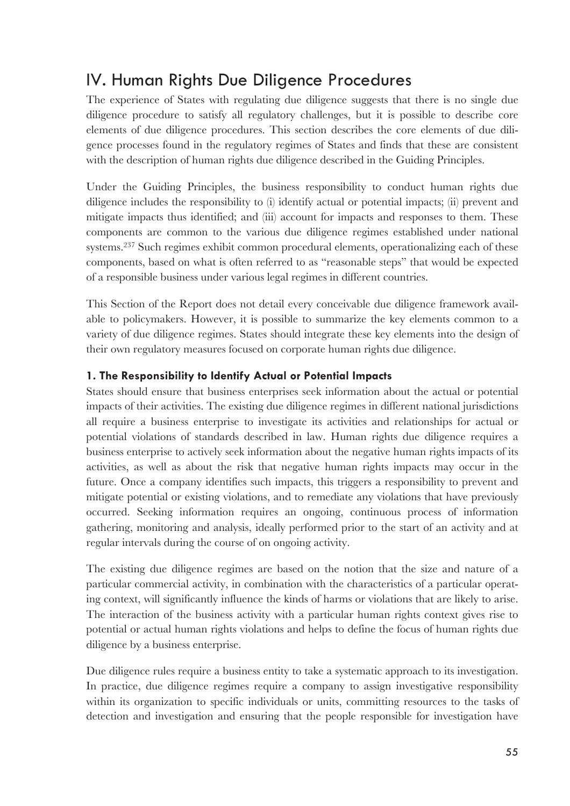# IV. Human Rights Due Diligence Procedures

The experience of States with regulating due diligence suggests that there is no single due diligence procedure to satisfy all regulatory challenges, but it is possible to describe core elements of due diligence procedures. This section describes the core elements of due diligence processes found in the regulatory regimes of States and finds that these are consistent with the description of human rights due diligence described in the Guiding Principles.

Under the Guiding Principles, the business responsibility to conduct human rights due diligence includes the responsibility to (i) identify actual or potential impacts; (ii) prevent and mitigate impacts thus identified; and (iii) account for impacts and responses to them. These components are common to the various due diligence regimes established under national systems.<sup>237</sup> Such regimes exhibit common procedural elements, operationalizing each of these components, based on what is often referred to as "reasonable steps" that would be expected of a responsible business under various legal regimes in different countries.

This Section of the Report does not detail every conceivable due diligence framework available to policymakers. However, it is possible to summarize the key elements common to a variety of due diligence regimes. States should integrate these key elements into the design of their own regulatory measures focused on corporate human rights due diligence.

## **1. The Responsibility to Identify Actual or Potential Impacts**

States should ensure that business enterprises seek information about the actual or potential impacts of their activities. The existing due diligence regimes in different national jurisdictions all require a business enterprise to investigate its activities and relationships for actual or potential violations of standards described in law. Human rights due diligence requires a business enterprise to actively seek information about the negative human rights impacts of its activities, as well as about the risk that negative human rights impacts may occur in the future. Once a company identifies such impacts, this triggers a responsibility to prevent and mitigate potential or existing violations, and to remediate any violations that have previously occurred. Seeking information requires an ongoing, continuous process of information gathering, monitoring and analysis, ideally performed prior to the start of an activity and at regular intervals during the course of on ongoing activity.

The existing due diligence regimes are based on the notion that the size and nature of a particular commercial activity, in combination with the characteristics of a particular operating context, will significantly influence the kinds of harms or violations that are likely to arise. The interaction of the business activity with a particular human rights context gives rise to potential or actual human rights violations and helps to define the focus of human rights due diligence by a business enterprise.

Due diligence rules require a business entity to take a systematic approach to its investigation. In practice, due diligence regimes require a company to assign investigative responsibility within its organization to specific individuals or units, committing resources to the tasks of detection and investigation and ensuring that the people responsible for investigation have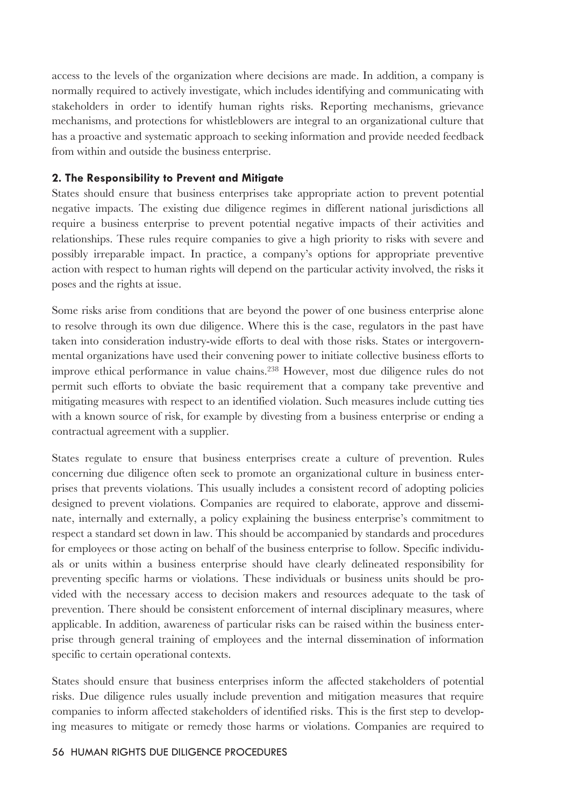access to the levels of the organization where decisions are made. In addition, a company is normally required to actively investigate, which includes identifying and communicating with stakeholders in order to identify human rights risks. Reporting mechanisms, grievance mechanisms, and protections for whistleblowers are integral to an organizational culture that has a proactive and systematic approach to seeking information and provide needed feedback from within and outside the business enterprise.

### **2. The Responsibility to Prevent and Mitigate**

States should ensure that business enterprises take appropriate action to prevent potential negative impacts. The existing due diligence regimes in different national jurisdictions all require a business enterprise to prevent potential negative impacts of their activities and relationships. These rules require companies to give a high priority to risks with severe and possibly irreparable impact. In practice, a company's options for appropriate preventive action with respect to human rights will depend on the particular activity involved, the risks it poses and the rights at issue.

Some risks arise from conditions that are beyond the power of one business enterprise alone to resolve through its own due diligence. Where this is the case, regulators in the past have taken into consideration industry-wide efforts to deal with those risks. States or intergovernmental organizations have used their convening power to initiate collective business efforts to improve ethical performance in value chains.<sup>238</sup> However, most due diligence rules do not permit such efforts to obviate the basic requirement that a company take preventive and mitigating measures with respect to an identified violation. Such measures include cutting ties with a known source of risk, for example by divesting from a business enterprise or ending a contractual agreement with a supplier.

States regulate to ensure that business enterprises create a culture of prevention. Rules concerning due diligence often seek to promote an organizational culture in business enterprises that prevents violations. This usually includes a consistent record of adopting policies designed to prevent violations. Companies are required to elaborate, approve and disseminate, internally and externally, a policy explaining the business enterprise's commitment to respect a standard set down in law. This should be accompanied by standards and procedures for employees or those acting on behalf of the business enterprise to follow. Specific individuals or units within a business enterprise should have clearly delineated responsibility for preventing specific harms or violations. These individuals or business units should be provided with the necessary access to decision makers and resources adequate to the task of prevention. There should be consistent enforcement of internal disciplinary measures, where applicable. In addition, awareness of particular risks can be raised within the business enterprise through general training of employees and the internal dissemination of information specific to certain operational contexts.

States should ensure that business enterprises inform the affected stakeholders of potential risks. Due diligence rules usually include prevention and mitigation measures that require companies to inform affected stakeholders of identified risks. This is the first step to developing measures to mitigate or remedy those harms or violations. Companies are required to

#### 56 HUMAN RIGHTS DUE DILIGENCE PROCEDURES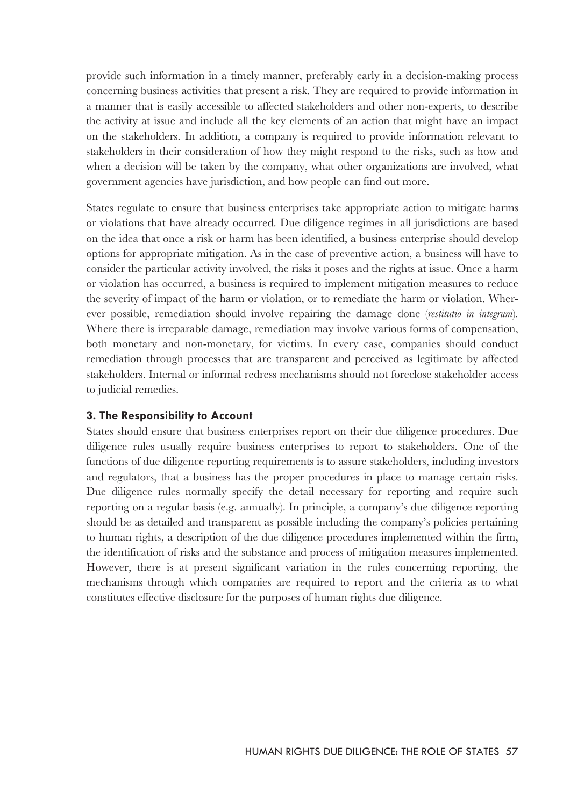provide such information in a timely manner, preferably early in a decision-making process concerning business activities that present a risk. They are required to provide information in a manner that is easily accessible to affected stakeholders and other non-experts, to describe the activity at issue and include all the key elements of an action that might have an impact on the stakeholders. In addition, a company is required to provide information relevant to stakeholders in their consideration of how they might respond to the risks, such as how and when a decision will be taken by the company, what other organizations are involved, what government agencies have jurisdiction, and how people can find out more.

States regulate to ensure that business enterprises take appropriate action to mitigate harms or violations that have already occurred. Due diligence regimes in all jurisdictions are based on the idea that once a risk or harm has been identified, a business enterprise should develop options for appropriate mitigation. As in the case of preventive action, a business will have to consider the particular activity involved, the risks it poses and the rights at issue. Once a harm or violation has occurred, a business is required to implement mitigation measures to reduce the severity of impact of the harm or violation, or to remediate the harm or violation. Wherever possible, remediation should involve repairing the damage done (*restitutio in integrum*). Where there is irreparable damage, remediation may involve various forms of compensation, both monetary and non-monetary, for victims. In every case, companies should conduct remediation through processes that are transparent and perceived as legitimate by affected stakeholders. Internal or informal redress mechanisms should not foreclose stakeholder access to judicial remedies.

## **3. The Responsibility to Account**

States should ensure that business enterprises report on their due diligence procedures. Due diligence rules usually require business enterprises to report to stakeholders. One of the functions of due diligence reporting requirements is to assure stakeholders, including investors and regulators, that a business has the proper procedures in place to manage certain risks. Due diligence rules normally specify the detail necessary for reporting and require such reporting on a regular basis (e.g. annually). In principle, a company's due diligence reporting should be as detailed and transparent as possible including the company's policies pertaining to human rights, a description of the due diligence procedures implemented within the firm, the identification of risks and the substance and process of mitigation measures implemented. However, there is at present significant variation in the rules concerning reporting, the mechanisms through which companies are required to report and the criteria as to what constitutes effective disclosure for the purposes of human rights due diligence.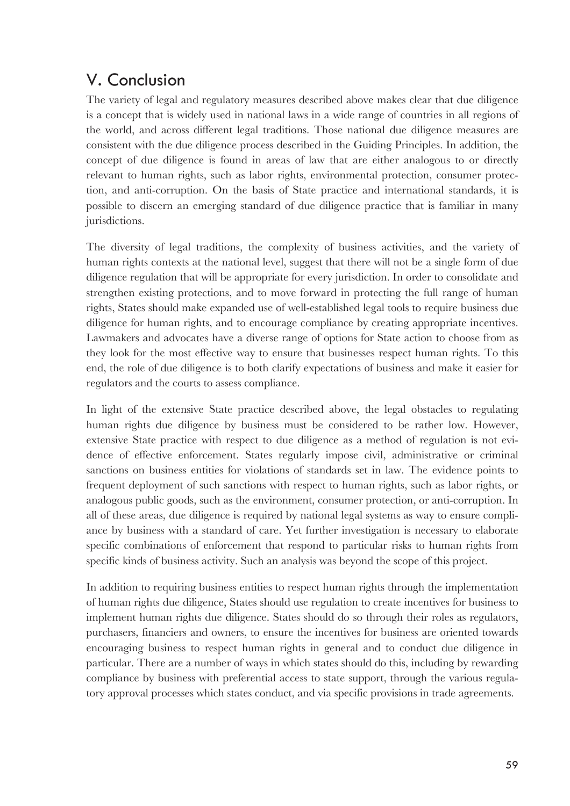## V. Conclusion

The variety of legal and regulatory measures described above makes clear that due diligence is a concept that is widely used in national laws in a wide range of countries in all regions of the world, and across different legal traditions. Those national due diligence measures are consistent with the due diligence process described in the Guiding Principles. In addition, the concept of due diligence is found in areas of law that are either analogous to or directly relevant to human rights, such as labor rights, environmental protection, consumer protection, and anti-corruption. On the basis of State practice and international standards, it is possible to discern an emerging standard of due diligence practice that is familiar in many jurisdictions.

The diversity of legal traditions, the complexity of business activities, and the variety of human rights contexts at the national level, suggest that there will not be a single form of due diligence regulation that will be appropriate for every jurisdiction. In order to consolidate and strengthen existing protections, and to move forward in protecting the full range of human rights, States should make expanded use of well-established legal tools to require business due diligence for human rights, and to encourage compliance by creating appropriate incentives. Lawmakers and advocates have a diverse range of options for State action to choose from as they look for the most effective way to ensure that businesses respect human rights. To this end, the role of due diligence is to both clarify expectations of business and make it easier for regulators and the courts to assess compliance.

In light of the extensive State practice described above, the legal obstacles to regulating human rights due diligence by business must be considered to be rather low. However, extensive State practice with respect to due diligence as a method of regulation is not evidence of effective enforcement. States regularly impose civil, administrative or criminal sanctions on business entities for violations of standards set in law. The evidence points to frequent deployment of such sanctions with respect to human rights, such as labor rights, or analogous public goods, such as the environment, consumer protection, or anti-corruption. In all of these areas, due diligence is required by national legal systems as way to ensure compliance by business with a standard of care. Yet further investigation is necessary to elaborate specific combinations of enforcement that respond to particular risks to human rights from specific kinds of business activity. Such an analysis was beyond the scope of this project.

In addition to requiring business entities to respect human rights through the implementation of human rights due diligence, States should use regulation to create incentives for business to implement human rights due diligence. States should do so through their roles as regulators, purchasers, financiers and owners, to ensure the incentives for business are oriented towards encouraging business to respect human rights in general and to conduct due diligence in particular. There are a number of ways in which states should do this, including by rewarding compliance by business with preferential access to state support, through the various regulatory approval processes which states conduct, and via specific provisions in trade agreements.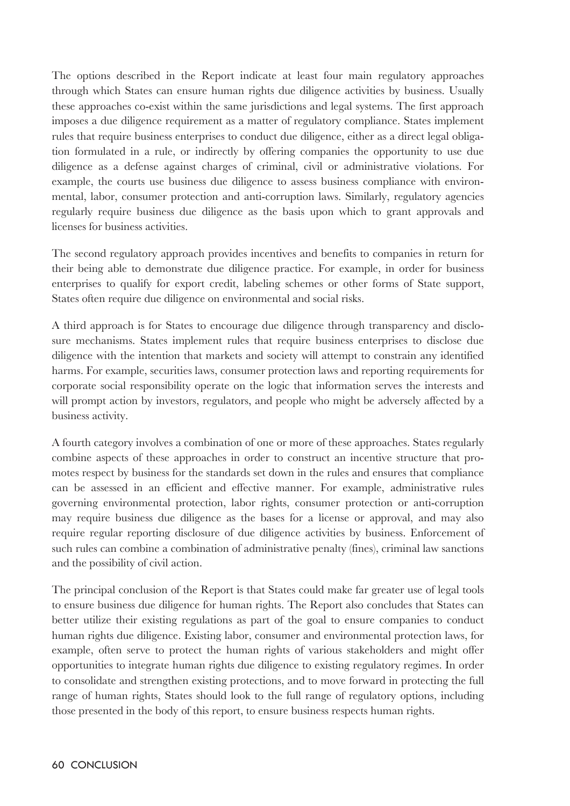The options described in the Report indicate at least four main regulatory approaches through which States can ensure human rights due diligence activities by business. Usually these approaches co-exist within the same jurisdictions and legal systems. The first approach imposes a due diligence requirement as a matter of regulatory compliance. States implement rules that require business enterprises to conduct due diligence, either as a direct legal obligation formulated in a rule, or indirectly by offering companies the opportunity to use due diligence as a defense against charges of criminal, civil or administrative violations. For example, the courts use business due diligence to assess business compliance with environmental, labor, consumer protection and anti-corruption laws. Similarly, regulatory agencies regularly require business due diligence as the basis upon which to grant approvals and licenses for business activities.

The second regulatory approach provides incentives and benefits to companies in return for their being able to demonstrate due diligence practice. For example, in order for business enterprises to qualify for export credit, labeling schemes or other forms of State support, States often require due diligence on environmental and social risks.

A third approach is for States to encourage due diligence through transparency and disclosure mechanisms. States implement rules that require business enterprises to disclose due diligence with the intention that markets and society will attempt to constrain any identified harms. For example, securities laws, consumer protection laws and reporting requirements for corporate social responsibility operate on the logic that information serves the interests and will prompt action by investors, regulators, and people who might be adversely affected by a business activity.

A fourth category involves a combination of one or more of these approaches. States regularly combine aspects of these approaches in order to construct an incentive structure that promotes respect by business for the standards set down in the rules and ensures that compliance can be assessed in an efficient and effective manner. For example, administrative rules governing environmental protection, labor rights, consumer protection or anti-corruption may require business due diligence as the bases for a license or approval, and may also require regular reporting disclosure of due diligence activities by business. Enforcement of such rules can combine a combination of administrative penalty (fines), criminal law sanctions and the possibility of civil action.

The principal conclusion of the Report is that States could make far greater use of legal tools to ensure business due diligence for human rights. The Report also concludes that States can better utilize their existing regulations as part of the goal to ensure companies to conduct human rights due diligence. Existing labor, consumer and environmental protection laws, for example, often serve to protect the human rights of various stakeholders and might offer opportunities to integrate human rights due diligence to existing regulatory regimes. In order to consolidate and strengthen existing protections, and to move forward in protecting the full range of human rights, States should look to the full range of regulatory options, including those presented in the body of this report, to ensure business respects human rights.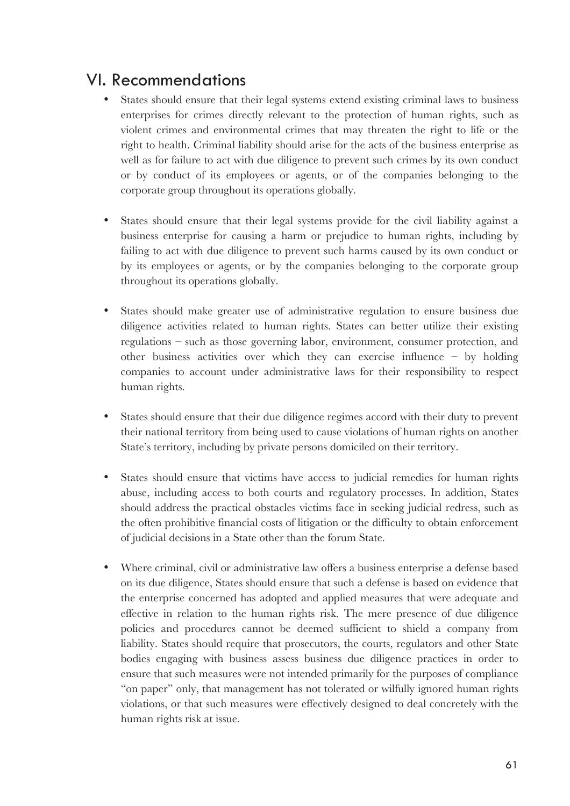## VI. Recommendations

- States should ensure that their legal systems extend existing criminal laws to business enterprises for crimes directly relevant to the protection of human rights, such as violent crimes and environmental crimes that may threaten the right to life or the right to health. Criminal liability should arise for the acts of the business enterprise as well as for failure to act with due diligence to prevent such crimes by its own conduct or by conduct of its employees or agents, or of the companies belonging to the corporate group throughout its operations globally.
- States should ensure that their legal systems provide for the civil liability against a business enterprise for causing a harm or prejudice to human rights, including by failing to act with due diligence to prevent such harms caused by its own conduct or by its employees or agents, or by the companies belonging to the corporate group throughout its operations globally.
- States should make greater use of administrative regulation to ensure business due diligence activities related to human rights. States can better utilize their existing regulations – such as those governing labor, environment, consumer protection, and other business activities over which they can exercise influence – by holding companies to account under administrative laws for their responsibility to respect human rights.
- States should ensure that their due diligence regimes accord with their duty to prevent their national territory from being used to cause violations of human rights on another State's territory, including by private persons domiciled on their territory.
- States should ensure that victims have access to judicial remedies for human rights abuse, including access to both courts and regulatory processes. In addition, States should address the practical obstacles victims face in seeking judicial redress, such as the often prohibitive financial costs of litigation or the difficulty to obtain enforcement of judicial decisions in a State other than the forum State.
- Where criminal, civil or administrative law offers a business enterprise a defense based on its due diligence, States should ensure that such a defense is based on evidence that the enterprise concerned has adopted and applied measures that were adequate and effective in relation to the human rights risk. The mere presence of due diligence policies and procedures cannot be deemed sufficient to shield a company from liability. States should require that prosecutors, the courts, regulators and other State bodies engaging with business assess business due diligence practices in order to ensure that such measures were not intended primarily for the purposes of compliance "on paper" only, that management has not tolerated or wilfully ignored human rights violations, or that such measures were effectively designed to deal concretely with the human rights risk at issue.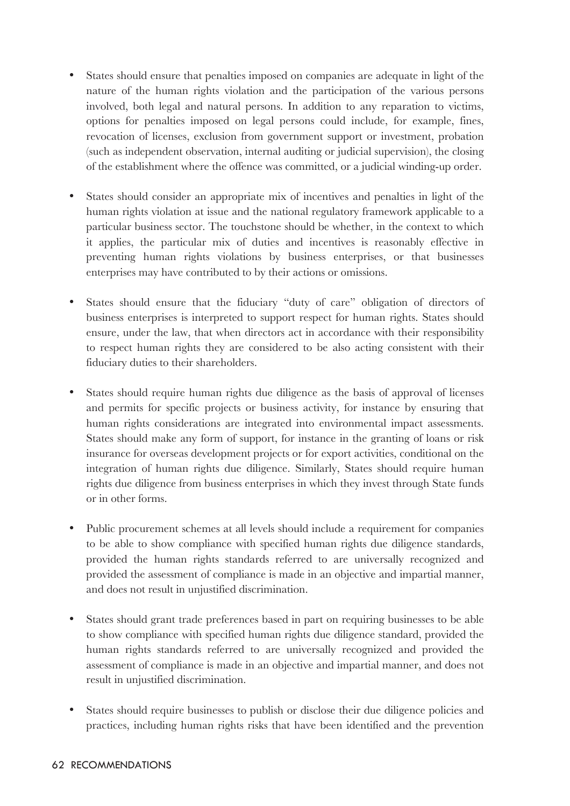- States should ensure that penalties imposed on companies are adequate in light of the nature of the human rights violation and the participation of the various persons involved, both legal and natural persons. In addition to any reparation to victims, options for penalties imposed on legal persons could include, for example, fines, revocation of licenses, exclusion from government support or investment, probation (such as independent observation, internal auditing or judicial supervision), the closing of the establishment where the offence was committed, or a judicial winding-up order.
- States should consider an appropriate mix of incentives and penalties in light of the human rights violation at issue and the national regulatory framework applicable to a particular business sector. The touchstone should be whether, in the context to which it applies, the particular mix of duties and incentives is reasonably effective in preventing human rights violations by business enterprises, or that businesses enterprises may have contributed to by their actions or omissions.
- States should ensure that the fiduciary "duty of care" obligation of directors of business enterprises is interpreted to support respect for human rights. States should ensure, under the law, that when directors act in accordance with their responsibility to respect human rights they are considered to be also acting consistent with their fiduciary duties to their shareholders.
- States should require human rights due diligence as the basis of approval of licenses and permits for specific projects or business activity, for instance by ensuring that human rights considerations are integrated into environmental impact assessments. States should make any form of support, for instance in the granting of loans or risk insurance for overseas development projects or for export activities, conditional on the integration of human rights due diligence. Similarly, States should require human rights due diligence from business enterprises in which they invest through State funds or in other forms.
- Public procurement schemes at all levels should include a requirement for companies to be able to show compliance with specified human rights due diligence standards, provided the human rights standards referred to are universally recognized and provided the assessment of compliance is made in an objective and impartial manner, and does not result in unjustified discrimination.
- States should grant trade preferences based in part on requiring businesses to be able to show compliance with specified human rights due diligence standard, provided the human rights standards referred to are universally recognized and provided the assessment of compliance is made in an objective and impartial manner, and does not result in unjustified discrimination.
- States should require businesses to publish or disclose their due diligence policies and practices, including human rights risks that have been identified and the prevention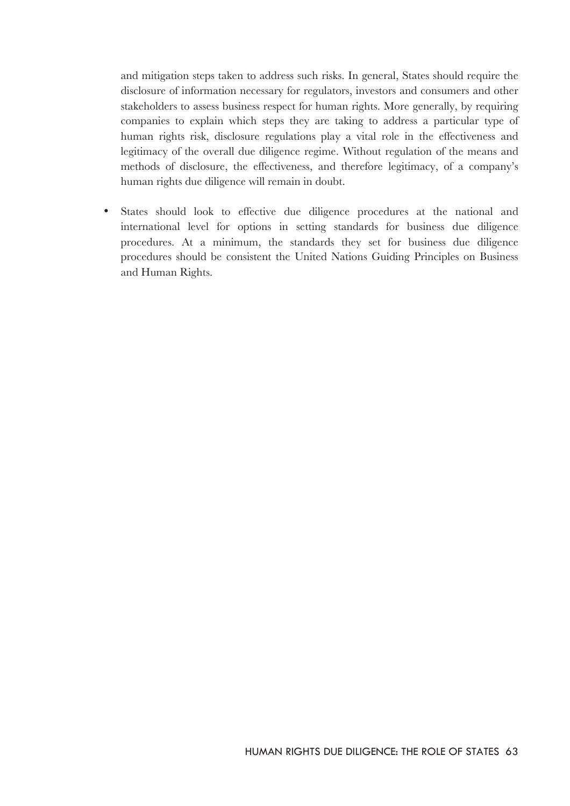and mitigation steps taken to address such risks. In general, States should require the disclosure of information necessary for regulators, investors and consumers and other stakeholders to assess business respect for human rights. More generally, by requiring companies to explain which steps they are taking to address a particular type of human rights risk, disclosure regulations play a vital role in the effectiveness and legitimacy of the overall due diligence regime. Without regulation of the means and methods of disclosure, the effectiveness, and therefore legitimacy, of a company's human rights due diligence will remain in doubt.

• States should look to effective due diligence procedures at the national and international level for options in setting standards for business due diligence procedures. At a minimum, the standards they set for business due diligence procedures should be consistent the United Nations Guiding Principles on Business and Human Rights.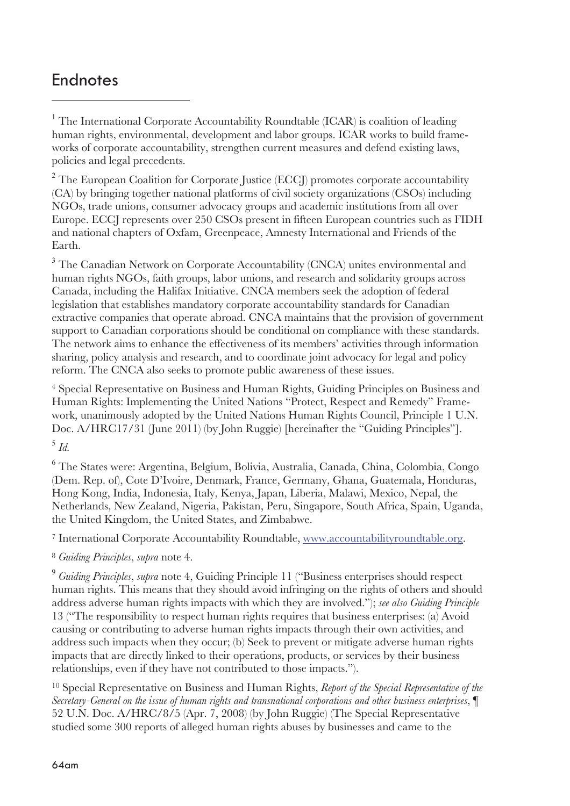# **Endnotes**

 $\overline{a}$ 

<sup>1</sup> The International Corporate Accountability Roundtable (ICAR) is coalition of leading human rights, environmental, development and labor groups. ICAR works to build frameworks of corporate accountability, strengthen current measures and defend existing laws, policies and legal precedents.

<sup>2</sup> The European Coalition for Corporate Justice (ECCJ) promotes corporate accountability (CA) by bringing together national platforms of civil society organizations (CSOs) including NGOs, trade unions, consumer advocacy groups and academic institutions from all over Europe. ECCJ represents over 250 CSOs present in fifteen European countries such as FIDH and national chapters of Oxfam, Greenpeace, Amnesty International and Friends of the Earth.

<sup>3</sup> The Canadian Network on Corporate Accountability (CNCA) unites environmental and human rights NGOs, faith groups, labor unions, and research and solidarity groups across Canada, including the Halifax Initiative. CNCA members seek the adoption of federal legislation that establishes mandatory corporate accountability standards for Canadian extractive companies that operate abroad. CNCA maintains that the provision of government support to Canadian corporations should be conditional on compliance with these standards. The network aims to enhance the effectiveness of its members' activities through information sharing, policy analysis and research, and to coordinate joint advocacy for legal and policy reform. The CNCA also seeks to promote public awareness of these issues.

4 Special Representative on Business and Human Rights, Guiding Principles on Business and Human Rights: Implementing the United Nations "Protect, Respect and Remedy" Framework, unanimously adopted by the United Nations Human Rights Council, Principle 1 U.N. Doc. A/HRC17/31 (June 2011) (by John Ruggie) [hereinafter the "Guiding Principles"]. 5 *Id.*

6 The States were: Argentina, Belgium, Bolivia, Australia, Canada, China, Colombia, Congo (Dem. Rep. of), Cote D'Ivoire, Denmark, France, Germany, Ghana, Guatemala, Honduras, Hong Kong, India, Indonesia, Italy, Kenya, Japan, Liberia, Malawi, Mexico, Nepal, the Netherlands, New Zealand, Nigeria, Pakistan, Peru, Singapore, South Africa, Spain, Uganda, the United Kingdom, the United States, and Zimbabwe.

<sup>7</sup> International Corporate Accountability Roundtable, www.accountabilityroundtable.org.

<sup>8</sup> *Guiding Principles*, *supra* note 4.

<sup>9</sup> *Guiding Principles*, *supra* note 4, Guiding Principle 11 ("Business enterprises should respect human rights. This means that they should avoid infringing on the rights of others and should address adverse human rights impacts with which they are involved."); *see also Guiding Principle*  13 ("The responsibility to respect human rights requires that business enterprises: (a) Avoid causing or contributing to adverse human rights impacts through their own activities, and address such impacts when they occur; (b) Seek to prevent or mitigate adverse human rights impacts that are directly linked to their operations, products, or services by their business relationships, even if they have not contributed to those impacts.").

<sup>10</sup> Special Representative on Business and Human Rights, *Report of the Special Representative of the Secretary-General on the issue of human rights and transnational corporations and other business enterprises*, ¶ 52 U.N. Doc. A/HRC/8/5 (Apr. 7, 2008) (by John Ruggie) (The Special Representative studied some 300 reports of alleged human rights abuses by businesses and came to the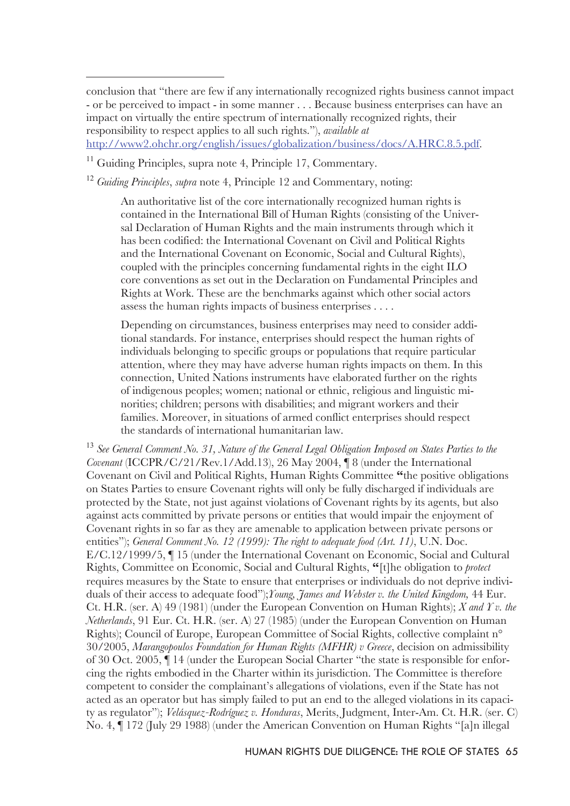conclusion that "there are few if any internationally recognized rights business cannot impact - or be perceived to impact - in some manner . . . Because business enterprises can have an impact on virtually the entire spectrum of internationally recognized rights, their responsibility to respect applies to all such rights."), *available at*  http://www2.ohchr.org/english/issues/globalization/business/docs/A.HRC.8.5.pdf.

 $11$  Guiding Principles, supra note 4, Principle 17, Commentary.

 $\overline{a}$ 

<sup>12</sup> *Guiding Principles*, *supra* note 4, Principle 12 and Commentary, noting:

An authoritative list of the core internationally recognized human rights is contained in the International Bill of Human Rights (consisting of the Universal Declaration of Human Rights and the main instruments through which it has been codified: the International Covenant on Civil and Political Rights and the International Covenant on Economic, Social and Cultural Rights), coupled with the principles concerning fundamental rights in the eight ILO core conventions as set out in the Declaration on Fundamental Principles and Rights at Work. These are the benchmarks against which other social actors assess the human rights impacts of business enterprises . . . .

Depending on circumstances, business enterprises may need to consider additional standards. For instance, enterprises should respect the human rights of individuals belonging to specific groups or populations that require particular attention, where they may have adverse human rights impacts on them. In this connection, United Nations instruments have elaborated further on the rights of indigenous peoples; women; national or ethnic, religious and linguistic minorities; children; persons with disabilities; and migrant workers and their families. Moreover, in situations of armed conflict enterprises should respect the standards of international humanitarian law.

<sup>13</sup> *See General Comment No. 31, Nature of the General Legal Obligation Imposed on States Parties to the Covenant* (ICCPR/C/21/Rev.1/Add.13), 26 May 2004, ¶ 8 (under the International Covenant on Civil and Political Rights, Human Rights Committee **"**the positive obligations on States Parties to ensure Covenant rights will only be fully discharged if individuals are protected by the State, not just against violations of Covenant rights by its agents, but also against acts committed by private persons or entities that would impair the enjoyment of Covenant rights in so far as they are amenable to application between private persons or entities"); *General Comment No. 12 (1999): The right to adequate food (Art. 11)*, U.N. Doc. E/C.12/1999/5, ¶ 15 (under the International Covenant on Economic, Social and Cultural Rights, Committee on Economic, Social and Cultural Rights, **"**[t]he obligation to *protect*  requires measures by the State to ensure that enterprises or individuals do not deprive individuals of their access to adequate food");*Young, James and Webster v. the United Kingdom,* 44 Eur. Ct. H.R. (ser. A) 49 (1981) (under the European Convention on Human Rights); *X and Y v. the Netherlands*, 91 Eur. Ct. H.R. (ser. A) 27 (1985) (under the European Convention on Human Rights); Council of Europe, European Committee of Social Rights, collective complaint n° 30/2005, *Marangopoulos Foundation for Human Rights (MFHR) v Greece*, decision on admissibility of 30 Oct. 2005, ¶ 14 (under the European Social Charter "the state is responsible for enforcing the rights embodied in the Charter within its jurisdiction. The Committee is therefore competent to consider the complainant's allegations of violations, even if the State has not acted as an operator but has simply failed to put an end to the alleged violations in its capacity as regulator"); *Velásquez-Rodríguez v. Honduras*, Merits, Judgment, Inter-Am. Ct. H.R. (ser. C) No. 4, ¶ 172 (July 29 1988) (under the American Convention on Human Rights "[a]n illegal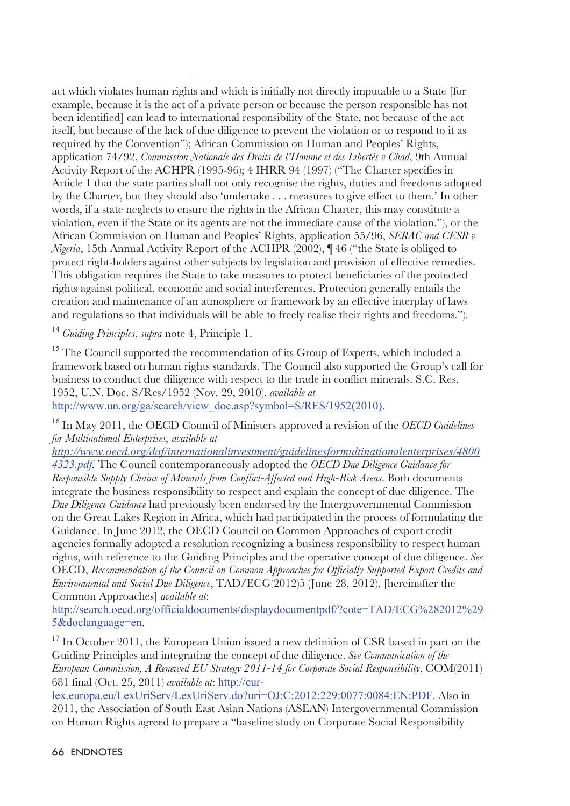act which violates human rights and which is initially not directly imputable to a State [for example, because it is the act of a private person or because the person responsible has not been identified] can lead to international responsibility of the State, not because of the act itself, but because of the lack of due diligence to prevent the violation or to respond to it as required by the Convention"); African Commission on Human and Peoples' Rights, application 74/92, *Commission Nationale des Droits de l'Homme et des Libertés v Chad*, 9th Annual Activity Report of the ACHPR (1995-96); 4 IHRR 94 (1997) ("The Charter specifies in Article 1 that the state parties shall not only recognise the rights, duties and freedoms adopted by the Charter, but they should also 'undertake . . . measures to give effect to them.' In other words, if a state neglects to ensure the rights in the African Charter, this may constitute a violation, even if the State or its agents are not the immediate cause of the violation."), or the African Commission on Human and Peoples' Rights, application 55/96, *SERAC and CESR v Nigeria*, 15th Annual Activity Report of the ACHPR (2002), ¶ 46 ("the State is obliged to protect right-holders against other subjects by legislation and provision of effective remedies. This obligation requires the State to take measures to protect beneficiaries of the protected rights against political, economic and social interferences. Protection generally entails the creation and maintenance of an atmosphere or framework by an effective interplay of laws and regulations so that individuals will be able to freely realise their rights and freedoms.").

<sup>14</sup> *Guiding Principles*, *supra* note 4, Principle 1.

 $\overline{a}$ 

<sup>15</sup> The Council supported the recommendation of its Group of Experts, which included a framework based on human rights standards. The Council also supported the Group's call for business to conduct due diligence with respect to the trade in conflict minerals. S.C. Res. 1952, U.N. Doc. S/Res/1952 (Nov. 29, 2010), *available at* http://www.un.org/ga/search/view\_doc.asp?symbol=S/RES/1952(2010).

<sup>16</sup> In May 2011, the OECD Council of Ministers approved a revision of the *OECD Guidelines for Multinational Enterprises, available at* 

*http://www.oecd.org/daf/internationalinvestment/guidelinesformultinationalenterprises/4800 4323.pdf.* The Council contemporaneously adopted the *OECD Due Diligence Guidance for Responsible Supply Chains of Minerals from Conflict-Affected and High-Risk Areas*. Both documents integrate the business responsibility to respect and explain the concept of due diligence. The *Due Diligence Guidance* had previously been endorsed by the Intergrovernmental Commission on the Great Lakes Region in Africa, which had participated in the process of formulating the Guidance. In June 2012, the OECD Council on Common Approaches of export credit agencies formally adopted a resolution recognizing a business responsibility to respect human rights, with reference to the Guiding Principles and the operative concept of due diligence. *See* OECD, *Recommendation of the Council on Common Approaches for Officially Supported Export Credits and Environmental and Social Due Diligence*, TAD/ECG(2012)5 (June 28, 2012), [hereinafter the Common Approaches] *available at*:

http://search.oecd.org/officialdocuments/displaydocumentpdf/?cote=TAD/ECG%282012%29 5&doclanguage=en.

<sup>17</sup> In October 2011, the European Union issued a new definition of CSR based in part on the Guiding Principles and integrating the concept of due diligence. *See Communication of the European Commission, A Renewed EU Strategy 2011-14 for Corporate Social Responsibility*, COM(2011) 681 final (Oct. 25, 2011) *available at*: http://eur-

lex.europa.eu/LexUriServ/LexUriServ.do?uri=OJ:C:2012:229:0077:0084:EN:PDF. Also in 2011, the Association of South East Asian Nations (ASEAN) Intergovernmental Commission on Human Rights agreed to prepare a "baseline study on Corporate Social Responsibility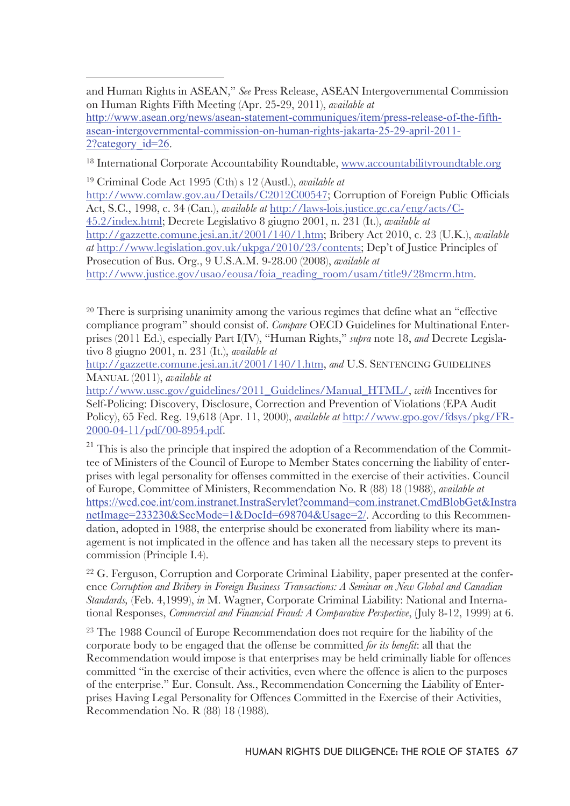and Human Rights in ASEAN," *See* Press Release, ASEAN Intergovernmental Commission on Human Rights Fifth Meeting (Apr. 25-29, 2011), *available at*  http://www.asean.org/news/asean-statement-communiques/item/press-release-of-the-fifthasean-intergovernmental-commission-on-human-rights-jakarta-25-29-april-2011- 2?category\_id=26.

 $\overline{a}$ 

<sup>18</sup> International Corporate Accountability Roundtable, www.accountabilityroundtable.org

<sup>19</sup> Criminal Code Act 1995 (Cth) s 12 (Austl.), *available at*  http://www.comlaw.gov.au/Details/C2012C00547; Corruption of Foreign Public Officials Act, S.C., 1998, c. 34 (Can.), *available at* http://laws-lois.justice.gc.ca/eng/acts/C-45.2/index.html; Decrete Legislativo 8 giugno 2001, n. 231 (It.), *available at*  http://gazzette.comune.jesi.an.it/2001/140/1.htm; Bribery Act 2010, c. 23 (U.K.), *available at* http://www.legislation.gov.uk/ukpga/2010/23/contents; Dep't of Justice Principles of Prosecution of Bus. Org., 9 U.S.A.M. 9-28.00 (2008), *available at* http://www.justice.gov/usao/eousa/foia\_reading\_room/usam/title9/28mcrm.htm.

<sup>20</sup> There is surprising unanimity among the various regimes that define what an "effective compliance program" should consist of. *Compare* OECD Guidelines for Multinational Enterprises (2011 Ed.), especially Part I(IV), "Human Rights," *supra* note 18, *and* Decrete Legislativo 8 giugno 2001, n. 231 (It.), *available at* 

http://gazzette.comune.jesi.an.it/2001/140/1.htm, *and* U.S. SENTENCING GUIDELINES MANUAL (2011), *available at* 

http://www.ussc.gov/guidelines/2011\_Guidelines/Manual\_HTML/, *with* Incentives for Self-Policing: Discovery, Disclosure, Correction and Prevention of Violations (EPA Audit Policy), 65 Fed. Reg. 19,618 (Apr. 11, 2000), *available at* http://www.gpo.gov/fdsys/pkg/FR-2000-04-11/pdf/00-8954.pdf.

 $21$  This is also the principle that inspired the adoption of a Recommendation of the Committee of Ministers of the Council of Europe to Member States concerning the liability of enterprises with legal personality for offenses committed in the exercise of their activities. Council of Europe, Committee of Ministers, Recommendation No. R (88) 18 (1988), *available at*  https://wcd.coe.int/com.instranet.InstraServlet?command=com.instranet.CmdBlobGet&Instra netImage=233230&SecMode=1&DocId=698704&Usage=2/. According to this Recommendation, adopted in 1988, the enterprise should be exonerated from liability where its management is not implicated in the offence and has taken all the necessary steps to prevent its commission (Principle I.4).

22 G. Ferguson, Corruption and Corporate Criminal Liability, paper presented at the conference *Corruption and Bribery in Foreign Business Transactions: A Seminar on New Global and Canadian Standards,* (Feb. 4,1999), *in* M. Wagner, Corporate Criminal Liability: National and International Responses, *Commercial and Financial Fraud: A Comparative Perspective*, (July 8-12, 1999) at 6.

<sup>23</sup> The 1988 Council of Europe Recommendation does not require for the liability of the corporate body to be engaged that the offense be committed *for its benefit*: all that the Recommendation would impose is that enterprises may be held criminally liable for offences committed "in the exercise of their activities, even where the offence is alien to the purposes of the enterprise." Eur. Consult. Ass., Recommendation Concerning the Liability of Enterprises Having Legal Personality for Offences Committed in the Exercise of their Activities, Recommendation No. R (88) 18 (1988).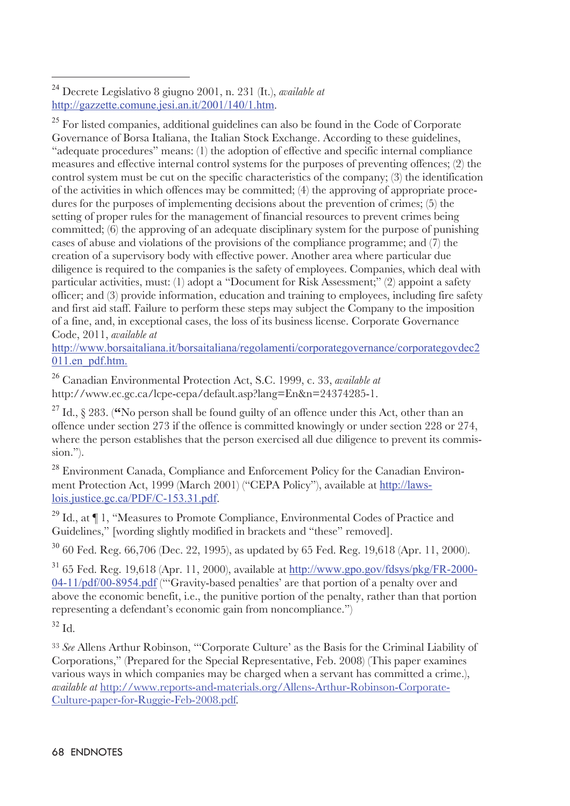<sup>25</sup> For listed companies, additional guidelines can also be found in the Code of Corporate Governance of Borsa Italiana, the Italian Stock Exchange. According to these guidelines, "adequate procedures" means: (1) the adoption of effective and specific internal compliance measures and effective internal control systems for the purposes of preventing offences; (2) the control system must be cut on the specific characteristics of the company; (3) the identification of the activities in which offences may be committed; (4) the approving of appropriate procedures for the purposes of implementing decisions about the prevention of crimes; (5) the setting of proper rules for the management of financial resources to prevent crimes being committed; (6) the approving of an adequate disciplinary system for the purpose of punishing cases of abuse and violations of the provisions of the compliance programme; and (7) the creation of a supervisory body with effective power. Another area where particular due diligence is required to the companies is the safety of employees. Companies, which deal with particular activities, must: (1) adopt a "Document for Risk Assessment;" (2) appoint a safety officer; and (3) provide information, education and training to employees, including fire safety and first aid staff. Failure to perform these steps may subject the Company to the imposition of a fine, and, in exceptional cases, the loss of its business license. Corporate Governance Code, 2011, *available at*

http://www.borsaitaliana.it/borsaitaliana/regolamenti/corporategovernance/corporategovdec2 011.en\_pdf.htm.

<sup>26</sup> Canadian Environmental Protection Act, S.C. 1999, c. 33, *available at*  http://www.ec.gc.ca/lcpe-cepa/default.asp?lang=En&n=24374285-1.

<sup>27</sup> Id., § 283. (**"**No person shall be found guilty of an offence under this Act, other than an offence under section 273 if the offence is committed knowingly or under section 228 or 274, where the person establishes that the person exercised all due diligence to prevent its commission.").

<sup>28</sup> Environment Canada, Compliance and Enforcement Policy for the Canadian Environment Protection Act, 1999 (March 2001) ("CEPA Policy"), available at http://lawslois.justice.gc.ca/PDF/C-153.31.pdf.

<sup>29</sup> Id., at ¶ 1, "Measures to Promote Compliance, Environmental Codes of Practice and Guidelines," [wording slightly modified in brackets and "these" removed].

 $30\,60$  Fed. Reg. 66,706 (Dec. 22, 1995), as updated by 65 Fed. Reg. 19,618 (Apr. 11, 2000).

 $31\,65$  Fed. Reg. 19,618 (Apr. 11, 2000), available at http://www.gpo.gov/fdsys/pkg/FR-2000-04-11/pdf/00-8954.pdf ("'Gravity-based penalties' are that portion of a penalty over and above the economic benefit, i.e., the punitive portion of the penalty, rather than that portion representing a defendant's economic gain from noncompliance.")

 $32$  Id.

 $\overline{a}$ 

<sup>33</sup> *See* Allens Arthur Robinson, "'Corporate Culture' as the Basis for the Criminal Liability of Corporations," (Prepared for the Special Representative, Feb. 2008) (This paper examines various ways in which companies may be charged when a servant has committed a crime.), *available at* http://www.reports-and-materials.org/Allens-Arthur-Robinson-Corporate-Culture-paper-for-Ruggie-Feb-2008.pdf*.*

<sup>24</sup> Decrete Legislativo 8 giugno 2001, n. 231 (It.), *available at*  http://gazzette.comune.jesi.an.it/2001/140/1.htm.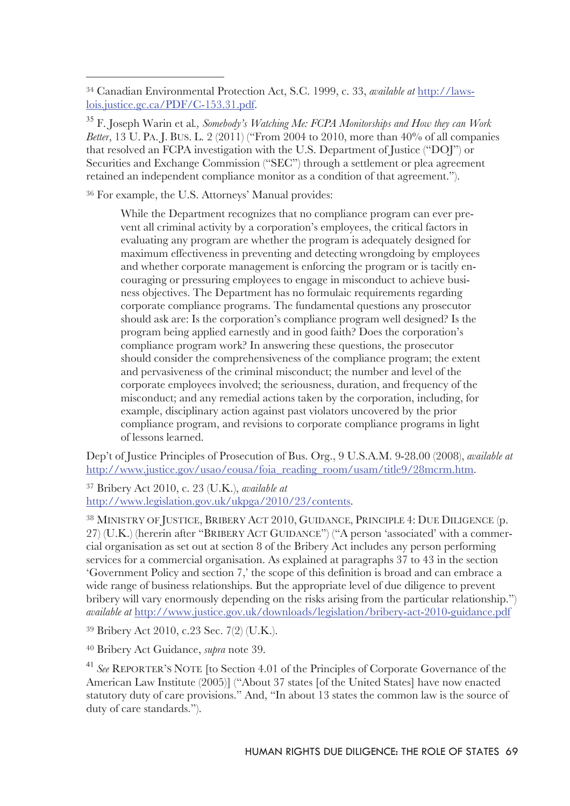<sup>35</sup> F. Joseph Warin et al*., Somebody's Watching Me: FCPA Monitorships and How they can Work Better*, 13 U. PA. J. BUS. L. 2 (2011) ("From 2004 to 2010, more than 40% of all companies that resolved an FCPA investigation with the U.S. Department of Justice ("DOJ") or Securities and Exchange Commission ("SEC") through a settlement or plea agreement retained an independent compliance monitor as a condition of that agreement.").

<sup>36</sup> For example, the U.S. Attorneys' Manual provides:

 $\overline{a}$ 

While the Department recognizes that no compliance program can ever prevent all criminal activity by a corporation's employees, the critical factors in evaluating any program are whether the program is adequately designed for maximum effectiveness in preventing and detecting wrongdoing by employees and whether corporate management is enforcing the program or is tacitly encouraging or pressuring employees to engage in misconduct to achieve business objectives. The Department has no formulaic requirements regarding corporate compliance programs. The fundamental questions any prosecutor should ask are: Is the corporation's compliance program well designed? Is the program being applied earnestly and in good faith? Does the corporation's compliance program work? In answering these questions, the prosecutor should consider the comprehensiveness of the compliance program; the extent and pervasiveness of the criminal misconduct; the number and level of the corporate employees involved; the seriousness, duration, and frequency of the misconduct; and any remedial actions taken by the corporation, including, for example, disciplinary action against past violators uncovered by the prior compliance program, and revisions to corporate compliance programs in light of lessons learned.

Dep't of Justice Principles of Prosecution of Bus. Org., 9 U.S.A.M. 9-28.00 (2008), *available at* http://www.justice.gov/usao/eousa/foia\_reading\_room/usam/title9/28mcrm.htm.

<sup>37</sup> Bribery Act 2010, c. 23 (U.K.), *available at*  http://www.legislation.gov.uk/ukpga/2010/23/contents.

<sup>38</sup> MINISTRY OF JUSTICE, BRIBERY ACT 2010, GUIDANCE, PRINCIPLE 4: DUE DILIGENCE (p. 27) (U.K.) (hererin after "BRIBERY ACT GUIDANCE") ("A person 'associated' with a commercial organisation as set out at section 8 of the Bribery Act includes any person performing services for a commercial organisation. As explained at paragraphs 37 to 43 in the section 'Government Policy and section 7,' the scope of this definition is broad and can embrace a wide range of business relationships. But the appropriate level of due diligence to prevent bribery will vary enormously depending on the risks arising from the particular relationship.") *available at* http://www.justice.gov.uk/downloads/legislation/bribery-act-2010-guidance.pdf

<sup>39</sup> Bribery Act 2010, c.23 Sec. 7(2) (U.K.).

<sup>40</sup> Bribery Act Guidance, *supra* note 39.

<sup>41</sup> *See* REPORTER'S NOTE [to Section 4.01 of the Principles of Corporate Governance of the American Law Institute (2005)] ("About 37 states [of the United States] have now enacted statutory duty of care provisions." And, "In about 13 states the common law is the source of duty of care standards.").

<sup>34</sup> Canadian Environmental Protection Act, S.C. 1999, c. 33, *available at* http://lawslois.justice.gc.ca/PDF/C-153.31.pdf.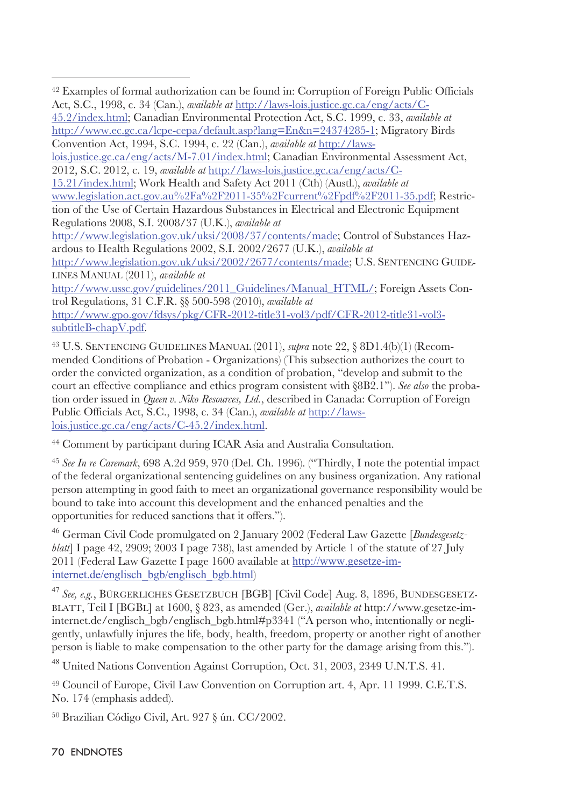45.2/index.html; Canadian Environmental Protection Act, S.C. 1999, c. 33, *available at*  http://www.ec.gc.ca/lcpe-cepa/default.asp?lang=En&n=24374285-1; Migratory Birds Convention Act, 1994, S.C. 1994, c. 22 (Can.), *available at* http://laws-

lois.justice.gc.ca/eng/acts/M-7.01/index.html; Canadian Environmental Assessment Act, 2012, S.C. 2012, c. 19, *available at* http://laws-lois.justice.gc.ca/eng/acts/C-

15.21/index.html; Work Health and Safety Act 2011 (Cth) (Austl.), *available at*  www.legislation.act.gov.au%2Fa%2F2011-35%2Fcurrent%2Fpdf%2F2011-35.pdf; Restriction of the Use of Certain Hazardous Substances in Electrical and Electronic Equipment Regulations 2008, S.I. 2008/37 (U.K.), *available at* 

http://www.legislation.gov.uk/uksi/2008/37/contents/made; Control of Substances Hazardous to Health Regulations 2002, S.I. 2002/2677 (U.K.), *available at* 

http://www.legislation.gov.uk/uksi/2002/2677/contents/made; U.S. SENTENCING GUIDE-LINES MANUAL (2011), *available at* 

http://www.ussc.gov/guidelines/2011\_Guidelines/Manual\_HTML/; Foreign Assets Control Regulations, 31 C.F.R. §§ 500-598 (2010), *available at* 

http://www.gpo.gov/fdsys/pkg/CFR-2012-title31-vol3/pdf/CFR-2012-title31-vol3 subtitleB-chapV.pdf.

<sup>43</sup> U.S. SENTENCING GUIDELINES MANUAL (2011), *supra* note 22, § 8D1.4(b)(1) (Recommended Conditions of Probation - Organizations) (This subsection authorizes the court to order the convicted organization, as a condition of probation, "develop and submit to the court an effective compliance and ethics program consistent with §8B2.1"). *See also* the probation order issued in *Queen v. Niko Resources, Ltd.*, described in Canada: Corruption of Foreign Public Officials Act, S.C., 1998, c. 34 (Can.), *available at* http://lawslois.justice.gc.ca/eng/acts/C-45.2/index.html.

<sup>44</sup> Comment by participant during ICAR Asia and Australia Consultation.

<sup>45</sup> *See In re Caremark*, 698 A.2d 959, 970 (Del. Ch. 1996). ("Thirdly, I note the potential impact of the federal organizational sentencing guidelines on any business organization. Any rational person attempting in good faith to meet an organizational governance responsibility would be bound to take into account this development and the enhanced penalties and the opportunities for reduced sanctions that it offers.").

<sup>46</sup> German Civil Code promulgated on 2 January 2002 (Federal Law Gazette [*Bundesgesetzblatt*] I page 42, 2909; 2003 I page 738), last amended by Article 1 of the statute of 27 July 2011 (Federal Law Gazette I page 1600 available at http://www.gesetze-iminternet.de/englisch\_bgb/englisch\_bgb.html)

<sup>47</sup> *See, e.g.*, BÜRGERLICHES GESETZBUCH [BGB] [Civil Code] Aug. 8, 1896, BUNDESGESETZ-BLATT, Teil I [BGBL] at 1600, § 823, as amended (Ger.), *available at* http://www.gesetze-iminternet.de/englisch\_bgb/englisch\_bgb.html#p3341 ("A person who, intentionally or negligently, unlawfully injures the life, body, health, freedom, property or another right of another person is liable to make compensation to the other party for the damage arising from this.").

<sup>48</sup> United Nations Convention Against Corruption, Oct. 31, 2003, 2349 U.N.T.S. 41.

<sup>49</sup> Council of Europe, Civil Law Convention on Corruption art. 4, Apr. 11 1999. C.E.T.S. No. 174 (emphasis added).

50 Brazilian Código Civil, Art. 927 § ún. CC/2002.

 $\overline{a}$ 

<sup>42</sup> Examples of formal authorization can be found in: Corruption of Foreign Public Officials Act, S.C., 1998, c. 34 (Can.), *available at* http://laws-lois.justice.gc.ca/eng/acts/C-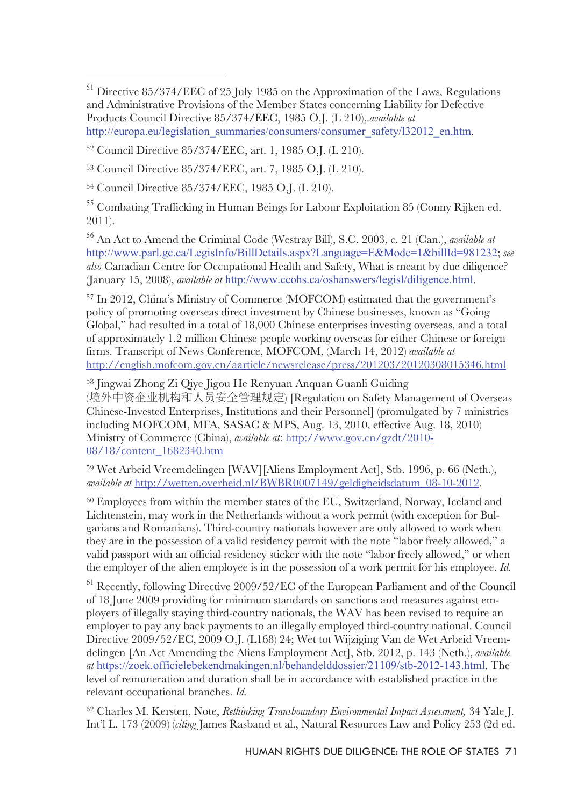<sup>51</sup> Directive 85/374/EEC of 25 July 1985 on the Approximation of the Laws, Regulations and Administrative Provisions of the Member States concerning Liability for Defective Products Council Directive 85/374/EEC, 1985 O.J. (L 210),.*available at* http://europa.eu/legislation\_summaries/consumers/consumer\_safety/l32012\_en.htm.

<sup>52</sup> Council Directive 85/374/EEC, art. 1, 1985 O.J. (L 210).

<sup>53</sup> Council Directive 85/374/EEC, art. 7, 1985 O.J. (L 210).

<sup>54</sup> Council Directive 85/374/EEC, 1985 O.J. (L 210).

 $\overline{a}$ 

<sup>55</sup> Combating Trafficking in Human Beings for Labour Exploitation 85 (Conny Rijken ed. 2011).

<sup>56</sup> An Act to Amend the Criminal Code (Westray Bill), S.C. 2003, c. 21 (Can.), *available at* http://www.parl.gc.ca/LegisInfo/BillDetails.aspx?Language=E&Mode=1&billId=981232; *see also* Canadian Centre for Occupational Health and Safety, What is meant by due diligence? (January 15, 2008), *available at* http://www.ccohs.ca/oshanswers/legisl/diligence.html.

<sup>57</sup> In 2012, China's Ministry of Commerce (MOFCOM) estimated that the government's policy of promoting overseas direct investment by Chinese businesses, known as "Going Global," had resulted in a total of 18,000 Chinese enterprises investing overseas, and a total of approximately 1.2 million Chinese people working overseas for either Chinese or foreign firms. Transcript of News Conference, MOFCOM, (March 14, 2012) *available at* http://english.mofcom.gov.cn/aarticle/newsrelease/press/201203/20120308015346.html

<sup>58</sup> Jingwai Zhong Zi Qiye Jigou He Renyuan Anquan Guanli Guiding (境外中资企业机构和人员安全管理规定) [Regulation on Safety Management of Overseas Chinese-Invested Enterprises, Institutions and their Personnel] (promulgated by 7 ministries including MOFCOM, MFA, SASAC & MPS, Aug. 13, 2010, effective Aug. 18, 2010) Ministry of Commerce (China), *available at*: http://www.gov.cn/gzdt/2010- 08/18/content\_1682340.htm

<sup>59</sup> Wet Arbeid Vreemdelingen [WAV][Aliens Employment Act], Stb. 1996, p. 66 (Neth.), *available at* http://wetten.overheid.nl/BWBR0007149/geldigheidsdatum\_08-10-2012.

<sup>60</sup> Employees from within the member states of the EU, Switzerland, Norway, Iceland and Lichtenstein, may work in the Netherlands without a work permit (with exception for Bulgarians and Romanians). Third-country nationals however are only allowed to work when they are in the possession of a valid residency permit with the note "labor freely allowed," a valid passport with an official residency sticker with the note "labor freely allowed," or when the employer of the alien employee is in the possession of a work permit for his employee. *Id.* 

<sup>61</sup> Recently, following Directive 2009/52/EC of the European Parliament and of the Council of 18 June 2009 providing for minimum standards on sanctions and measures against employers of illegally staying third-country nationals, the WAV has been revised to require an employer to pay any back payments to an illegally employed third-country national. Council Directive 2009/52/EC, 2009 O.J. (L168) 24; Wet tot Wijziging Van de Wet Arbeid Vreemdelingen [An Act Amending the Aliens Employment Act], Stb. 2012, p. 143 (Neth.), *available at* https://zoek.officielebekendmakingen.nl/behandelddossier/21109/stb-2012-143.html. The level of remuneration and duration shall be in accordance with established practice in the relevant occupational branches. *Id.*

<sup>62</sup> Charles M. Kersten, Note, *Rethinking Transboundary Environmental Impact Assessment,* 34 Yale J. Int'l L. 173 (2009) (*citing* James Rasband et al., Natural Resources Law and Policy 253 (2d ed.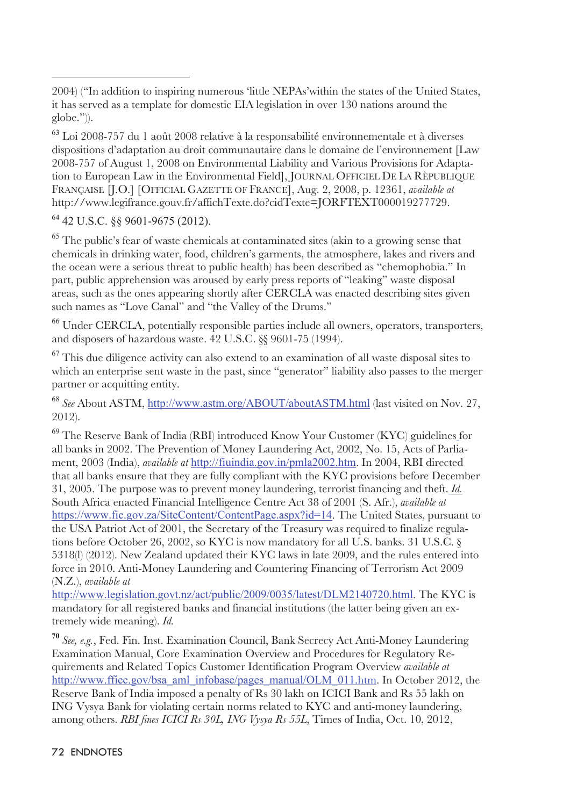2004) ("In addition to inspiring numerous 'little NEPAs'within the states of the United States, it has served as a template for domestic EIA legislation in over 130 nations around the globe.")).

<sup>63</sup> Loi 2008-757 du 1 août 2008 relative à la responsabilité environnementale et à diverses dispositions d'adaptation au droit communautaire dans le domaine de l'environnement [Law 2008-757 of August 1, 2008 on Environmental Liability and Various Provisions for Adaptation to European Law in the Environmental Field], JOURNAL OFFICIEL DE LA RÈPUBLIQUE FRANÇAISE [J.O.] [OFFICIAL GAZETTE OF FRANCE], Aug. 2, 2008, p. 12361, *available at*  http://www.legifrance.gouv.fr/affichTexte.do?cidTexte=JORFTEXT000019277729.

<sup>64</sup> 42 U.S.C. §§ 9601-9675 (2012).

 $\overline{a}$ 

<sup>65</sup> The public's fear of waste chemicals at contaminated sites (akin to a growing sense that chemicals in drinking water, food, children's garments, the atmosphere, lakes and rivers and the ocean were a serious threat to public health) has been described as "chemophobia." In part, public apprehension was aroused by early press reports of "leaking" waste disposal areas, such as the ones appearing shortly after CERCLA was enacted describing sites given such names as "Love Canal" and "the Valley of the Drums."

<sup>66</sup> Under CERCLA, potentially responsible parties include all owners, operators, transporters, and disposers of hazardous waste. 42 U.S.C. §§ 9601-75 (1994).

<sup>67</sup> This due diligence activity can also extend to an examination of all waste disposal sites to which an enterprise sent waste in the past, since "generator" liability also passes to the merger partner or acquitting entity.

<sup>68</sup> *See* About ASTM, http://www.astm.org/ABOUT/aboutASTM.html (last visited on Nov. 27, 2012).

<sup>69</sup> The Reserve Bank of India (RBI) introduced Know Your Customer (KYC) guidelines for all banks in 2002. The Prevention of Money Laundering Act, 2002, No. 15, Acts of Parliament, 2003 (India), *available at* http://fiuindia.gov.in/pmla2002.htm. In 2004, RBI directed that all banks ensure that they are fully compliant with the KYC provisions before December 31, 2005. The purpose was to prevent money laundering, terrorist financing and theft. *Id.* South Africa enacted Financial Intelligence Centre Act 38 of 2001 (S. Afr.), *available at*  https://www.fic.gov.za/SiteContent/ContentPage.aspx?id=14. The United States, pursuant to the USA Patriot Act of 2001, the Secretary of the Treasury was required to finalize regulations before October 26, 2002, so KYC is now mandatory for all U.S. banks. 31 U.S.C. § 5318(l) (2012). New Zealand updated their KYC laws in late 2009, and the rules entered into force in 2010. Anti-Money Laundering and Countering Financing of Terrorism Act 2009 (N.Z.), *available at* 

http://www.legislation.govt.nz/act/public/2009/0035/latest/DLM2140720.html. The KYC is mandatory for all registered banks and financial institutions (the latter being given an extremely wide meaning). *Id.*

**<sup>70</sup>** *See, e.g.*, Fed. Fin. Inst. Examination Council, Bank Secrecy Act Anti-Money Laundering Examination Manual, Core Examination Overview and Procedures for Regulatory Requirements and Related Topics Customer Identification Program Overview *available at* http://www.ffiec.gov/bsa\_aml\_infobase/pages\_manual/OLM\_011.htm. In October 2012, the Reserve Bank of India imposed a penalty of Rs 30 lakh on ICICI Bank and Rs 55 lakh on ING Vysya Bank for violating certain norms related to KYC and anti-money laundering, among others. *RBI fines ICICI Rs 30L, ING Vysya Rs 55L*, Times of India, Oct. 10, 2012,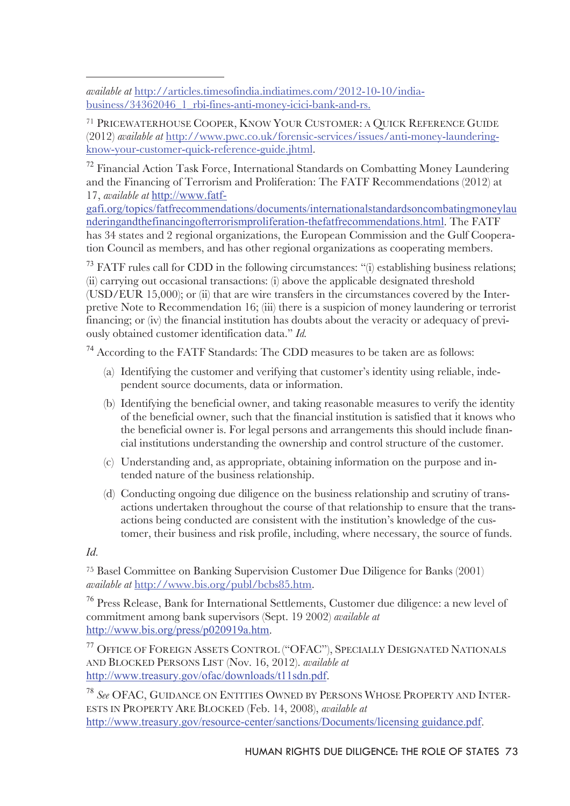<sup>71</sup> PRICEWATERHOUSE COOPER, KNOW YOUR CUSTOMER: A QUICK REFERENCE GUIDE (2012) *available at* http://www.pwc.co.uk/forensic-services/issues/anti-money-launderingknow-your-customer-quick-reference-guide.jhtml.

<sup>72</sup> Financial Action Task Force, International Standards on Combatting Money Laundering and the Financing of Terrorism and Proliferation: The FATF Recommendations (2012) at 17, *available at* http://www.fatf-

gafi.org/topics/fatfrecommendations/documents/internationalstandardsoncombatingmoneylau nderingandthefinancingofterrorismproliferation-thefatfrecommendations.html. The FATF has 34 states and 2 regional organizations, the European Commission and the Gulf Cooperation Council as members, and has other regional organizations as cooperating members.

 $^{73}$  FATF rules call for CDD in the following circumstances: "(i) establishing business relations; (ii) carrying out occasional transactions: (i) above the applicable designated threshold (USD/EUR 15,000); or (ii) that are wire transfers in the circumstances covered by the Interpretive Note to Recommendation 16; (iii) there is a suspicion of money laundering or terrorist financing; or (iv) the financial institution has doubts about the veracity or adequacy of previously obtained customer identification data." *Id.*

<sup>74</sup> According to the FATF Standards: The CDD measures to be taken are as follows:

- (a) Identifying the customer and verifying that customer's identity using reliable, independent source documents, data or information.
- (b) Identifying the beneficial owner, and taking reasonable measures to verify the identity of the beneficial owner, such that the financial institution is satisfied that it knows who the beneficial owner is. For legal persons and arrangements this should include financial institutions understanding the ownership and control structure of the customer.
- (c) Understanding and, as appropriate, obtaining information on the purpose and intended nature of the business relationship.
- (d) Conducting ongoing due diligence on the business relationship and scrutiny of transactions undertaken throughout the course of that relationship to ensure that the transactions being conducted are consistent with the institution's knowledge of the customer, their business and risk profile, including, where necessary, the source of funds.

*Id.*

 $\overline{a}$ 

<sup>75</sup> Basel Committee on Banking Supervision Customer Due Diligence for Banks (2001) *available at* http://www.bis.org/publ/bcbs85.htm.

<sup>76</sup> Press Release, Bank for International Settlements, Customer due diligence: a new level of commitment among bank supervisors (Sept. 19 2002) *available at* http://www.bis.org/press/p020919a.htm.

<sup>77</sup> OFFICE OF FOREIGN ASSETS CONTROL ("OFAC"), SPECIALLY DESIGNATED NATIONALS AND BLOCKED PERSONS LIST (Nov. 16, 2012). *available at*  http://www.treasury.gov/ofac/downloads/t11sdn.pdf.

<sup>78</sup> *See* OFAC, GUIDANCE ON ENTITIES OWNED BY PERSONS WHOSE PROPERTY AND INTER-ESTS IN PROPERTY ARE BLOCKED (Feb. 14, 2008), *available at*  http://www.treasury.gov/resource-center/sanctions/Documents/licensing guidance.pdf.

*available at* http://articles.timesofindia.indiatimes.com/2012-10-10/indiabusiness/34362046\_1\_rbi-fines-anti-money-icici-bank-and-rs.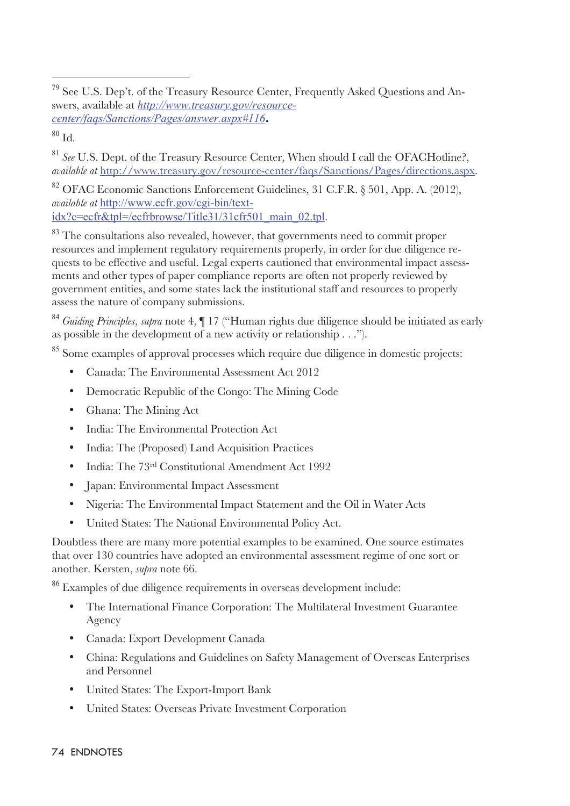$\overline{a}$ 

<sup>81</sup> *See* U.S. Dept. of the Treasury Resource Center, When should I call the OFACHotline?, *available at* http://www.treasury.gov/resource-center/faqs/Sanctions/Pages/directions.aspx.

<sup>82</sup> OFAC Economic Sanctions Enforcement Guidelines, 31 C.F.R. § 501, App. A. (2012), *available at* http://www.ecfr.gov/cgi-bin/textidx?c=ecfr&tpl=/ecfrbrowse/Title31/31cfr501\_main\_02.tpl.

<sup>83</sup> The consultations also revealed, however, that governments need to commit proper resources and implement regulatory requirements properly, in order for due diligence requests to be effective and useful. Legal experts cautioned that environmental impact assessments and other types of paper compliance reports are often not properly reviewed by government entities, and some states lack the institutional staff and resources to properly assess the nature of company submissions.

<sup>84</sup> *Guiding Principles*, *supra* note 4, ¶ 17 ("Human rights due diligence should be initiated as early as possible in the development of a new activity or relationship . . .").

<sup>85</sup> Some examples of approval processes which require due diligence in domestic projects:

- Canada: The Environmental Assessment Act 2012
- Democratic Republic of the Congo: The Mining Code
- Ghana: The Mining Act
- India: The Environmental Protection Act
- India: The (Proposed) Land Acquisition Practices
- India: The 73<sup>rd</sup> Constitutional Amendment Act 1992
- Japan: Environmental Impact Assessment
- Nigeria: The Environmental Impact Statement and the Oil in Water Acts
- United States: The National Environmental Policy Act.

Doubtless there are many more potential examples to be examined. One source estimates that over 130 countries have adopted an environmental assessment regime of one sort or another. Kersten, *supra* note 66.

<sup>86</sup> Examples of due diligence requirements in overseas development include:

- The International Finance Corporation: The Multilateral Investment Guarantee Agency
- Canada: Export Development Canada
- China: Regulations and Guidelines on Safety Management of Overseas Enterprises and Personnel
- United States: The Export-Import Bank
- United States: Overseas Private Investment Corporation

<sup>79</sup> See U.S. Dep't. of the Treasury Resource Center, Frequently Asked Questions and Answers, available at *http://www.treasury.gov/resourcecenter/faqs/Sanctions/Pages/answer.aspx#116***.** 

 $80$  Id.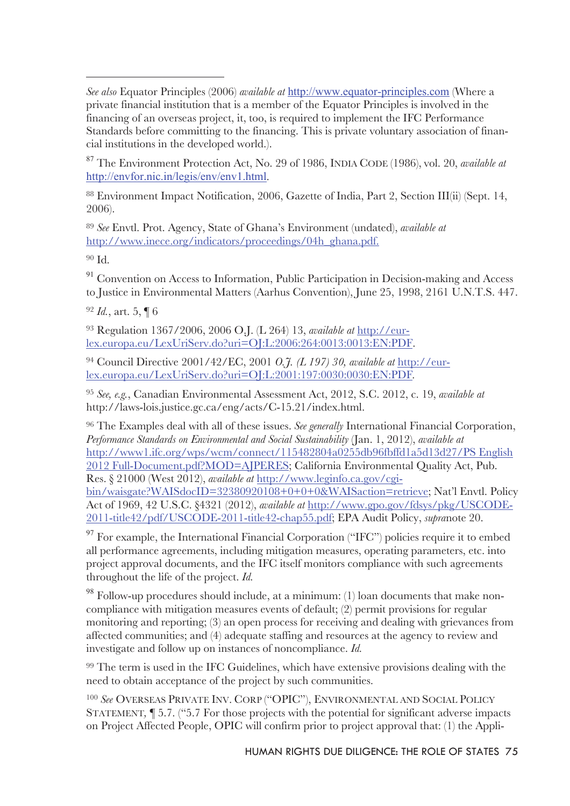*See also* Equator Principles (2006) *available at* http://www.equator-principles.com (Where a private financial institution that is a member of the Equator Principles is involved in the financing of an overseas project, it, too, is required to implement the IFC Performance Standards before committing to the financing. This is private voluntary association of financial institutions in the developed world.).

<sup>87</sup> The Environment Protection Act, No. 29 of 1986, INDIA CODE (1986), vol. 20, *available at* http://envfor.nic.in/legis/env/env1.html.

<sup>88</sup> Environment Impact Notification, 2006, Gazette of India, Part 2, Section III(ii) (Sept. 14, 2006).

<sup>89</sup> *See* Envtl. Prot. Agency, State of Ghana's Environment (undated), *available at*  http://www.inece.org/indicators/proceedings/04h\_ghana.pdf.

<sup>90</sup> Id.

 $\overline{a}$ 

<sup>91</sup> Convention on Access to Information, Public Participation in Decision-making and Access to Justice in Environmental Matters (Aarhus Convention), June 25, 1998, 2161 U.N.T.S. 447.

<sup>92</sup> *Id.*, art. 5, ¶ 6

<sup>93</sup> Regulation 1367/2006, 2006 O.J. (L 264) 13, *available at* http://eurlex.europa.eu/LexUriServ.do?uri=OJ:L:2006:264:0013:0013:EN:PDF.

<sup>94</sup> Council Directive 2001/42/EC, 2001 *O.J. (L 197) 30, available at* http://eurlex.europa.eu/LexUriServ.do?uri=OJ:L:2001:197:0030:0030:EN:PDF*.*

<sup>95</sup> *See, e.g.*, Canadian Environmental Assessment Act, 2012, S.C. 2012, c. 19, *available at* http://laws-lois.justice.gc.ca/eng/acts/C-15.21/index.html.

<sup>96</sup> The Examples deal with all of these issues. *See generally* International Financial Corporation, *Performance Standards on Environmental and Social Sustainability* (Jan. 1, 2012), *available at*  http://www1.ifc.org/wps/wcm/connect/115482804a0255db96fbffd1a5d13d27/PS English 2012 Full-Document.pdf?MOD=AJPERES; California Environmental Quality Act, Pub. Res. § 21000 (West 2012), *available at* http://www.leginfo.ca.gov/cgibin/waisgate?WAISdocID=32380920108+0+0+0&WAISaction=retrieve; Nat'l Envtl. Policy Act of 1969, 42 U.S.C. §4321 (2012), *available at* http://www.gpo.gov/fdsys/pkg/USCODE-2011-title42/pdf/USCODE-2011-title42-chap55.pdf; EPA Audit Policy, *supra*note 20.

<sup>97</sup> For example, the International Financial Corporation ("IFC") policies require it to embed all performance agreements, including mitigation measures, operating parameters, etc. into project approval documents, and the IFC itself monitors compliance with such agreements throughout the life of the project. *Id.*

<sup>98</sup> Follow-up procedures should include, at a minimum: (1) loan documents that make noncompliance with mitigation measures events of default; (2) permit provisions for regular monitoring and reporting; (3) an open process for receiving and dealing with grievances from affected communities; and (4) adequate staffing and resources at the agency to review and investigate and follow up on instances of noncompliance. *Id.*

<sup>99</sup> The term is used in the IFC Guidelines, which have extensive provisions dealing with the need to obtain acceptance of the project by such communities.

<sup>100</sup> *See* OVERSEAS PRIVATE INV. CORP ("OPIC"), ENVIRONMENTAL AND SOCIAL POLICY STATEMENT*,* ¶ 5.7. ("5.7 For those projects with the potential for significant adverse impacts on Project Affected People, OPIC will confirm prior to project approval that: (1) the Appli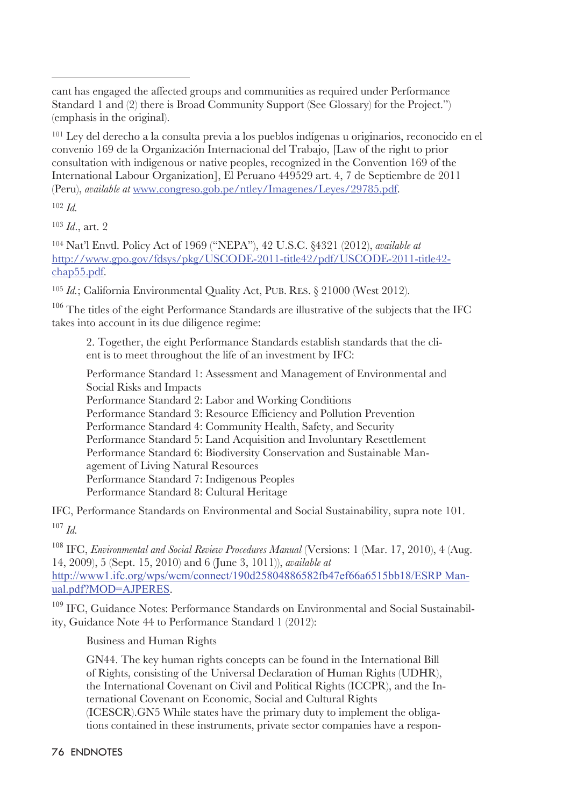cant has engaged the affected groups and communities as required under Performance Standard 1 and (2) there is Broad Community Support (See Glossary) for the Project.") (emphasis in the original).

<sup>101</sup> Ley del derecho a la consulta previa a los pueblos indígenas u originarios, reconocido en el convenio 169 de la Organización Internacional del Trabajo, [Law of the right to prior consultation with indigenous or native peoples, recognized in the Convention 169 of the International Labour Organization], El Peruano 449529 art. 4, 7 de Septiembre de 2011 (Peru), *available at* www.congreso.gob.pe/ntley/Imagenes/Leyes/29785.pdf.

<sup>102</sup> *Id.*

 $\overline{a}$ 

<sup>103</sup> *Id*., art. 2

<sup>104</sup> Nat'l Envtl. Policy Act of 1969 ("NEPA"), 42 U.S.C. §4321 (2012), *available at*  http://www.gpo.gov/fdsys/pkg/USCODE-2011-title42/pdf/USCODE-2011-title42 chap55.pdf.

<sup>105</sup> *Id.*; California Environmental Quality Act, PUB. RES. § 21000 (West 2012).

<sup>106</sup> The titles of the eight Performance Standards are illustrative of the subjects that the IFC takes into account in its due diligence regime:

2. Together, the eight Performance Standards establish standards that the client is to meet throughout the life of an investment by IFC:

Performance Standard 1: Assessment and Management of Environmental and Social Risks and Impacts Performance Standard 2: Labor and Working Conditions Performance Standard 3: Resource Efficiency and Pollution Prevention Performance Standard 4: Community Health, Safety, and Security Performance Standard 5: Land Acquisition and Involuntary Resettlement Performance Standard 6: Biodiversity Conservation and Sustainable Management of Living Natural Resources Performance Standard 7: Indigenous Peoples Performance Standard 8: Cultural Heritage

IFC, Performance Standards on Environmental and Social Sustainability, supra note 101. <sup>107</sup> *Id.*

<sup>108</sup> IFC, *Environmental and Social Review Procedures Manual* (Versions: 1 (Mar. 17, 2010), 4 (Aug. 14, 2009), 5 (Sept. 15, 2010) and 6 (June 3, 1011)), *available at* http://www1.ifc.org/wps/wcm/connect/190d25804886582fb47ef66a6515bb18/ESRP Manual.pdf?MOD=AJPERES.

<sup>109</sup> IFC, Guidance Notes: Performance Standards on Environmental and Social Sustainability, Guidance Note 44 to Performance Standard 1 (2012):

Business and Human Rights

GN44. The key human rights concepts can be found in the International Bill of Rights, consisting of the Universal Declaration of Human Rights (UDHR), the International Covenant on Civil and Political Rights (ICCPR), and the International Covenant on Economic, Social and Cultural Rights (ICESCR).GN5 While states have the primary duty to implement the obligations contained in these instruments, private sector companies have a respon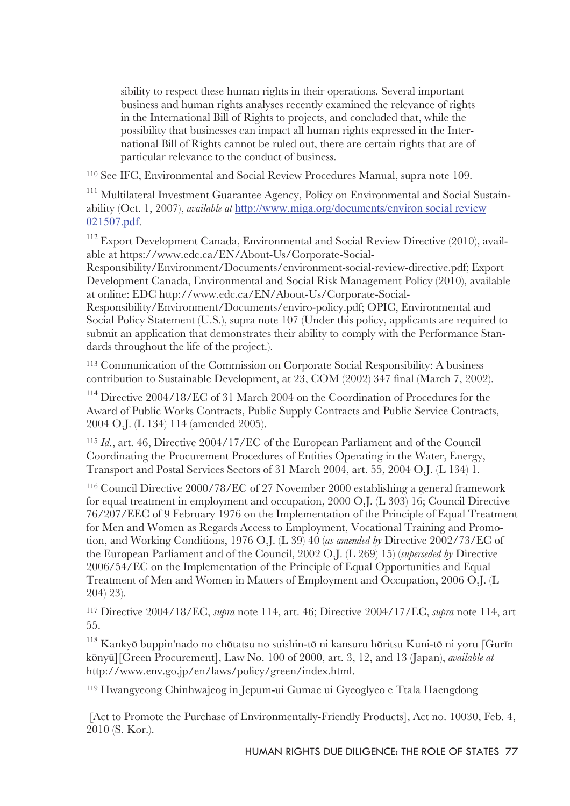sibility to respect these human rights in their operations. Several important business and human rights analyses recently examined the relevance of rights in the International Bill of Rights to projects, and concluded that, while the possibility that businesses can impact all human rights expressed in the International Bill of Rights cannot be ruled out, there are certain rights that are of particular relevance to the conduct of business.

<sup>110</sup> See IFC, Environmental and Social Review Procedures Manual, supra note 109.

 $\overline{a}$ 

<sup>111</sup> Multilateral Investment Guarantee Agency, Policy on Environmental and Social Sustainability (Oct. 1, 2007), *available at* http://www.miga.org/documents/environ social review 021507.pdf.

<sup>112</sup> Export Development Canada, Environmental and Social Review Directive (2010), available at https://www.edc.ca/EN/About-Us/Corporate-Social-

Responsibility/Environment/Documents/environment-social-review-directive.pdf; Export Development Canada, Environmental and Social Risk Management Policy (2010), available at online: EDC http://www.edc.ca/EN/About-Us/Corporate-Social-

Responsibility/Environment/Documents/enviro-policy.pdf; OPIC, Environmental and Social Policy Statement (U.S.), supra note 107 (Under this policy, applicants are required to submit an application that demonstrates their ability to comply with the Performance Standards throughout the life of the project.).

<sup>113</sup> Communication of the Commission on Corporate Social Responsibility: A business contribution to Sustainable Development, at 23, COM (2002) 347 final (March 7, 2002).

<sup>114</sup> Directive 2004/18/EC of 31 March 2004 on the Coordination of Procedures for the Award of Public Works Contracts, Public Supply Contracts and Public Service Contracts, 2004 O.J. (L 134) 114 (amended 2005).

<sup>115</sup> *Id*., art. 46, Directive 2004/17/EC of the European Parliament and of the Council Coordinating the Procurement Procedures of Entities Operating in the Water, Energy, Transport and Postal Services Sectors of 31 March 2004, art. 55, 2004 O.J. (L 134) 1.

<sup>116</sup> Council Directive 2000/78/EC of 27 November 2000 establishing a general framework for equal treatment in employment and occupation, 2000 O.J. (L 303) 16; Council Directive 76/207/EEC of 9 February 1976 on the Implementation of the Principle of Equal Treatment for Men and Women as Regards Access to Employment, Vocational Training and Promotion, and Working Conditions, 1976 O.J. (L 39) 40 (*as amended by* Directive 2002/73/EC of the European Parliament and of the Council, 2002 O.J. (L 269) 15) (*superseded by* Directive 2006/54/EC on the Implementation of the Principle of Equal Opportunities and Equal Treatment of Men and Women in Matters of Employment and Occupation, 2006 O.J. (L 204) 23).

<sup>117</sup> Directive 2004/18/EC, *supra* note 114, art. 46; Directive 2004/17/EC, *supra* note 114, art 55.

<sup>118</sup> Kankyō buppin'nado no chōtatsu no suishin-tō ni kansuru hōritsu Kuni-tō ni yoru [Gurīn kōnyū][Green Procurement], Law No. 100 of 2000, art. 3, 12, and 13 (Japan), *available at*  http://www.env.go.jp/en/laws/policy/green/index.html.

<sup>119</sup> Hwangyeong Chinhwajeog in Jepum-ui Gumae ui Gyeoglyeo e Ttala Haengdong

 [Act to Promote the Purchase of Environmentally-Friendly Products], Act no. 10030, Feb. 4, 2010 (S. Kor.).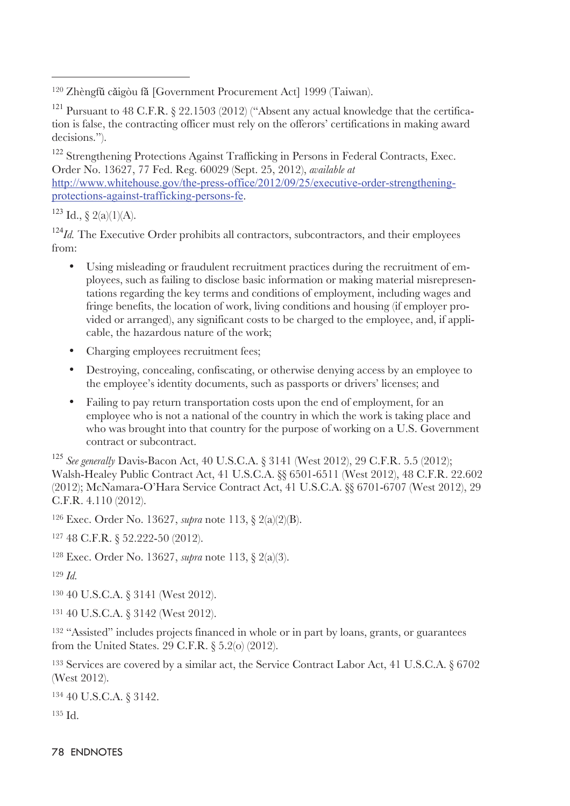<sup>120</sup> Zhèngfǔ cǎigòu fǎ [Government Procurement Act] 1999 (Taiwan).

<sup>121</sup> Pursuant to 48 C.F.R. § 22.1503 (2012) ("Absent any actual knowledge that the certification is false, the contracting officer must rely on the offerors' certifications in making award decisions.").

<sup>122</sup> Strengthening Protections Against Trafficking in Persons in Federal Contracts, Exec. Order No. 13627, 77 Fed. Reg. 60029 (Sept. 25, 2012), *available at*  http://www.whitehouse.gov/the-press-office/2012/09/25/executive-order-strengtheningprotections-against-trafficking-persons-fe.

 $123$  Id.,  $\frac{2}{a}(1)(A)$ .

 $\overline{a}$ 

<sup>124</sup>*Id*. The Executive Order prohibits all contractors, subcontractors, and their employees from:

- Using misleading or fraudulent recruitment practices during the recruitment of employees, such as failing to disclose basic information or making material misrepresentations regarding the key terms and conditions of employment, including wages and fringe benefits, the location of work, living conditions and housing (if employer provided or arranged), any significant costs to be charged to the employee, and, if applicable, the hazardous nature of the work;
- Charging employees recruitment fees;
- Destroying, concealing, confiscating, or otherwise denying access by an employee to the employee's identity documents, such as passports or drivers' licenses; and
- Failing to pay return transportation costs upon the end of employment, for an employee who is not a national of the country in which the work is taking place and who was brought into that country for the purpose of working on a U.S. Government contract or subcontract.

<sup>125</sup> *See generally* Davis-Bacon Act, 40 U.S.C.A. § 3141 (West 2012), 29 C.F.R. 5.5 (2012); Walsh-Healey Public Contract Act, 41 U.S.C.A. §§ 6501-6511 (West 2012), 48 C.F.R. 22.602 (2012); McNamara-O'Hara Service Contract Act, 41 U.S.C.A. §§ 6701-6707 (West 2012), 29 C.F.R. 4.110 (2012).

<sup>126</sup> Exec. Order No. 13627, *supra* note 113, § 2(a)(2)(B).

<sup>127</sup> 48 C.F.R. § 52.222-50 (2012).

<sup>128</sup> Exec. Order No. 13627, *supra* note 113, § 2(a)(3).

<sup>129</sup> *Id.*

<sup>130</sup> 40 U.S.C.A. § 3141 (West 2012).

<sup>131</sup> 40 U.S.C.A. § 3142 (West 2012).

<sup>132</sup> "Assisted" includes projects financed in whole or in part by loans, grants, or guarantees from the United States.  $29$  C.F.R.  $\S 5.2(0)$  (2012).

<sup>133</sup> Services are covered by a similar act, the Service Contract Labor Act, 41 U.S.C.A. § 6702 (West 2012).

<sup>134</sup> 40 U.S.C.A. § 3142.

135 Id.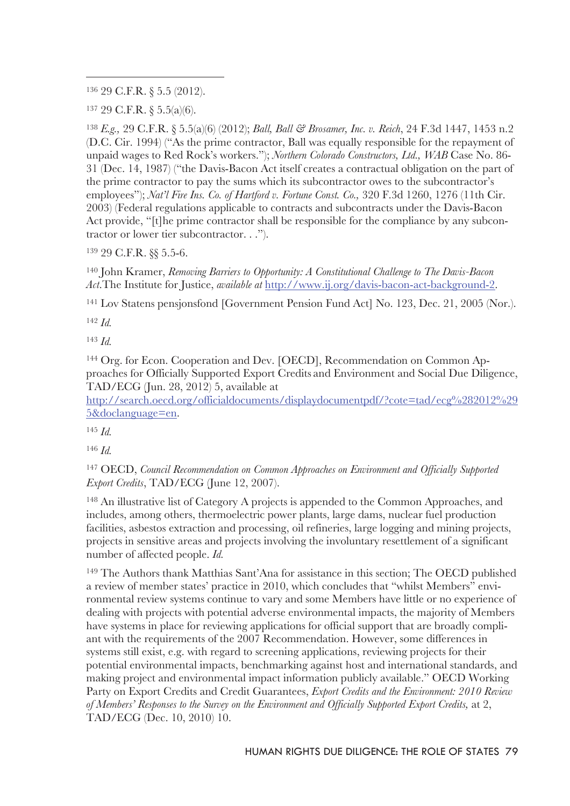<sup>136</sup> 29 C.F.R. § 5.5 (2012).

<sup>137</sup> 29 C.F.R. § 5.5(a)(6).

<sup>138</sup> *E.g.,* 29 C.F.R. § 5.5(a)(6) (2012); *Ball, Ball & Brosamer, Inc. v. Reich*, 24 F.3d 1447, 1453 n.2 (D.C. Cir. 1994) ("As the prime contractor, Ball was equally responsible for the repayment of unpaid wages to Red Rock's workers."); *Northern Colorado Constructors, Ltd., WAB* Case No. 86- 31 (Dec. 14, 1987) ("the Davis-Bacon Act itself creates a contractual obligation on the part of the prime contractor to pay the sums which its subcontractor owes to the subcontractor's employees"); *Nat'l Fire Ins. Co. of Hartford v. Fortune Const. Co.,* 320 F.3d 1260, 1276 (11th Cir. 2003) (Federal regulations applicable to contracts and subcontracts under the Davis-Bacon Act provide, "[t]he prime contractor shall be responsible for the compliance by any subcontractor or lower tier subcontractor. . .").

<sup>139</sup> 29 C.F.R. §§ 5.5-6.

<sup>140</sup> John Kramer, *Removing Barriers to Opportunity: A Constitutional Challenge to The Davis-Bacon Act*.The Institute for Justice, *available at* http://www.ij.org/davis-bacon-act-background-2.

<sup>141</sup> Lov Statens pensjonsfond [Government Pension Fund Act] No. 123, Dec. 21, 2005 (Nor.).

<sup>142</sup> *Id.*

 $\overline{a}$ 

<sup>143</sup> *Id.*

144 Org. for Econ. Cooperation and Dev. [OECD], Recommendation on Common Approaches for Officially Supported Export Credits and Environment and Social Due Diligence, TAD/ECG (Jun. 28, 2012) 5, available at

http://search.oecd.org/officialdocuments/displaydocumentpdf/?cote=tad/ecg%282012%29 5&doclanguage=en.

<sup>145</sup> *Id.*

<sup>146</sup> *Id.*

<sup>147</sup> OECD, *Council Recommendation on Common Approaches on Environment and Officially Supported Export Credits*, TAD/ECG (June 12, 2007).

<sup>148</sup> An illustrative list of Category A projects is appended to the Common Approaches, and includes, among others, thermoelectric power plants, large dams, nuclear fuel production facilities, asbestos extraction and processing, oil refineries, large logging and mining projects, projects in sensitive areas and projects involving the involuntary resettlement of a significant number of affected people. *Id.* 

<sup>149</sup> The Authors thank Matthias Sant'Ana for assistance in this section; The OECD published a review of member states' practice in 2010, which concludes that "whilst Members" environmental review systems continue to vary and some Members have little or no experience of dealing with projects with potential adverse environmental impacts, the majority of Members have systems in place for reviewing applications for official support that are broadly compliant with the requirements of the 2007 Recommendation. However, some differences in systems still exist, e.g. with regard to screening applications, reviewing projects for their potential environmental impacts, benchmarking against host and international standards, and making project and environmental impact information publicly available." OECD Working Party on Export Credits and Credit Guarantees, *Export Credits and the Environment: 2010 Review of Members' Responses to the Survey on the Environment and Officially Supported Export Credits,* at 2, TAD/ECG (Dec. 10, 2010) 10.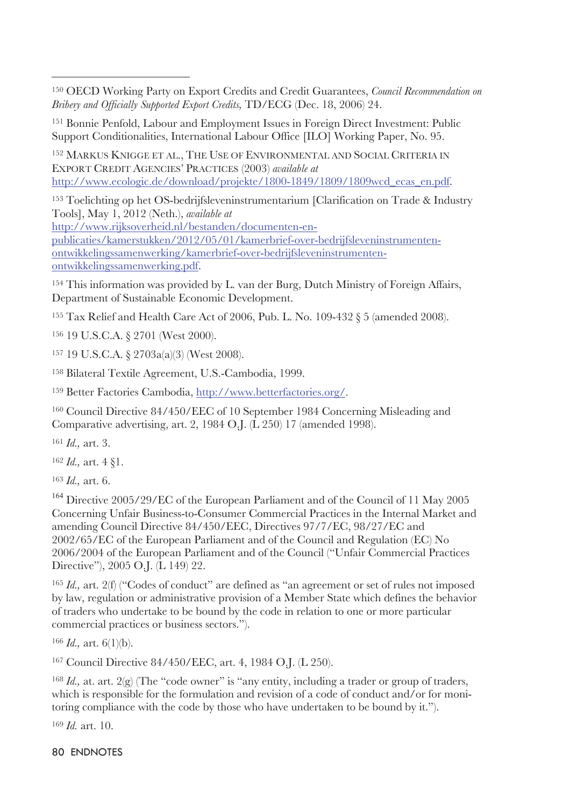<sup>150</sup> OECD Working Party on Export Credits and Credit Guarantees, *Council Recommendation on Bribery and Officially Supported Export Credits,* TD/ECG (Dec. 18, 2006) 24.

<sup>151</sup> Bonnie Penfold, Labour and Employment Issues in Foreign Direct Investment: Public Support Conditionalities, International Labour Office [ILO] Working Paper, No. 95.

<sup>152</sup> MARKUS KNIGGE ET AL., THE USE OF ENVIRONMENTAL AND SOCIAL CRITERIA IN EXPORT CREDIT AGENCIES' PRACTICES (2003) *available at* http://www.ecologic.de/download/projekte/1800-1849/1809/1809wcd\_ecas\_en.pdf.

<sup>153</sup> Toelichting op het OS-bedrijfsleveninstrumentarium [Clarification on Trade & Industry Tools], May 1, 2012 (Neth.), *available at* 

http://www.rijksoverheid.nl/bestanden/documenten-en-

publicaties/kamerstukken/2012/05/01/kamerbrief-over-bedrijfsleveninstrumentenontwikkelingssamenwerking/kamerbrief-over-bedrijfsleveninstrumentenontwikkelingssamenwerking.pdf.

<sup>154</sup> This information was provided by L. van der Burg, Dutch Ministry of Foreign Affairs, Department of Sustainable Economic Development.

<sup>155</sup> Tax Relief and Health Care Act of 2006, Pub. L. No. 109-432 § 5 (amended 2008).

<sup>156</sup> 19 U.S.C.A. § 2701 (West 2000).

<sup>157</sup> 19 U.S.C.A. § 2703a(a)(3) (West 2008).

<sup>158</sup> Bilateral Textile Agreement, U.S.-Cambodia, 1999.

<sup>159</sup> Better Factories Cambodia, http://www.betterfactories.org/.

<sup>160</sup> Council Directive 84/450/EEC of 10 September 1984 Concerning Misleading and Comparative advertising, art. 2, 1984 O.J. (L 250) 17 (amended 1998).

<sup>161</sup> *Id.,* art. 3.

 $\overline{a}$ 

<sup>162</sup> *Id.,* art. 4 §1.

<sup>163</sup> *Id.,* art. 6.

<sup>164</sup> Directive 2005/29/EC of the European Parliament and of the Council of 11 May 2005 Concerning Unfair Business-to-Consumer Commercial Practices in the Internal Market and amending Council Directive 84/450/EEC, Directives 97/7/EC, 98/27/EC and 2002/65/EC of the European Parliament and of the Council and Regulation (EC) No 2006/2004 of the European Parliament and of the Council ("Unfair Commercial Practices Directive"), 2005 O.J. (L 149) 22.

<sup>165</sup> *Id.*, art. 2(f) ("Codes of conduct" are defined as "an agreement or set of rules not imposed by law, regulation or administrative provision of a Member State which defines the behavior of traders who undertake to be bound by the code in relation to one or more particular commercial practices or business sectors.").

<sup>166</sup> *Id.,* art. 6(1)(b).

<sup>167</sup> Council Directive 84/450/EEC, art. 4, 1984 O.J. (L 250).

<sup>168</sup> *Id.*, at. art. 2(g) (The "code owner" is "any entity, including a trader or group of traders, which is responsible for the formulation and revision of a code of conduct and/or for monitoring compliance with the code by those who have undertaken to be bound by it.").

<sup>169</sup> *Id.* art. 10.

80 ENDNOTES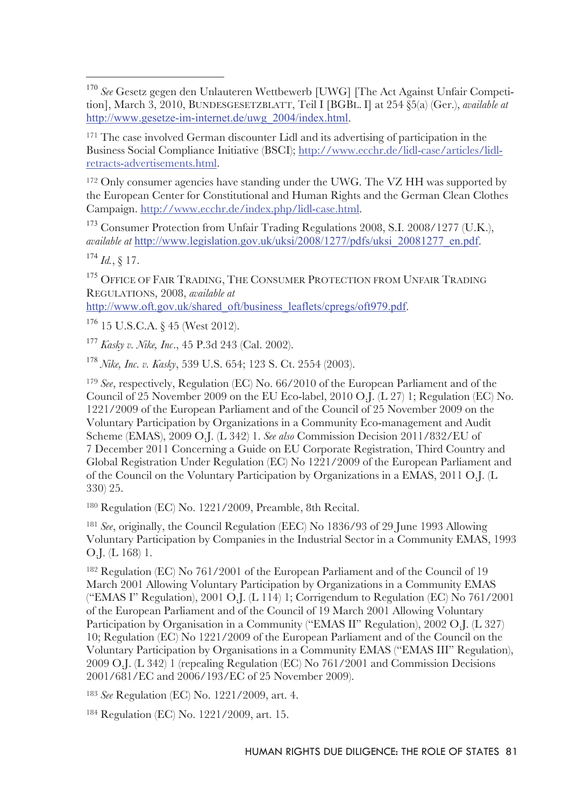<sup>172</sup> Only consumer agencies have standing under the UWG. The VZ HH was supported by the European Center for Constitutional and Human Rights and the German Clean Clothes Campaign. http://www.ecchr.de/index.php/lidl-case.html.

<sup>173</sup> Consumer Protection from Unfair Trading Regulations 2008, S.I. 2008/1277 (U.K.), *available at* http://www.legislation.gov.uk/uksi/2008/1277/pdfs/uksi\_20081277\_en.pdf.

 $^{174}$  *Id.*, § 17.

 $\overline{a}$ 

<sup>175</sup> OFFICE OF FAIR TRADING, THE CONSUMER PROTECTION FROM UNFAIR TRADING REGULATIONS, 2008, *available at* http://www.oft.gov.uk/shared\_oft/business\_leaflets/cpregs/oft979.pdf.

<sup>176</sup> 15 U.S.C.A. § 45 (West 2012).

<sup>177</sup> *Kasky v. Nike, Inc*., 45 P.3d 243 (Cal. 2002).

<sup>178</sup> *Nike, Inc. v. Kasky*, 539 U.S. 654; 123 S. Ct. 2554 (2003).

<sup>179</sup> *See*, respectively, Regulation (EC) No. 66/2010 of the European Parliament and of the Council of 25 November 2009 on the EU Eco-label, 2010 O.J. (L 27) 1; Regulation (EC) No. 1221/2009 of the European Parliament and of the Council of 25 November 2009 on the Voluntary Participation by Organizations in a Community Eco-management and Audit Scheme (EMAS), 2009 O.J. (L 342) 1. *See also* Commission Decision 2011/832/EU of 7 December 2011 Concerning a Guide on EU Corporate Registration, Third Country and Global Registration Under Regulation (EC) No 1221/2009 of the European Parliament and of the Council on the Voluntary Participation by Organizations in a EMAS, 2011 O.J. (L 330) 25.

<sup>180</sup> Regulation (EC) No. 1221/2009, Preamble, 8th Recital.

<sup>181</sup> *See*, originally, the Council Regulation (EEC) No 1836/93 of 29 June 1993 Allowing Voluntary Participation by Companies in the Industrial Sector in a Community EMAS, 1993 O.J. (L 168) 1.

<sup>182</sup> Regulation (EC) No 761/2001 of the European Parliament and of the Council of 19 March 2001 Allowing Voluntary Participation by Organizations in a Community EMAS ("EMAS I" Regulation), 2001 O.J. (L 114) 1; Corrigendum to Regulation (EC) No 761/2001 of the European Parliament and of the Council of 19 March 2001 Allowing Voluntary Participation by Organisation in a Community ("EMAS II" Regulation), 2002 O.J. (L 327) 10; Regulation (EC) No 1221/2009 of the European Parliament and of the Council on the Voluntary Participation by Organisations in a Community EMAS ("EMAS III" Regulation), 2009 O.J. (L 342) 1 (repealing Regulation (EC) No 761/2001 and Commission Decisions 2001/681/EC and 2006/193/EC of 25 November 2009).

<sup>183</sup> *See* Regulation (EC) No. 1221/2009, art. 4.

184 Regulation (EC) No. 1221/2009, art. 15.

<sup>170</sup> *See* Gesetz gegen den Unlauteren Wettbewerb [UWG] [The Act Against Unfair Competition], March 3, 2010, BUNDESGESETZBLATT, Teil I [BGBL. I] at 254 §5(a) (Ger.), *available at*  http://www.gesetze-im-internet.de/uwg\_2004/index.html.

<sup>&</sup>lt;sup>171</sup> The case involved German discounter Lidl and its advertising of participation in the Business Social Compliance Initiative (BSCI); http://www.ecchr.de/lidl-case/articles/lidlretracts-advertisements.html.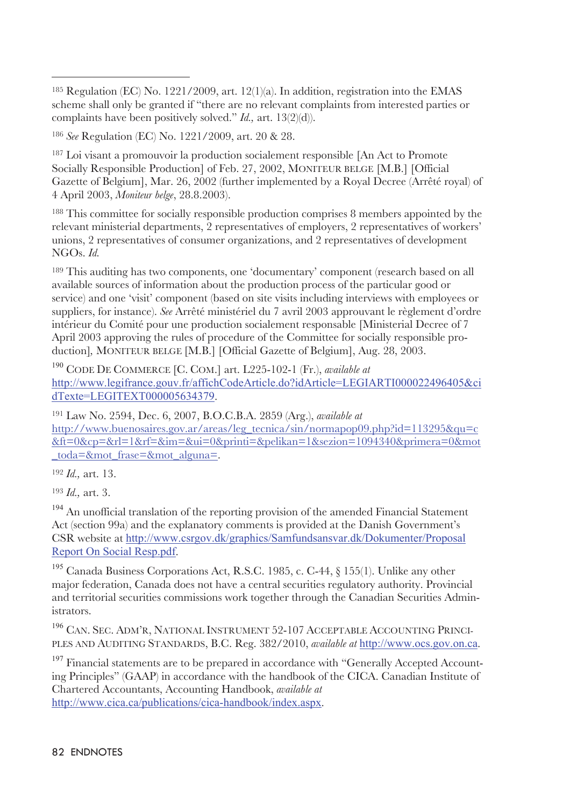<sup>185</sup> Regulation (EC) No. 1221/2009, art. 12(1)(a). In addition, registration into the EMAS scheme shall only be granted if "there are no relevant complaints from interested parties or complaints have been positively solved." *Id.,* art. 13(2)(d)).

<sup>186</sup> *See* Regulation (EC) No. 1221/2009, art. 20 & 28.

<sup>187</sup> Loi visant a promouvoir la production socialement responsible [An Act to Promote Socially Responsible Production] of Feb. 27, 2002, MONITEUR BELGE [M.B.] [Official Gazette of Belgium], Mar. 26, 2002 (further implemented by a Royal Decree (Arrêté royal) of 4 April 2003, *Moniteur belge*, 28.8.2003).

<sup>188</sup> This committee for socially responsible production comprises 8 members appointed by the relevant ministerial departments, 2 representatives of employers, 2 representatives of workers' unions, 2 representatives of consumer organizations, and 2 representatives of development NGOs. *Id.* 

<sup>189</sup> This auditing has two components, one 'documentary' component (research based on all available sources of information about the production process of the particular good or service) and one 'visit' component (based on site visits including interviews with employees or suppliers, for instance). *See* Arrêté ministériel du 7 avril 2003 approuvant le règlement d'ordre intérieur du Comité pour une production socialement responsable [Ministerial Decree of 7 April 2003 approving the rules of procedure of the Committee for socially responsible production]*,* MONITEUR BELGE [M.B.] [Official Gazette of Belgium], Aug. 28, 2003.

<sup>190</sup> CODE DE COMMERCE [C. COM.] art. L225-102-1 (Fr.), *available at* http://www.legifrance.gouv.fr/affichCodeArticle.do?idArticle=LEGIARTI000022496405&ci dTexte=LEGITEXT000005634379.

<sup>191</sup> Law No. 2594, Dec. 6, 2007, B.O.C.B.A. 2859 (Arg.), *available at*  http://www.buenosaires.gov.ar/areas/leg\_tecnica/sin/normapop09.php?id=113295&qu=c  $\overline{x}$ ft=0&cp=&rl=1&rf=&im=&ui=0&printi=&pelikan=1&sezion=1094340&primera=0&mot \_toda=&mot\_frase=&mot\_alguna=.

<sup>192</sup> *Id.,* art. 13.

 $\overline{a}$ 

<sup>193</sup> *Id.,* art. 3.

<sup>194</sup> An unofficial translation of the reporting provision of the amended Financial Statement Act (section 99a) and the explanatory comments is provided at the Danish Government's CSR website at http://www.csrgov.dk/graphics/Samfundsansvar.dk/Dokumenter/Proposal Report On Social Resp.pdf.

<sup>195</sup> Canada Business Corporations Act, R.S.C. 1985, c. C-44,  $\S$  155(1). Unlike any other major federation, Canada does not have a central securities regulatory authority. Provincial and territorial securities commissions work together through the Canadian Securities Administrators.

<sup>196</sup> CAN. SEC. ADM'R, NATIONAL INSTRUMENT 52-107 ACCEPTABLE ACCOUNTING PRINCI-PLES AND AUDITING STANDARDS, B.C. Reg. 382/2010, *available at* http://www.ocs.gov.on.ca.

<sup>197</sup> Financial statements are to be prepared in accordance with "Generally Accepted Accounting Principles" (GAAP) in accordance with the handbook of the CICA. Canadian Institute of Chartered Accountants, Accounting Handbook, *available at* http://www.cica.ca/publications/cica-handbook/index.aspx.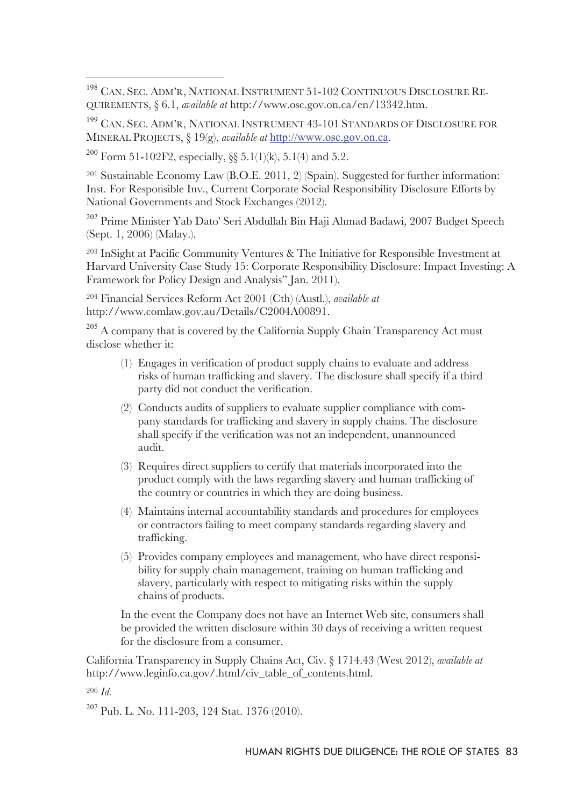<sup>199</sup> CAN. SEC. ADM'R, NATIONAL INSTRUMENT 43-101 STANDARDS OF DISCLOSURE FOR MINERAL PROJECTS, § 19(g), *available at* http://www.osc.gov.on.ca.

<sup>200</sup> Form 51-102F2, especially, §§ 5.1(1)(k), 5.1(4) and 5.2.

<sup>201</sup> Sustainable Economy Law (B.O.E. 2011, 2) (Spain). Suggested for further information: Inst. For Responsible Inv., Current Corporate Social Responsibility Disclosure Efforts by National Governments and Stock Exchanges (2012).

<sup>202</sup> Prime Minister Yab Dato' Seri Abdullah Bin Haji Ahmad Badawi, 2007 Budget Speech (Sept. 1, 2006) (Malay.).

<sup>203</sup> InSight at Pacific Community Ventures & The Initiative for Responsible Investment at Harvard University Case Study 15: Corporate Responsibility Disclosure: Impact Investing: A Framework for Policy Design and Analysis" Jan. 2011).

<sup>204</sup> Financial Services Reform Act 2001 (Cth) (Austl.), *available at*  http://www.comlaw.gov.au/Details/C2004A00891.

 $205$  A company that is covered by the California Supply Chain Transparency Act must disclose whether it:

- (1) Engages in verification of product supply chains to evaluate and address risks of human trafficking and slavery. The disclosure shall specify if a third party did not conduct the verification.
- (2) Conducts audits of suppliers to evaluate supplier compliance with company standards for trafficking and slavery in supply chains. The disclosure shall specify if the verification was not an independent, unannounced audit.
- (3) Requires direct suppliers to certify that materials incorporated into the product comply with the laws regarding slavery and human trafficking of the country or countries in which they are doing business.
- (4) Maintains internal accountability standards and procedures for employees or contractors failing to meet company standards regarding slavery and trafficking.
- (5) Provides company employees and management, who have direct responsibility for supply chain management, training on human trafficking and slavery, particularly with respect to mitigating risks within the supply chains of products.

In the event the Company does not have an Internet Web site, consumers shall be provided the written disclosure within 30 days of receiving a written request for the disclosure from a consumer.

California Transparency in Supply Chains Act, Civ. § 1714.43 (West 2012), *available at*  http://www.leginfo.ca.gov/.html/civ\_table\_of\_contents.html.

<sup>206</sup> *Id.*

 $\overline{a}$ 

<sup>207</sup> Pub. L. No. 111-203, 124 Stat. 1376 (2010).

<sup>&</sup>lt;sup>198</sup> CAN. SEC. ADM'R, NATIONAL INSTRUMENT 51-102 CONTINUOUS DISCLOSURE RE-QUIREMENTS, § 6.1, *available at* http://www.osc.gov.on.ca/en/13342.htm.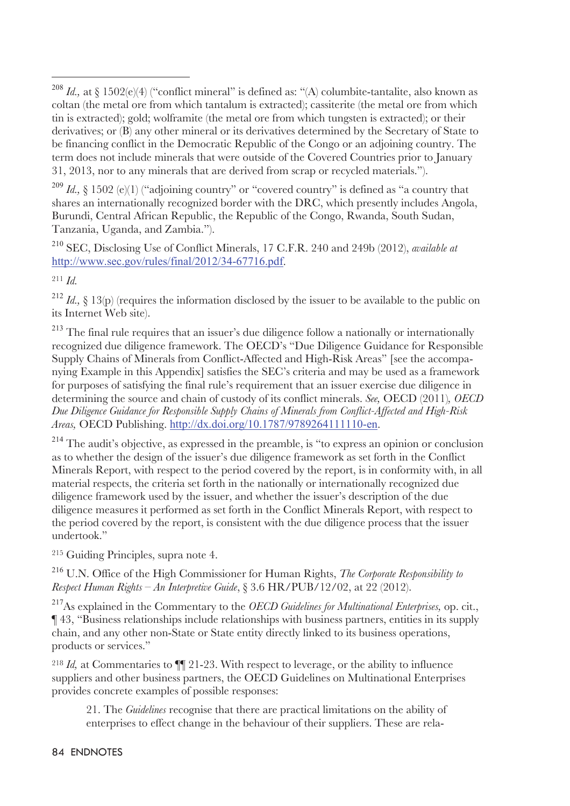<sup>210</sup> SEC, Disclosing Use of Conflict Minerals, 17 C.F.R. 240 and 249b (2012), *available at*  http://www.sec.gov/rules/final/2012/34-67716.pdf.

<sup>211</sup> *Id.*

 $\overline{a}$ 

<sup>212</sup> *Id.,* § 13(p) (requires the information disclosed by the issuer to be available to the public on its Internet Web site).

<sup>213</sup> The final rule requires that an issuer's due diligence follow a nationally or internationally recognized due diligence framework. The OECD's "Due Diligence Guidance for Responsible Supply Chains of Minerals from Conflict-Affected and High-Risk Areas" [see the accompanying Example in this Appendix] satisfies the SEC's criteria and may be used as a framework for purposes of satisfying the final rule's requirement that an issuer exercise due diligence in determining the source and chain of custody of its conflict minerals. *See,* OECD (2011)*, OECD Due Diligence Guidance for Responsible Supply Chains of Minerals from Conflict-Affected and High-Risk Areas,* OECD Publishing. http://dx.doi.org/10.1787/9789264111110-en.

<sup>214</sup> The audit's objective, as expressed in the preamble, is "to express an opinion or conclusion as to whether the design of the issuer's due diligence framework as set forth in the Conflict Minerals Report, with respect to the period covered by the report, is in conformity with, in all material respects, the criteria set forth in the nationally or internationally recognized due diligence framework used by the issuer, and whether the issuer's description of the due diligence measures it performed as set forth in the Conflict Minerals Report, with respect to the period covered by the report, is consistent with the due diligence process that the issuer undertook."

<sup>215</sup> Guiding Principles, supra note 4.

<sup>216</sup> U.N. Office of the High Commissioner for Human Rights, *The Corporate Responsibility to Respect Human Rights – An Interpretive Guide*, § 3.6 HR/PUB/12/02, at 22 (2012).

<sup>217</sup>As explained in the Commentary to the *OECD Guidelines for Multinational Enterprises,* op. cit., ¶ 43, "Business relationships include relationships with business partners, entities in its supply chain, and any other non-State or State entity directly linked to its business operations, products or services."

<sup>218</sup> *Id,* at Commentaries to ¶¶ 21-23. With respect to leverage, or the ability to influence suppliers and other business partners, the OECD Guidelines on Multinational Enterprises provides concrete examples of possible responses:

21. The *Guidelines* recognise that there are practical limitations on the ability of enterprises to effect change in the behaviour of their suppliers. These are rela-

<sup>208</sup> *Id.,* at § 1502(e)(4) ("conflict mineral" is defined as: "(A) columbite-tantalite, also known as coltan (the metal ore from which tantalum is extracted); cassiterite (the metal ore from which tin is extracted); gold; wolframite (the metal ore from which tungsten is extracted); or their derivatives; or (B) any other mineral or its derivatives determined by the Secretary of State to be financing conflict in the Democratic Republic of the Congo or an adjoining country. The term does not include minerals that were outside of the Covered Countries prior to January 31, 2013, nor to any minerals that are derived from scrap or recycled materials.").

<sup>209</sup> *Id.,* § 1502 (e)(1) ("adjoining country" or "covered country" is defined as "a country that shares an internationally recognized border with the DRC, which presently includes Angola, Burundi, Central African Republic, the Republic of the Congo, Rwanda, South Sudan, Tanzania, Uganda, and Zambia.").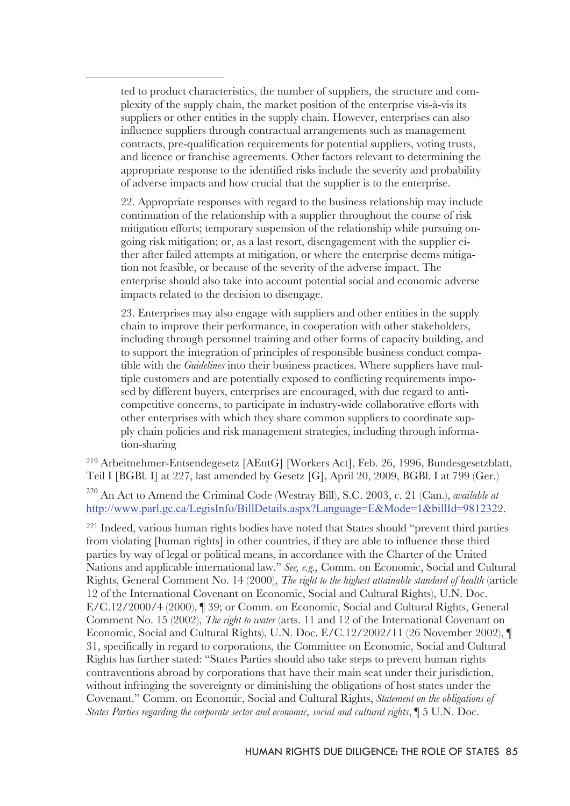ted to product characteristics, the number of suppliers, the structure and complexity of the supply chain, the market position of the enterprise vis-à-vis its suppliers or other entities in the supply chain. However, enterprises can also influence suppliers through contractual arrangements such as management contracts, pre-qualification requirements for potential suppliers, voting trusts, and licence or franchise agreements. Other factors relevant to determining the appropriate response to the identified risks include the severity and probability of adverse impacts and how crucial that the supplier is to the enterprise.

 $\overline{a}$ 

22. Appropriate responses with regard to the business relationship may include continuation of the relationship with a supplier throughout the course of risk mitigation efforts; temporary suspension of the relationship while pursuing ongoing risk mitigation; or, as a last resort, disengagement with the supplier either after failed attempts at mitigation, or where the enterprise deems mitigation not feasible, or because of the severity of the adverse impact. The enterprise should also take into account potential social and economic adverse impacts related to the decision to disengage.

23. Enterprises may also engage with suppliers and other entities in the supply chain to improve their performance, in cooperation with other stakeholders, including through personnel training and other forms of capacity building, and to support the integration of principles of responsible business conduct compatible with the *Guidelines* into their business practices. Where suppliers have multiple customers and are potentially exposed to conflicting requirements imposed by different buyers, enterprises are encouraged, with due regard to anticompetitive concerns, to participate in industry-wide collaborative efforts with other enterprises with which they share common suppliers to coordinate supply chain policies and risk management strategies, including through information-sharing

<sup>219</sup> Arbeitnehmer-Entsendegesetz [AEntG] [Workers Act], Feb. 26, 1996, Bundesgesetzblatt, Teil I [BGBl. I] at 227, last amended by Gesetz [G], April 20, 2009, BGBl. I at 799 (Ger.)

<sup>220</sup> An Act to Amend the Criminal Code (Westray Bill), S.C. 2003, c. 21 (Can.), *available at* http://www.parl.gc.ca/LegisInfo/BillDetails.aspx?Language=E&Mode=1&billId=9812322.

<sup>221</sup> Indeed, various human rights bodies have noted that States should "prevent third parties from violating [human rights] in other countries, if they are able to influence these third parties by way of legal or political means, in accordance with the Charter of the United Nations and applicable international law." *See, e.g.,* Comm. on Economic, Social and Cultural Rights, General Comment No. 14 (2000), *The right to the highest attainable standard of health* (article 12 of the International Covenant on Economic, Social and Cultural Rights), U.N. Doc. E/C.12/2000/4 (2000), ¶ 39; or Comm. on Economic, Social and Cultural Rights, General Comment No. 15 (2002), *The right to water* (arts. 11 and 12 of the International Covenant on Economic, Social and Cultural Rights), U.N. Doc. E/C.12/2002/11 (26 November 2002), ¶ 31, specifically in regard to corporations, the Committee on Economic, Social and Cultural Rights has further stated: "States Parties should also take steps to prevent human rights contraventions abroad by corporations that have their main seat under their jurisdiction, without infringing the sovereignty or diminishing the obligations of host states under the Covenant." Comm. on Economic, Social and Cultural Rights, *Statement on the obligations of States Parties regarding the corporate sector and economic, social and cultural rights*, ¶ 5 U.N. Doc.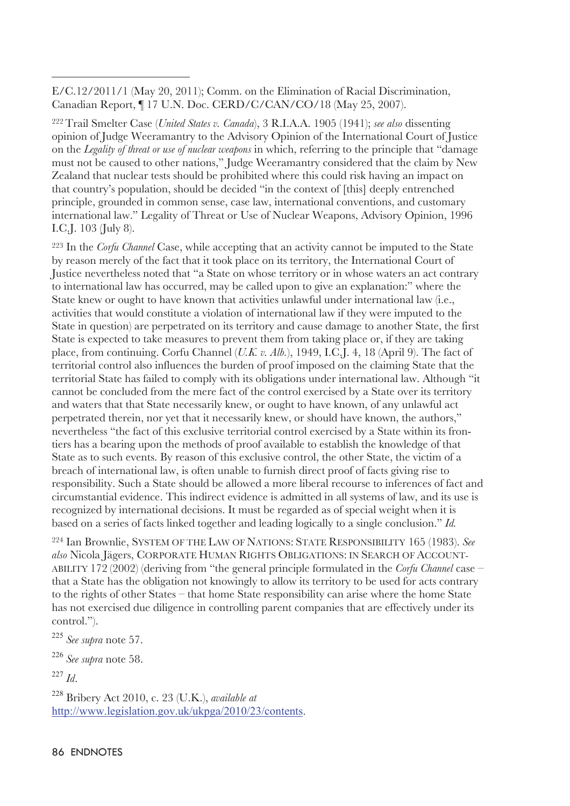E/C.12/2011/1 (May 20, 2011); Comm. on the Elimination of Racial Discrimination, Canadian Report, ¶ 17 U.N. Doc. CERD/C/CAN/CO/18 (May 25, 2007).

<sup>222</sup>Trail Smelter Case (*United States v. Canada*), 3 R.I.A.A. 1905 (1941); *see also* dissenting opinion of Judge Weeramantry to the Advisory Opinion of the International Court of Justice on the *Legality of threat or use of nuclear weapons* in which, referring to the principle that "damage must not be caused to other nations," Judge Weeramantry considered that the claim by New Zealand that nuclear tests should be prohibited where this could risk having an impact on that country's population, should be decided "in the context of [this] deeply entrenched principle, grounded in common sense, case law, international conventions, and customary international law." Legality of Threat or Use of Nuclear Weapons, Advisory Opinion, 1996 I.C.J. 103 (July 8).

<sup>223</sup> In the *Corfu Channel* Case, while accepting that an activity cannot be imputed to the State by reason merely of the fact that it took place on its territory, the International Court of Justice nevertheless noted that "a State on whose territory or in whose waters an act contrary to international law has occurred, may be called upon to give an explanation:" where the State knew or ought to have known that activities unlawful under international law (i.e., activities that would constitute a violation of international law if they were imputed to the State in question) are perpetrated on its territory and cause damage to another State, the first State is expected to take measures to prevent them from taking place or, if they are taking place, from continuing. Corfu Channel (*U.K. v. Alb.*), 1949, I.C.J. 4, 18 (April 9). The fact of territorial control also influences the burden of proof imposed on the claiming State that the territorial State has failed to comply with its obligations under international law. Although "it cannot be concluded from the mere fact of the control exercised by a State over its territory and waters that that State necessarily knew, or ought to have known, of any unlawful act perpetrated therein, nor yet that it necessarily knew, or should have known, the authors," nevertheless "the fact of this exclusive territorial control exercised by a State within its frontiers has a bearing upon the methods of proof available to establish the knowledge of that State as to such events. By reason of this exclusive control, the other State, the victim of a breach of international law, is often unable to furnish direct proof of facts giving rise to responsibility. Such a State should be allowed a more liberal recourse to inferences of fact and circumstantial evidence. This indirect evidence is admitted in all systems of law, and its use is recognized by international decisions. It must be regarded as of special weight when it is based on a series of facts linked together and leading logically to a single conclusion." *Id.* 

<sup>224</sup> Ian Brownlie, SYSTEM OF THE LAW OF NATIONS: STATE RESPONSIBILITY 165 (1983). *See also* Nicola Jägers, CORPORATE HUMAN RIGHTS OBLIGATIONS: IN SEARCH OF ACCOUNT-ABILITY 172 (2002) (deriving from "the general principle formulated in the *Corfu Channel* case – that a State has the obligation not knowingly to allow its territory to be used for acts contrary to the rights of other States – that home State responsibility can arise where the home State has not exercised due diligence in controlling parent companies that are effectively under its control.").

<sup>225</sup> *See supra* note 57.

<sup>226</sup> *See supra* note 58.

<sup>227</sup> *Id*.

 $\overline{a}$ 

<sup>228</sup> Bribery Act 2010, c. 23 (U.K.), *available at*  http://www.legislation.gov.uk/ukpga/2010/23/contents.